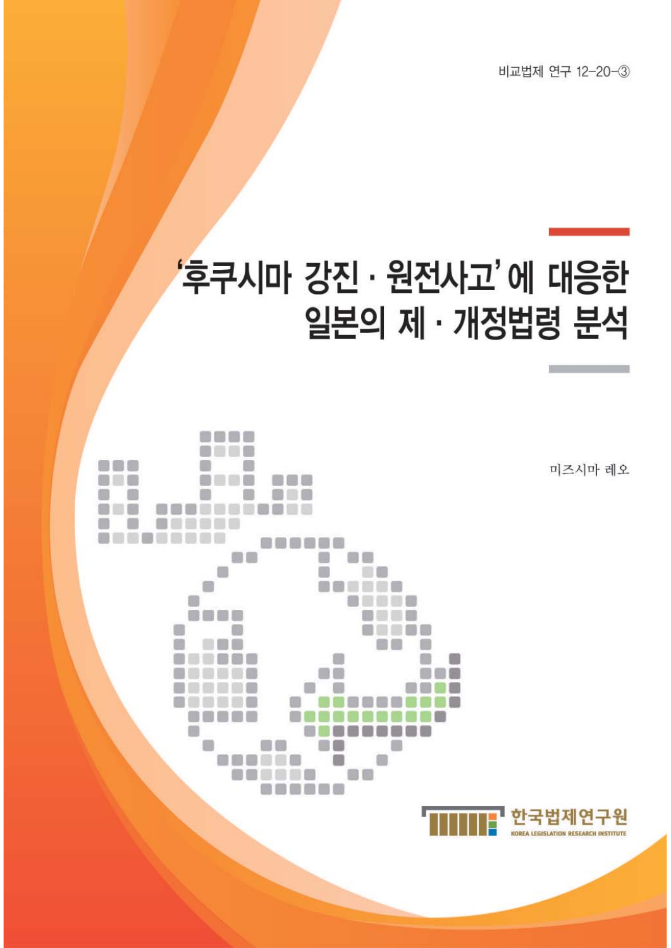비교법제 연구 12-20-3

# '후쿠시마 강진 · 원전사고'에 대응한 일본의 제 · 개정법령 분석

anno enne

 $\Box$   $\Box$ 

uo

Æ

O

Ħ

**BEBL** 

anana 00000

BRBU

10 C

۰

Œ O

Œ

Œ

 $\Box$ 

n

n F

f B 8

 $\Box$ 

DOO

eena

0 O

on

m m **PERSON** 

O SHELL

۹

DO

O G

£,  $\sim$   $\sim$   $\sim$ 

D D ID

미즈시마 레오

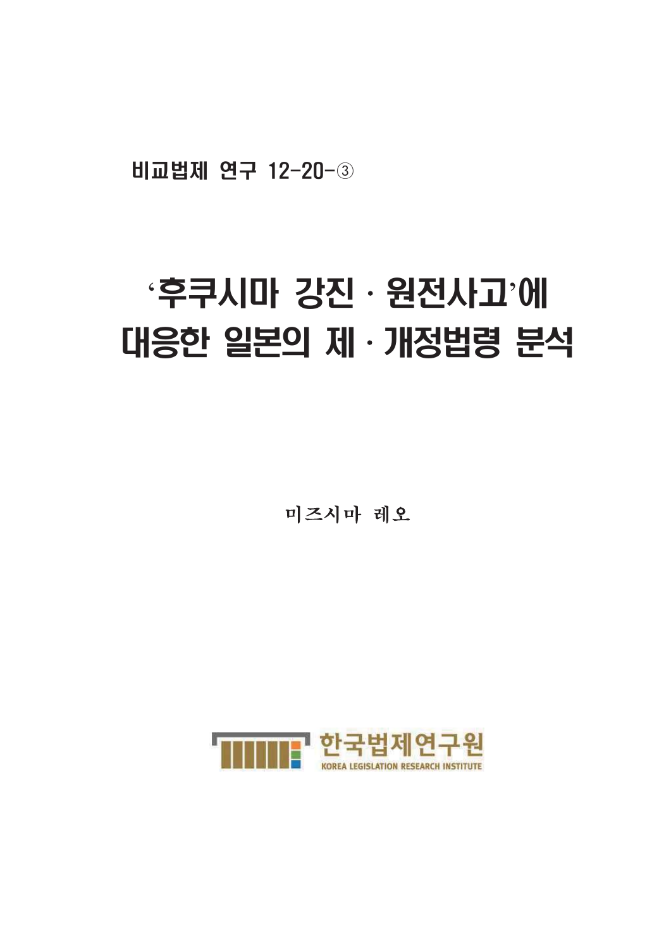비교법제 연구 12-20-3

## $\mathbf{f} \in \mathbb{R}$ 수쿠시마 강진 · 원전사고'에 대응한 일본의 제 · 개정법령 분석

미즈시마 레오

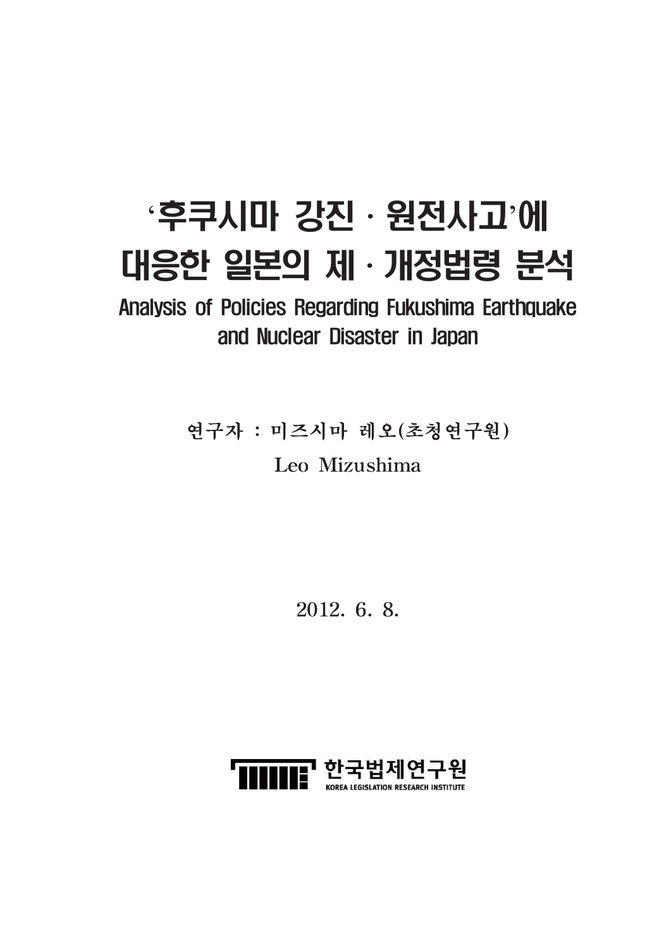## $\mathbf{f} \in \mathbb{R}$  : 원전사고 에 대응한 일본의 제 · 개정법령 분석

Analysis of Policies Regarding Fukushima Earthquake and Nuclear Disaster in Japan

연구자 : 미즈시마 레오(초청연구원)

Leo Mizushima

 $2012, 6, 8$ 

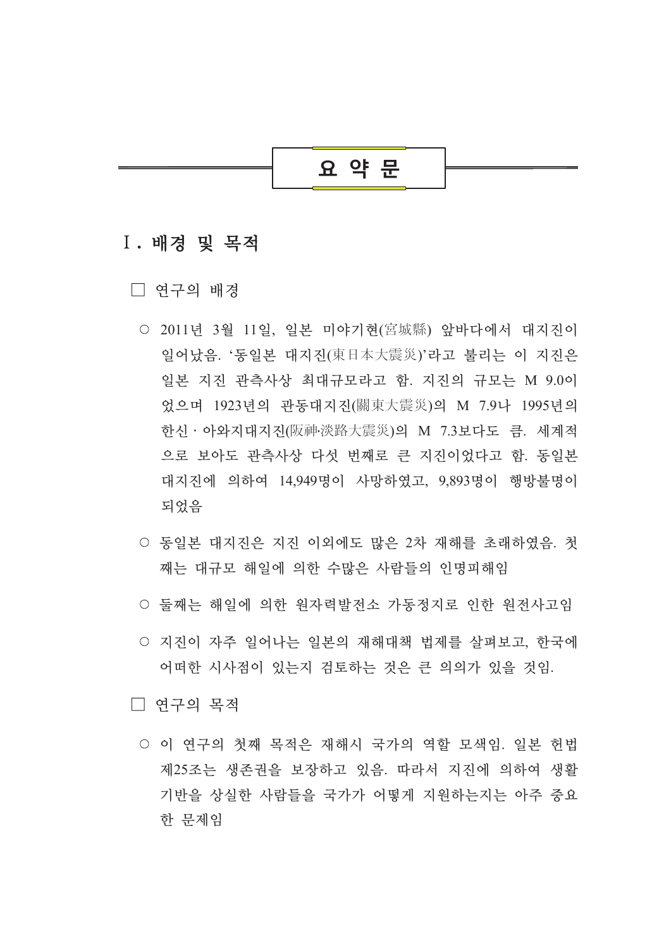## 요 약 문

## I. 배경 및 목적

□ 여구의 배경

- 2011년 3월 11일, 일본 미야기현(宮城縣) 앞바다에서 대지진이 일어났음. '동일본 대지진(東日本大震災)'라고 불리는 이 지진은 일본 지진 관측사상 최대규모라고 함. 지진의 규모는 M 9.0이 었으며 1923년의 관동대지진(關東大震災)의 M 7.9나 1995년의 한신 · 아와지대지진(阪神·淡路大震災)의 M 7.3보다도 큼. 세계적 으로 보아도 관측사상 다섯 번째로 큰 지진이었다고 함. 동일본 대지진에 의하여 14,949명이 사망하였고, 9,893명이 행방불명이 되었음
- 동일본 대지진은 지진 이외에도 많은 2차 재해를 초래하였음. 첫 째는 대규모 해일에 의한 수많은 사람들의 인명피해임
- 둘째는 해일에 의한 워자력발전소 가동정지로 인한 워전사고임
- 지진이 자주 일어나는 일본의 재해대책 법제를 살펴보고, 한국에 어떠한 시사점이 있는지 검토하는 것은 큰 의의가 있을 것임.
- □ 연구의 목적
	- 이 연구의 첫째 목적은 재해시 국가의 역할 모색임. 일본 헌법 제25조는 생존권을 보장하고 있음. 따라서 지지에 의하여 생활 기반을 상실한 사람들을 국가가 어떻게 지워하는지는 아주 중요 한 문제임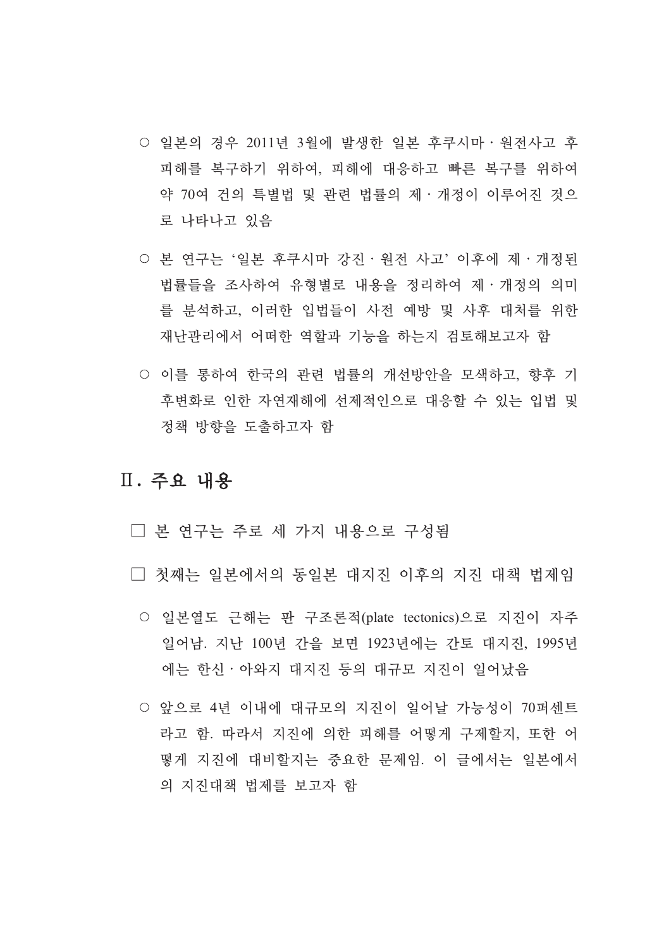- 일본의 경우 2011년 3월에 발생한 일본 후쿠시마 · 워전사고 후 피해를 복구하기 위하여, 피해에 대응하고 빠른 복구를 위하여 약 70여 거의 특별법 및 과련 법률의 제 · 개정이 이루어진 것으 로 나타나고 있음
- 본 연구는 '일본 후쿠시마 강진 · 원전 사고' 이후에 제 · 개정된 법률들을 조사하여 유형별로 내용을 정리하여 제·개정의 의미 를 분석하고, 이러한 입법들이 사전 예방 및 사후 대처를 위한 재난관리에서 어떠한 역할과 기능을 하는지 검토해보고자 함
- 이를 통하여 한국의 과련 법률의 개선방안을 모색하고, 향후 기 후변화로 이하 자연재해에 서제적이으로 대응할 수 있는 입법 및 정책 방향을 도출하고자 함

## Ⅱ. 주요 내용

- □ 본 연구는 주로 세 가지 내용으로 구성됨
- □ 첫째는 일본에서의 동일본 대지진 이후의 지진 대책 법제임
	- 일본열도 근해는 판 구조론적(plate tectonics)으로 지진이 자주 일어남. 지난 100년 간을 보면 1923년에는 간토 대지진, 1995년 에는 한신·아와지 대지진 등의 대규모 지진이 일어났음
	- 앞으로 4년 이내에 대규모의 지진이 일어날 가능성이 70퍼센트 라고 함. 따라서 지진에 의한 피해를 어떻게 구제할지, 또한 어 떻게 지진에 대비할지는 중요한 문제임. 이 글에서는 일본에서 의 지진대책 법제를 보고자 함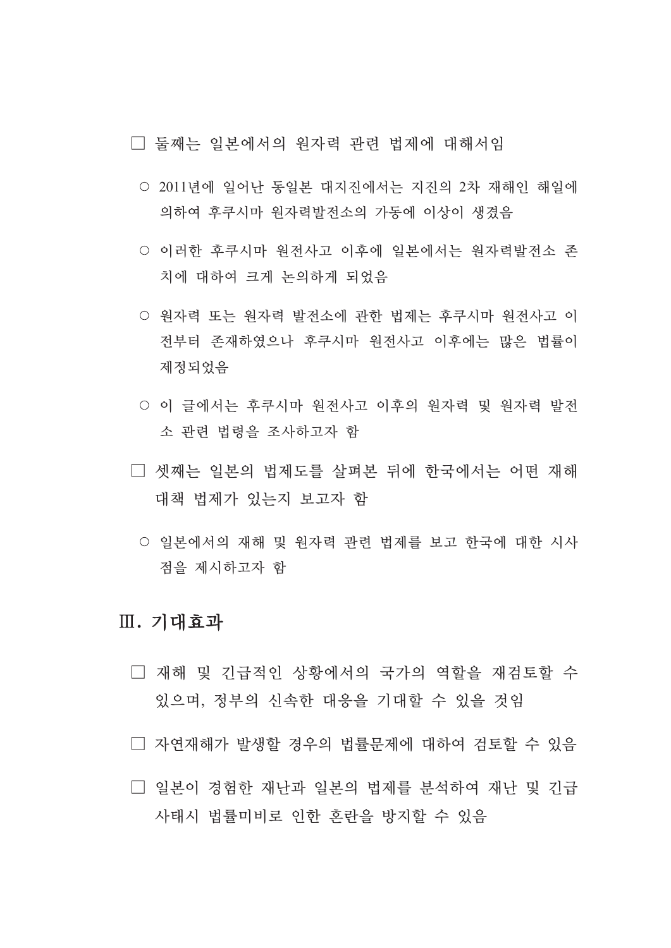□ 둘째는 일보에서의 워자력 과려 법제에 대해서임

- 2011년에 일어난 동일본 대지진에서는 지진의 2차 재해인 해일에 의하여 후쿠시마 원자력발전소의 가동에 이상이 생겼음
- 이러한 후쿠시마 원전사고 이후에 일본에서는 원자력발전소 존 치에 대하여 크게 논의하게 되었음
- 워자력 또는 워자력 발전소에 관한 법제는 후쿠시마 워전사고 이 전부터 존재하였으나 후쿠시마 원전사고 이후에는 많은 법률이 제정되었음
- 이 글에서는 후쿠시마 원전사고 이후의 원자력 및 원자력 발전 소 관련 법령을 조사하고자 함
- □ 셋째는 일본의 법제도를 살펴본 뒤에 한국에서는 어떤 재해 대책 법제가 있는지 보고자 함
	- 일본에서의 재해 및 워자력 관련 법제를 보고 한국에 대한 시사 점을 제시하고자 함

## $\mathbb{II}$ . 기대효과

- □ 재해 및 긴급적인 상황에서의 국가의 역할을 재검토할 수 있으며, 정부의 신속한 대응을 기대할 수 있을 것임
- □ 자연재해가 발생할 경우의 법률뮤제에 대하여 검토할 수 있음
- □ 일본이 경험한 재난과 일본의 법제를 분석하여 재난 및 긴급 사태시 법률미비로 인한 혼란을 방지할 수 있음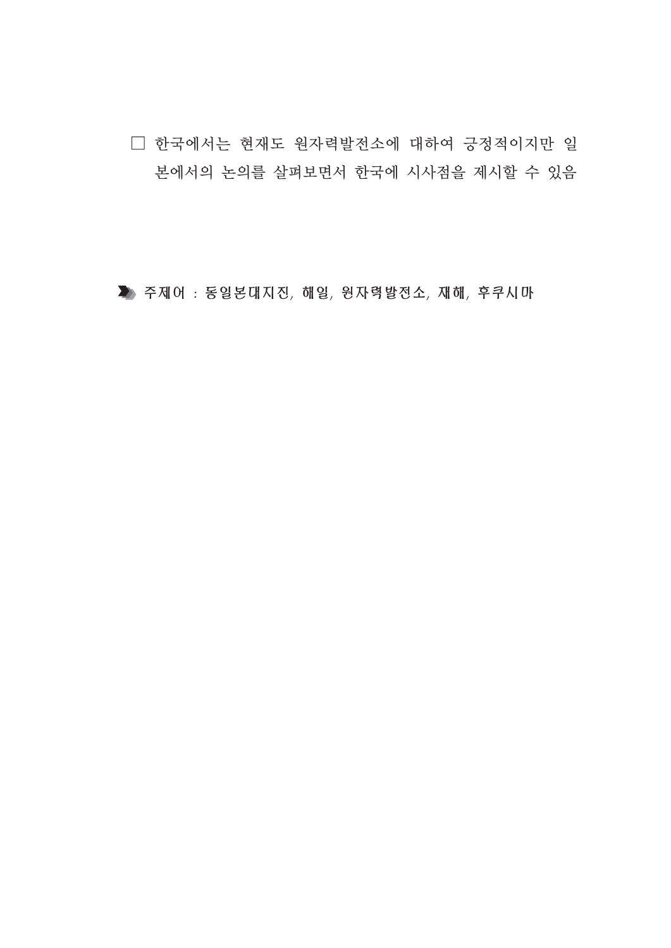□ 한국에서는 현재도 원자력발전소에 대하여 긍정적이지만 일 본에서의 논의를 살펴보면서 한국에 시사점을 제시할 수 있음

▶ 주제어 : 동일본대지진, 해일, 원자력발전소, 재해, 후쿠시마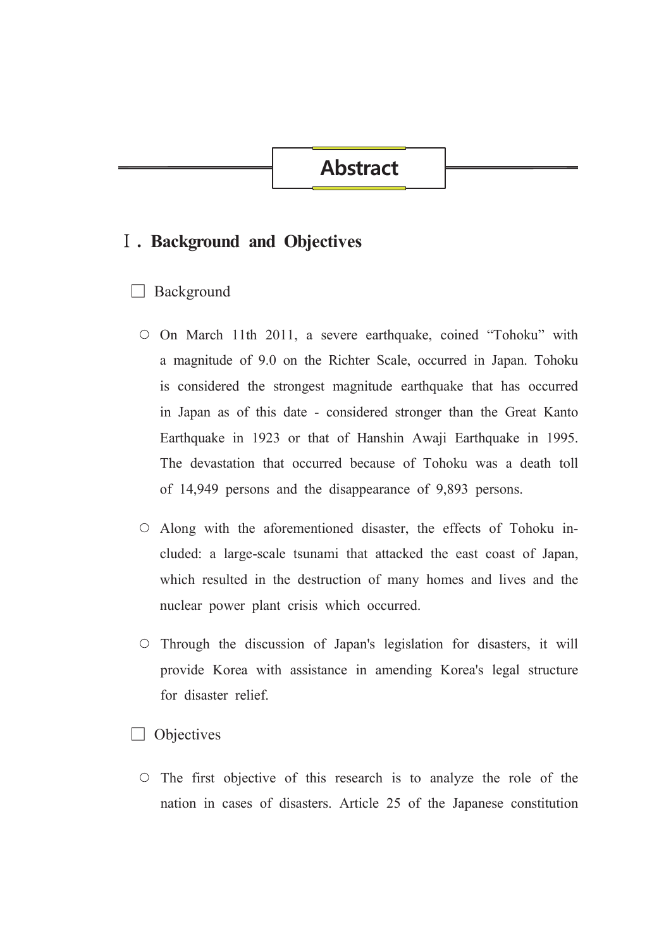## **Abstract**

## **I**. Background and Objectives

#### $\Box$  Background

- $\circ$  On March 11th 2011, a severe earthquake, coined "Tohoku" with a magnitude of 9.0 on the Richter Scale, occurred in Japan. Tohoku is considered the strongest magnitude earthquake that has occurred in Japan as of this date - considered stronger than the Great Kanto Earthquake in 1923 or that of Hanshin Awaji Earthquake in 1995. The devastation that occurred because of Tohoku was a death toll of 14,949 persons and the disappearance of 9,893 persons.
- O Along with the aforementioned disaster, the effects of Tohoku included: a large-scale tsunami that attacked the east coast of Japan, which resulted in the destruction of many homes and lives and the nuclear power plant crisis which occurred.
- O Through the discussion of Japan's legislation for disasters, it will provide Korea with assistance in amending Korea's legal structure for disaster relief

#### $\Box$  Objectives

 $\circ$  The first objective of this research is to analyze the role of the nation in cases of disasters. Article 25 of the Japanese constitution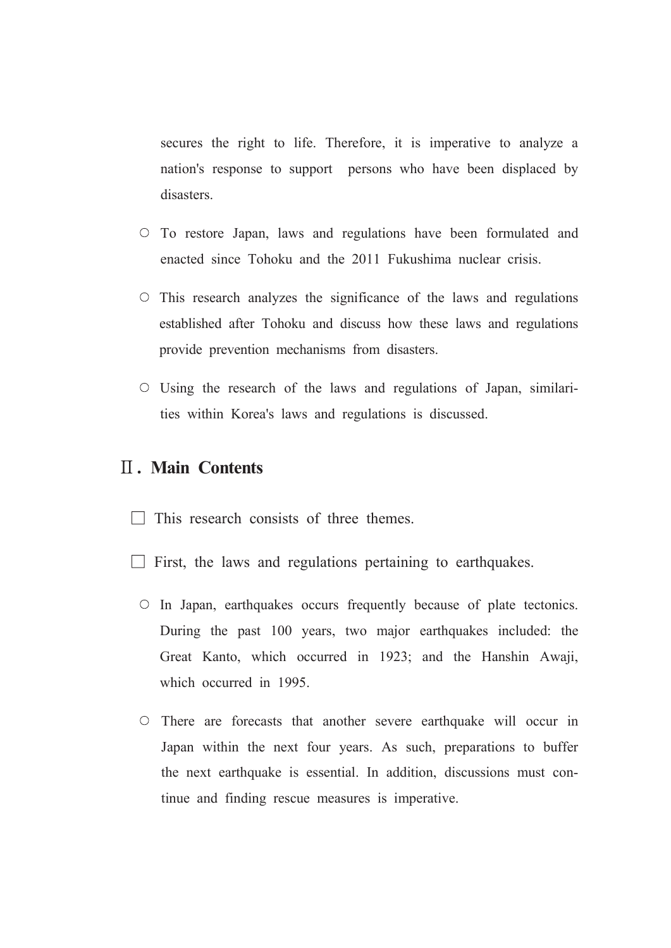secures the right to life. Therefore, it is imperative to analyze a nation's response to support persons who have been displaced by disasters.

- O To restore Japan, laws and regulations have been formulated and enacted since Tohoku and the 2011 Fukushima nuclear crisis.
- $\circ$  This research analyzes the significance of the laws and regulations established after Tohoku and discuss how these laws and regulations provide prevention mechanisms from disasters.
- O Using the research of the laws and regulations of Japan, similarities within Korea's laws and regulations is discussed.

## **II. Main Contents**

- $\Box$  This research consists of three themes.
- $\Box$  First, the laws and regulations pertaining to earthquakes.
	- $\circ$  In Japan, earthquakes occurs frequently because of plate tectonics. During the past 100 years, two major earthquakes included: the Great Kanto, which occurred in 1923; and the Hanshin Awaji, which occurred in 1995.
	- O There are forecasts that another severe earthquake will occur in Japan within the next four years. As such, preparations to buffer the next earthquake is essential. In addition, discussions must continue and finding rescue measures is imperative.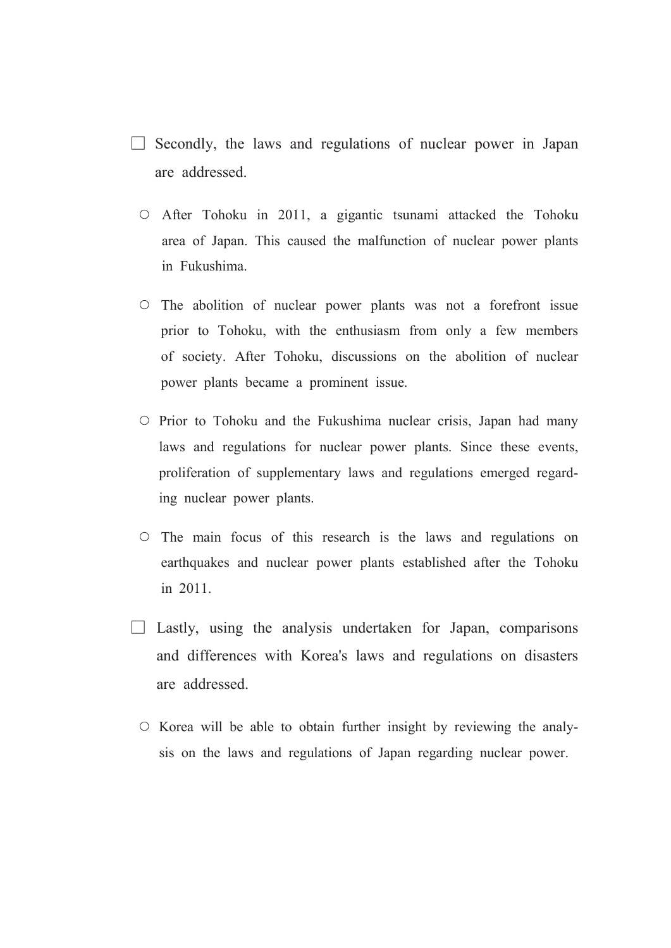- $\Box$  Secondly, the laws and regulations of nuclear power in Japan are addressed.
	- O After Tohoku in 2011, a gigantic tsunami attacked the Tohoku area of Japan. This caused the malfunction of nuclear power plants in Fukushima
	- $\circ$  The abolition of nuclear power plants was not a forefront issue prior to Tohoku, with the enthusiasm from only a few members of society. After Tohoku, discussions on the abolition of nuclear power plants became a prominent issue.
	- O Prior to Tohoku and the Fukushima nuclear crisis, Japan had many laws and regulations for nuclear power plants. Since these events, proliferation of supplementary laws and regulations emerged regarding nuclear power plants.
	- $\circ$  The main focus of this research is the laws and regulations on earthquakes and nuclear power plants established after the Tohoku in 2011
- $\Box$  Lastly, using the analysis undertaken for Japan, comparisons and differences with Korea's laws and regulations on disasters are addressed
	- $\circ$  Korea will be able to obtain further insight by reviewing the analysis on the laws and regulations of Japan regarding nuclear power.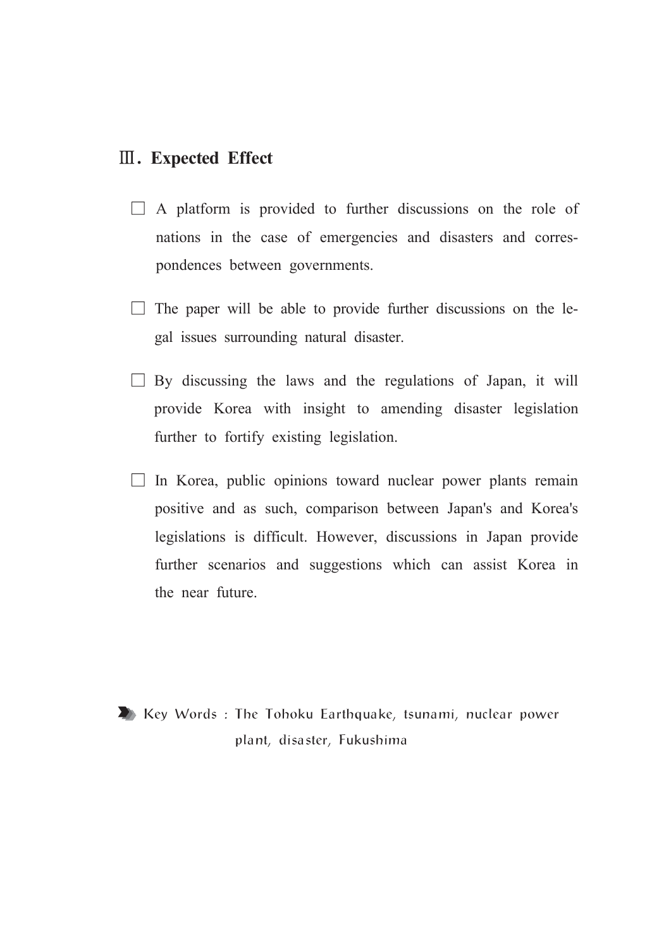## **III.** Expected Effect

- $\Box$  A platform is provided to further discussions on the role of nations in the case of emergencies and disasters and correspondences between governments.
- $\Box$  The paper will be able to provide further discussions on the legal issues surrounding natural disaster.
- $\Box$  By discussing the laws and the regulations of Japan, it will provide Korea with insight to amending disaster legislation further to fortify existing legislation.
- $\Box$  In Korea, public opinions toward nuclear power plants remain positive and as such, comparison between Japan's and Korea's legislations is difficult. However, discussions in Japan provide further scenarios and suggestions which can assist Korea in the near future.

 $\blacktriangleright$  Key Words: The Tohoku Earthquake, tsunami, nuclear power plant, disaster, Fukushima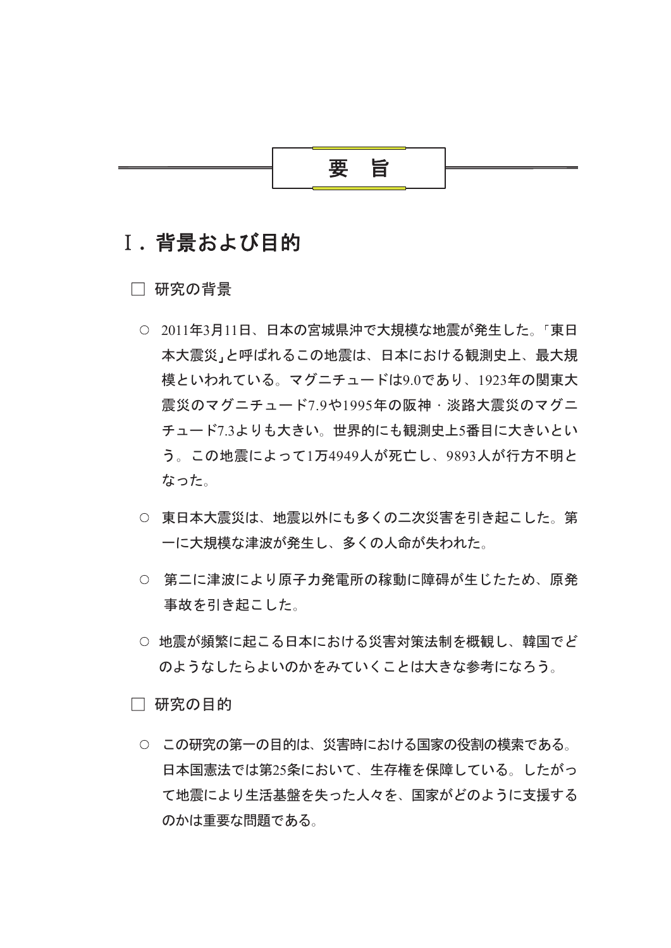## 要旨

## T. 背景および目的

□ 研究の背景

- 2011年3月11日、日本の宮城県沖で大規模な地震が発生した。「東日 本大震災」と呼ばれるこの地震は、日本における観測史上、最大規 模といわれている。マグニチュードは9.0であり、1923年の関東大 震災のマグニチュード7.9や1995年の阪神·淡路大震災のマグニ チュード7.3よりも大きい。世界的にも観測史上5番目に大きいとい う。この地震によって1万4949人が死亡し、9893人が行方不明と なった。
- 東日本大震災は、地震以外にも多くの二次災害を引き起こした。第 一に大規模な津波が発生し、多くの人命が失われた。
- 第二に津波により原子力発電所の稼動に障碍が生じたため、原発 事故を引き起こした。
- 地震が頻繁に起こる日本における災害対策法制を概観し、韓国でど のようなしたらよいのかをみていくことは大きな参考になろう。

□ 研究の目的

○ この研究の第一の目的は、災害時における国家の役割の模索である。 日本国憲法では第25条において、生存権を保障している。したがっ て地震により生活基盤を失った人々を、国家がどのように支援する のかは重要な問題である。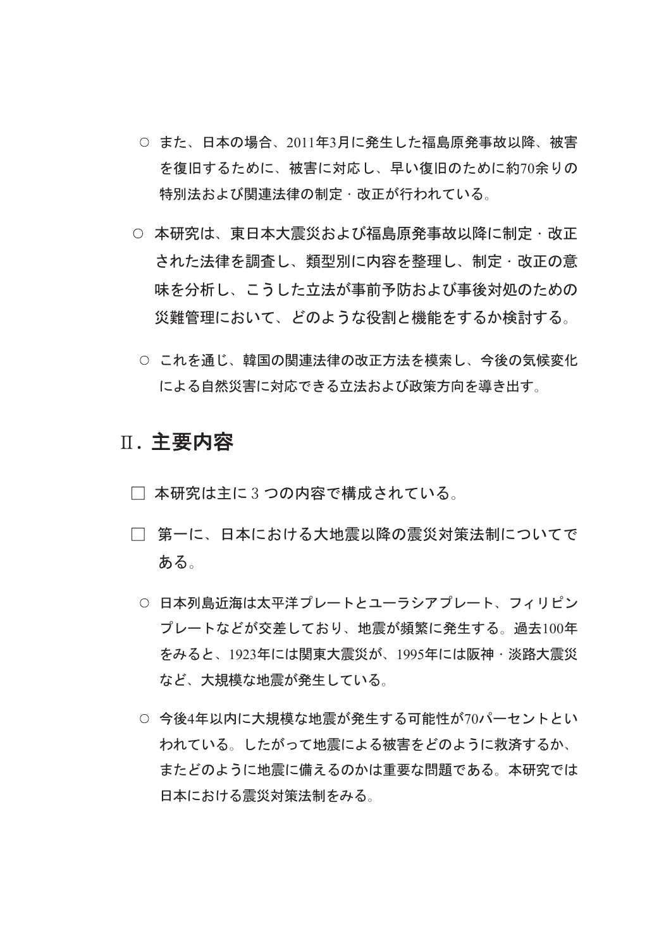- また、日本の場合、2011年3月に発生した福島原発事故以降、被害 を復旧するために、被害に対応し、早い復旧のために約70余りの 特別法および関連法律の制定・改正が行われている。
- 本研究は、東日本大震災および福島原発事故以降に制定・改正 された法律を調査し、類型別に内容を整理し、制定・改正の意 味を分析し、こうした立法が事前予防および事後対処のための 災難管理において、どのような役割と機能をするか検討する。
- これを通じ、韓国の関連法律の改正方法を模索し、今後の気候変化 による自然災害に対応できる立法および政策方向を導き出す。

## Ⅱ. 主要内容

- □ 本研究は主に3つの内容で構成されている。
- □ 第一に、日本における大地震以降の震災対策法制についてで ある。
	- 日本列島近海は太平洋プレートとユーラシアプレート、フィリピン プレートなどが交差しており、地震が頻繁に発生する。過去100年 をみると、1923年には関東大震災が、1995年には阪神・淡路大震災 など、大規模な地震が発生している。
	- 今後4年以内に大規模な地震が発生する可能性が70パーセントとい われている。したがって地震による被害をどのように救済するか、 またどのように地震に備えるのかは重要な問題である。本研究では 日本における震災対策法制をみる。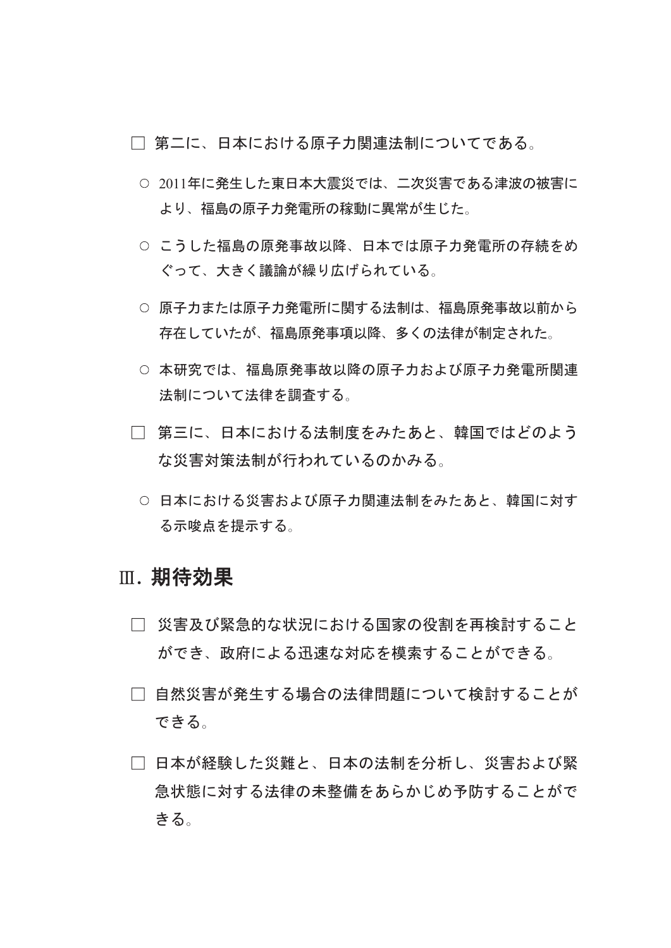□ 第二に、日本における原子力関連法制についてである。

- 2011年に発生した東日本大震災では、二次災害である津波の被害に より、福島の原子力発電所の稼動に異常が生じた。
- こうした福島の原発事故以降、日本では原子力発雷所の存続をめ ぐって、大きく議論が繰り広げられている。
- 原子力または原子力発電所に関する法制は、福島原発事故以前から 存在していたが、福島原発事項以降、多くの法律が制定された。
- 本研究では、福島原発事故以降の原子力および原子力発電所関連 法制について法律を調査する。
- □ 第三に、日本における法制度をみたあと、韓国ではどのよう な災害対策法制が行われているのかみる。
	- 日本における災害および原子力関連法制をみたあと、韓国に対す る示唆点を提示する。

## Ⅲ. 期待効果

- □ 災害及び緊急的な状況における国家の役割を再検討すること ができ、政府による迅速な対応を模索することができる。
- □ 自然災害が発生する場合の法律問題について検討することが できる。
- □ 日本が経験した災難と、日本の法制を分析し、災害および緊 急状態に対する法律の未整備をあらかじめ予防することがで きる。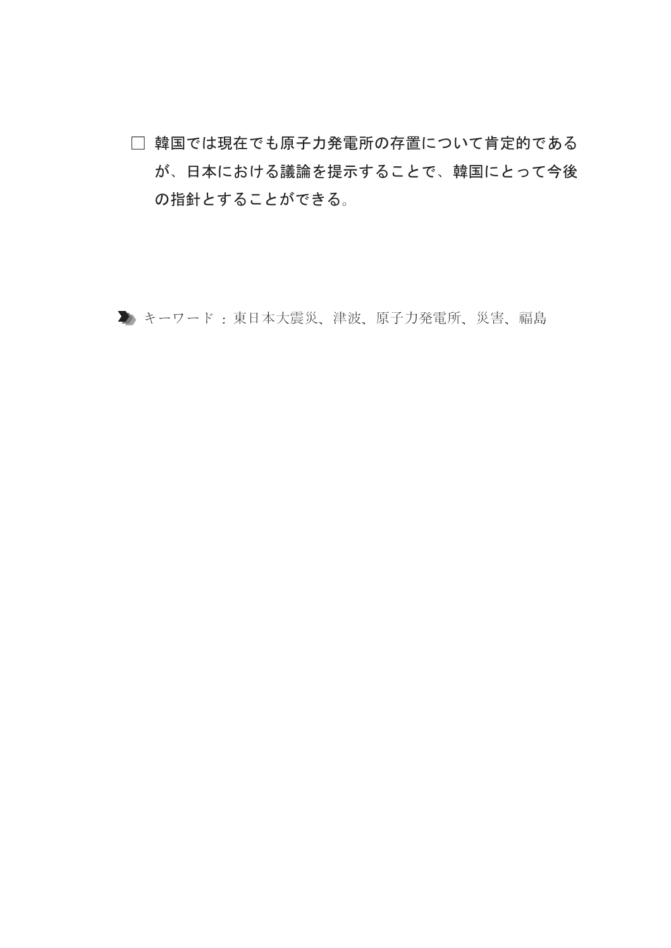□ 韓国では現在でも原子力発電所の存置について肯定的である が、日本における議論を提示することで、韓国にとって今後 の指針とすることができる。

■ キーワード: 東日本大震災、津波、原子力発電所、災害、福島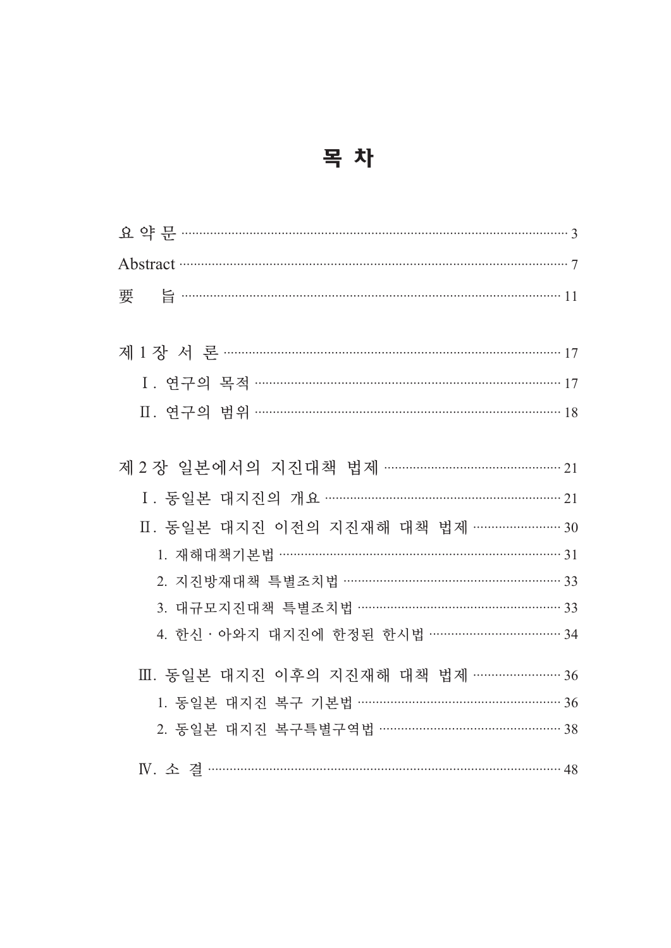| Abstract 37                             |  |
|-----------------------------------------|--|
| 要                                       |  |
|                                         |  |
|                                         |  |
|                                         |  |
|                                         |  |
|                                         |  |
| 제 2 장 일본에서의 지진대책 법제 ……………………………………… 21  |  |
|                                         |  |
| Ⅱ. 동일본 대지진 이전의 지진재해 대책 법제 …………………… 30   |  |
| 1. 재해대책기본법 ………………………………………………………………… 31 |  |
| 2. 지진방재대책 특별조치법 ……………………………………………… 33   |  |
| 3. 대규모지진대책 특별조치법 …………………………………………… 33   |  |
| 4. 한신 · 아와지 대지진에 한정된 한시법 …………………………… 34 |  |
| Ⅲ. 동일본 대지진 이후의 지진재해 대책 법제 …………………… 36   |  |
| 1. 동일본 대지진 복구 기본법 ……………………………………………… 36 |  |
| 2. 동일본 대지진 복구특별구역법 ………………………………………… 38  |  |
|                                         |  |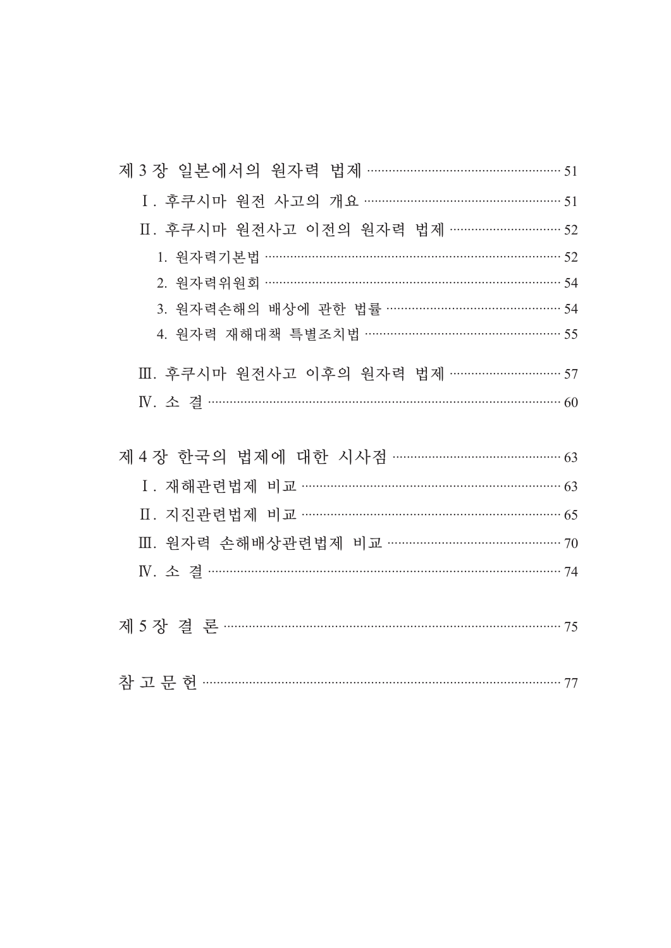| 제 3 장 일본에서의 원자력 법제 …………………………………………… 51 |  |
|-----------------------------------------|--|
|                                         |  |
| Ⅱ. 후쿠시마 원전사고 이전의 원자력 법제 ………………………… 52   |  |
|                                         |  |
| 2. 원자력위원회 ………………………………………………………………… 54  |  |
| 3. 원자력손해의 배상에 관한 법률 ……………………………………… 54  |  |
| 4. 원자력 재해대책 특별조치법 …………………………………………… 55  |  |
| Ⅲ. 후쿠시마 원전사고 이후의 원자력 법제 ………………………… 57   |  |
|                                         |  |

| 제 4 장 한국의 법제에 대한 시사점 ……………………………………… 63 |  |
|-----------------------------------------|--|
| I. 재해관련법제 비교 ………………………………………………………… 63  |  |
| Ⅱ. 지진관련법제 비교 …………………………………………………………… 65 |  |
| Ⅲ. 원자력 손해배상관련법제 비교 ………………………………………… 70  |  |
|                                         |  |
|                                         |  |
|                                         |  |

|--|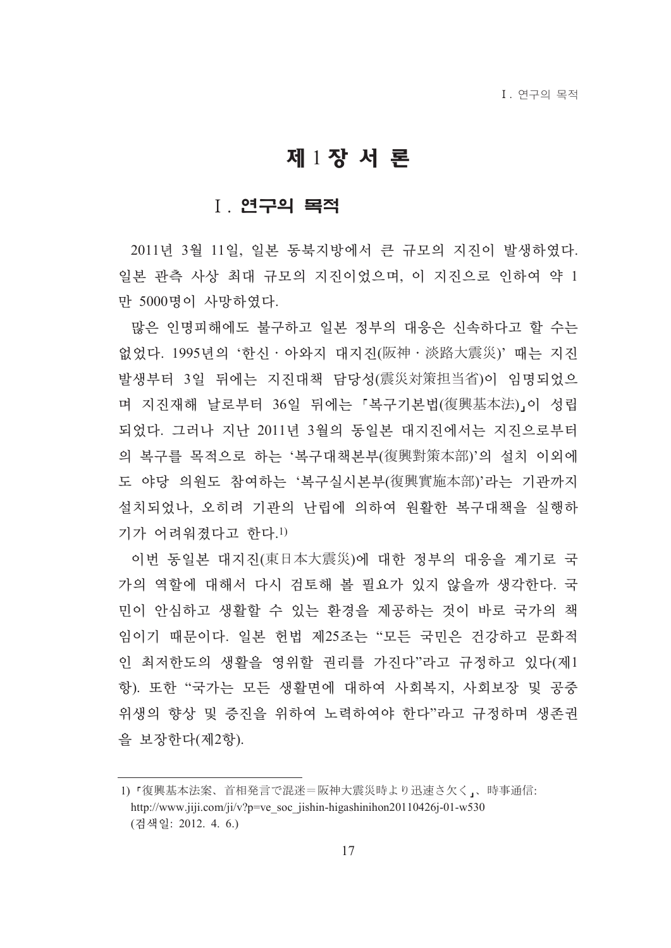## 제 1 장 서 론

### **I** 연구의 목적

2011년 3월 11일, 일본 동북지방에서 큰 규모의 지진이 발생하였다. 일본 관측 사상 최대 규모의 지진이었으며, 이 지진으로 인하여 약 1 만 5000명이 사망하였다.

많은 인명피해에도 불구하고 일본 정부의 대응은 신속하다고 할 수는 없었다. 1995년의 '한신·아와지 대지진(阪神·淡路大震災)' 때는 지진 발생부터 3일 뒤에는 지진대책 담당성(震災対策担当省)이 임명되었으 며 지진재해 날로부터 36일 뒤에는 「복구기본법(復興基本法)」이 성립 되었다. 그러나 지난 2011년 3월의 동일본 대지진에서는 지진으로부터 의 복구를 목적으로 하는 '복구대책본부(復興對策本部)'의 설치 이외에 도 야당 의원도 참여하는 '복구실시본부(復興實施本部)'라는 기관까지 설치되었나, 오히려 기관의 난립에 의하여 원활한 복구대책을 실행하 기가 어려워졌다고 한다.1)

이번 동일본 대지진(東日本大震災)에 대한 정부의 대응을 계기로 국 가의 역할에 대해서 다시 검토해 볼 필요가 있지 않을까 생각한다. 국 민이 안심하고 생활할 수 있는 환경을 제공하는 것이 바로 국가의 책 임이기 때문이다. 일본 헌법 제25조는 "모든 국민은 건강하고 문화적 인 최저한도의 생활을 영위할 권리를 가진다"라고 규정하고 있다(제1 항). 또한 "국가는 모든 생활면에 대하여 사회복지, 사회보장 및 공중 위생의 향상 및 증진을 위하여 노력하여야 한다"라고 규정하며 생존권 을 보장한다(제2항).

<sup>1)「</sup>復興基本法案、首相発言で混迷=阪神大震災時より迅速さ欠く」、時事通信: http://www.jiji.com/ji/v?p=ve soc jishin-higashinihon20110426j-01-w530 (검색일: 2012. 4. 6.)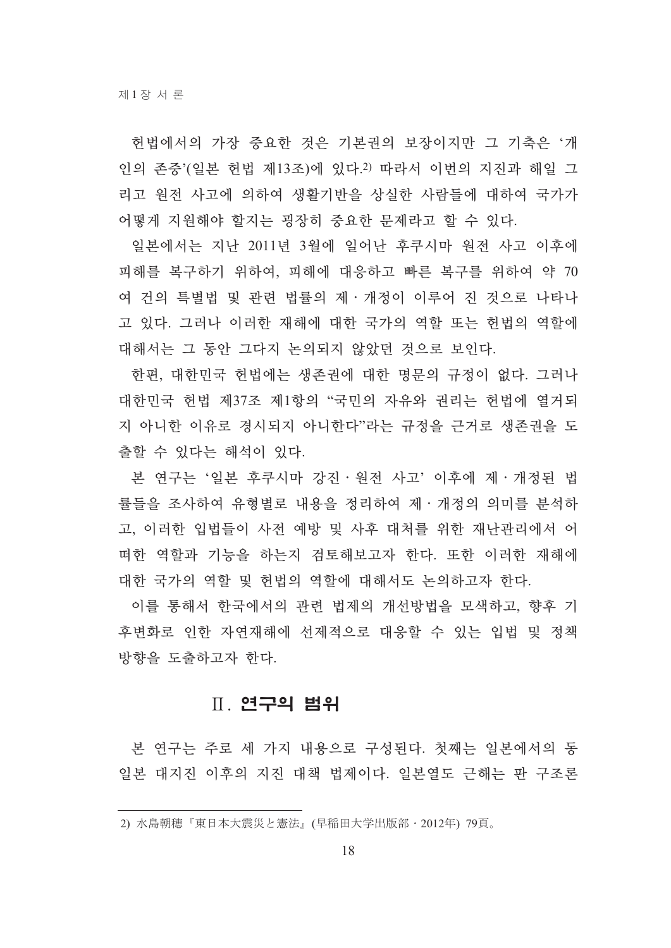헌법에서의 가장 중요한 것은 기본권의 보장이지만 그 기축은 '개 인의 존중'(일본 헌법 제13조)에 있다.2) 따라서 이번의 지진과 해일 그 리고 워전 사고에 의하여 생활기반을 상실한 사람들에 대하여 국가가 어떻게 지원해야 할지는 굉장히 중요한 문제라고 할 수 있다.

일본에서는 지난 2011년 3월에 일어난 후쿠시마 원전 사고 이후에 피해를 복구하기 위하여, 피해에 대응하고 빠른 복구를 위하여 약 70 여 건의 특별법 및 관련 법률의 제·개정이 이루어 진 것으로 나타나 고 있다. 그러나 이러한 재해에 대한 국가의 역할 또는 헌법의 역할에 대해서는 그 동안 그다지 논의되지 않았던 것으로 보인다.

한편, 대한민국 헌법에는 생존권에 대한 명문의 규정이 없다. 그러나 대한민국 헌법 제37조 제1항의 "국민의 자유와 권리는 헌법에 열거되 지 아니하 이유로 경시되지 아니하다"라는 규정을 근거로 생존권을 도 출할 수 있다는 해석이 있다.

본 연구는 '일본 후쿠시마 강진·원전 사고' 이후에 제·개정된 법 률들을 조사하여 유형별로 내용을 정리하여 제 · 개정의 의미를 분석하 고, 이러한 입법들이 사전 예방 및 사후 대처를 위한 재난관리에서 어 떠한 역할과 기능을 하는지 검토해보고자 한다. 또한 이러한 재해에 대한 국가의 역할 및 헌법의 역할에 대해서도 논의하고자 한다.

이를 통해서 한국에서의 관련 법제의 개선방법을 모색하고, 향후 기 후변화로 인한 자연재해에 선제적으로 대응할 수 있는 입법 및 정책 방향을 도출하고자 한다.

## Ⅱ. 연구의 범위

본 연구는 주로 세 가지 내용으로 구성된다. 첫째는 일본에서의 동 일본 대지진 이후의 지진 대책 법제이다. 일본열도 근해는 판 구조론

<sup>2)</sup> 水島朝穂『東日本大震災と憲法』(早稲田大学出版部・2012年) 79頁。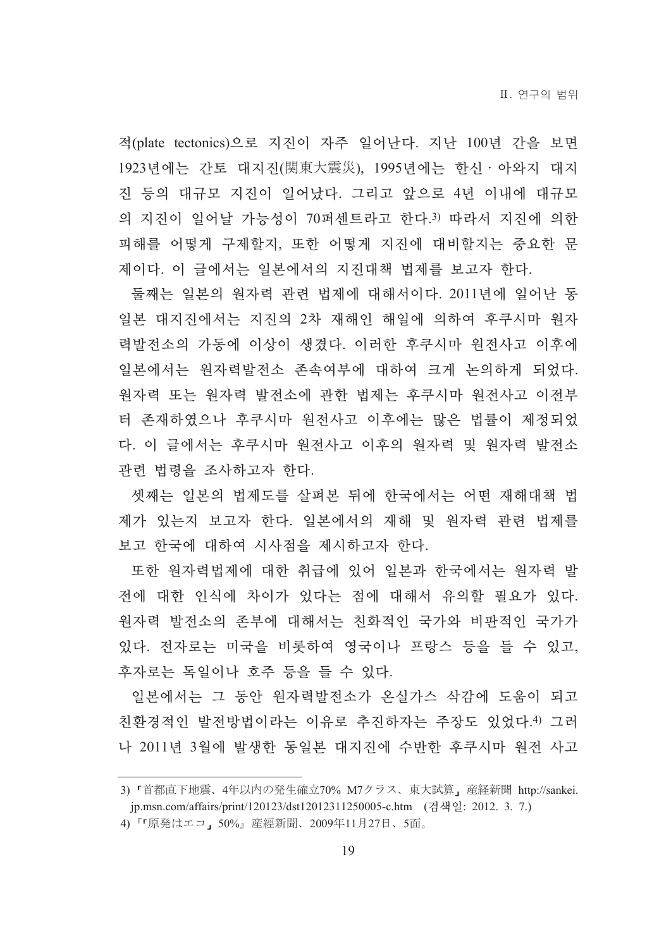적(plate tectonics)으로 지진이 자주 일어난다. 지난 100년 간을 보면 1923년에는 간토 대지진(関東大震災), 1995년에는 한신·아와지 대지 진 등의 대규모 지진이 일어났다. 그리고 앞으로 4년 이내에 대규모 의 지진이 일어날 가능성이 70퍼센트라고 한다.3) 따라서 지진에 의한 피해를 어떻게 구제할지, 또한 어떻게 지진에 대비할지는 중요한 문 제이다. 이 글에서는 일본에서의 지진대책 법제를 보고자 한다.

둘째는 일본의 원자력 관련 법제에 대해서이다. 2011년에 일어난 동 일본 대지진에서는 지진의 2차 재해인 해일에 의하여 후쿠시마 원자 력발전소의 가동에 이상이 생겼다. 이러한 후쿠시마 원전사고 이후에 일본에서는 원자력발전소 존속여부에 대하여 크게 논의하게 되었다. 원자력 또는 원자력 발전소에 관한 법제는 후쿠시마 원전사고 이전부 터 존재하였으나 후쿠시마 원전사고 이후에는 많은 법률이 제정되었 다. 이 글에서는 후쿠시마 원전사고 이후의 원자력 및 원자력 발전소 관련 법령을 조사하고자 한다.

셋째는 일본의 법제도를 살펴본 뒤에 한국에서는 어떤 재해대책 법 제가 있는지 보고자 한다. 일본에서의 재해 및 원자력 관련 법제를 보고 한국에 대하여 시사점을 제시하고자 한다.

또한 원자력법제에 대한 취급에 있어 일본과 한국에서는 원자력 발 전에 대한 인식에 차이가 있다는 점에 대해서 유의할 필요가 있다. 워자력 발전소의 존부에 대해서는 친화적인 국가와 비판적인 국가가 있다. 전자로는 미국을 비롯하여 영국이나 프랑스 등을 들 수 있고, 후자로는 독일이나 호주 등을 들 수 있다.

일본에서는 그 동안 워자력발전소가 온실가스 삭감에 도움이 되고 친환경적인 발전방법이라는 이유로 추진하자는 주장도 있었다.4) 그러 나 2011년 3월에 발생한 동일본 대지진에 수반한 후쿠시마 원전 사고

<sup>3)「</sup>首都直下地震、4年以内の発生確立70% M7クラス、東大試算」産経新聞 http://sankei. ip.msn.com/affairs/print/120123/dst12012311250005-c.htm (검색일: 2012. 3. 7.)

<sup>4)『「</sup>原発はエコ」50%』産經新聞、2009年11月27日、5面。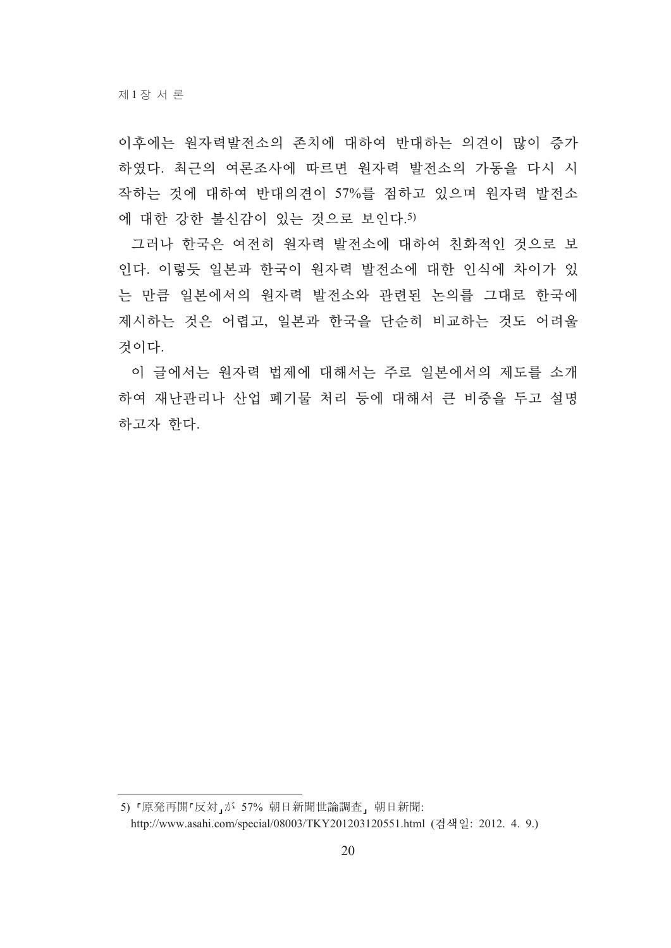이후에는 원자력발전소의 존치에 대하여 반대하는 의견이 많이 증가 하였다. 최근의 여론조사에 따르면 원자력 발전소의 가동을 다시 시 작하는 것에 대하여 반대의견이 57%를 점하고 있으며 원자력 발전소 에 대한 강한 불신감이 있는 것으로 보인다.5)

그러나 한국은 여전히 워자력 발전소에 대하여 친화적인 것으로 보 인다. 이렇듯 일본과 한국이 원자력 발전소에 대한 인식에 차이가 있 는 만큼 일본에서의 워자력 발전소와 관련된 논의를 그대로 한국에 제시하는 것은 어렵고, 일본과 한국을 단순히 비교하는 것도 어려울 것이다.

이 글에서는 원자력 법제에 대해서는 주로 일본에서의 제도를 소개 하여 재난관리나 산업 폐기물 처리 등에 대해서 큰 비중을 두고 설명 하고자 한다.

<sup>5)「</sup>原発再開「反対」が 57% 朝日新聞世論調査」朝日新聞:

http://www.asahi.com/special/08003/TKY201203120551.html (검색일: 2012. 4. 9.)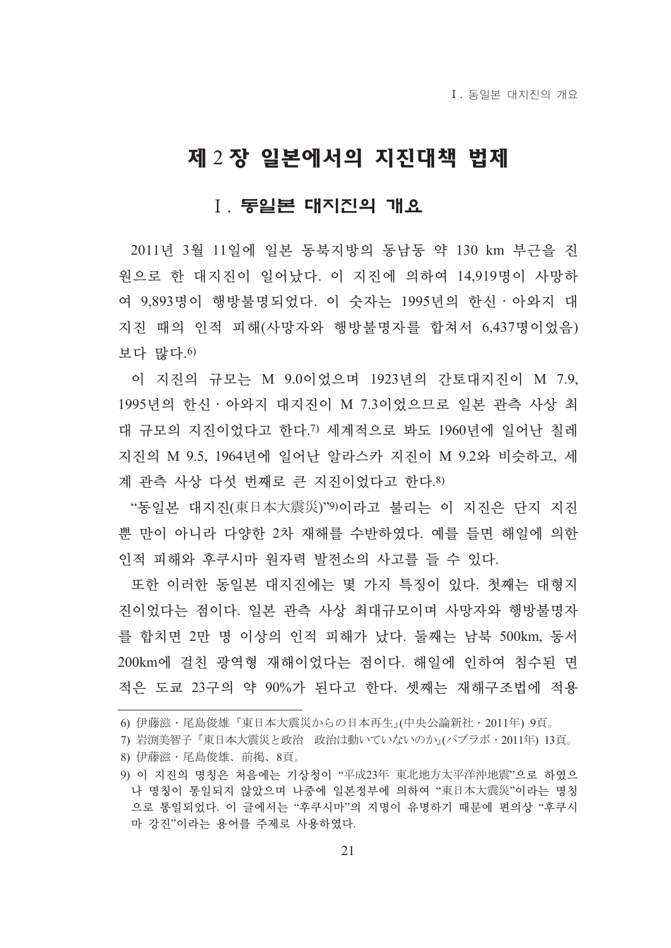## 제 2 장 일본에서의 지진대책 법제

#### Ⅰ 동일본 대지진의 개요

2011년 3월 11일에 일본 동북지방의 동남동 약 130 km 부근을 진 원으로 한 대지진이 일어났다. 이 지진에 의하여 14,919명이 사망하 여 9.893명이 행방불명되었다. 이 숫자는 1995년의 한신 아와지 대 지진 때의 인적 피해(사망자와 행방불명자를 합쳐서 6,437명이었음) 보다 많다.6)

이 지진의 규모는 M 9.0이었으며 1923년의 간토대지진이 M 7.9, 1995년의 한신 · 아와지 대지진이 M 7.3이었으므로 일본 관측 사상 최 대 규모의 지진이었다고 한다.7) 세계적으로 봐도 1960년에 일어난 칠레 지진의 M 9.5, 1964년에 일어난 알라스카 지진이 M 9.2와 비슷하고, 세 계 관측 사상 다섯 번째로 큰 지진이었다고 한다.8)

"동일본 대지진(東日本大震災)"9)이라고 불리는 이 지진은 단지 지진 뿐 만이 아니라 다양한 2차 재해를 수반하였다. 예를 들면 해일에 의한 인적 피해와 후쿠시마 원자력 발전소의 사고를 들 수 있다.

또한 이러한 동일본 대지진에는 몇 가지 특징이 있다. 첫째는 대형지 진이었다는 점이다. 일본 관측 사상 최대규모이며 사망자와 행방불명자 를 합치면 2만 명 이상의 인적 피해가 났다. 둘째는 남북 500km, 동서 200km에 걸치 광역형 재해이었다는 점이다. 해일에 이하여 침수되 며 적은 도쿄 23구의 약 90%가 되다고 하다. 셋째는 재해구조법에 적용

<sup>6)</sup> 伊藤滋・尾島俊雄『東日本大震災からの日本再生』(中央公論新社・2011年) 9頁。

<sup>7)</sup> 岩渕美智子『東日本大震災と政治 政治は動いていないのか』(パブラボ・2011年) 13頁。

<sup>8)</sup> 伊藤滋·尾島俊雄、前掲、8頁。

<sup>9)</sup> 이 지지의 명칭은 처음에는 기상첫이 "平成23年 東北地方太平洋沖地震"으로 하였으 나 명칭이 통일되지 않았으며 나중에 일본정부에 의하여 "東日本大震災"이라는 명칭 으로 통일되었다. 이 글에서는 "후쿠시마"의 지명이 유명하기 때문에 편의상 "후쿠시 마 강진"이라는 용어를 주제로 사용하였다.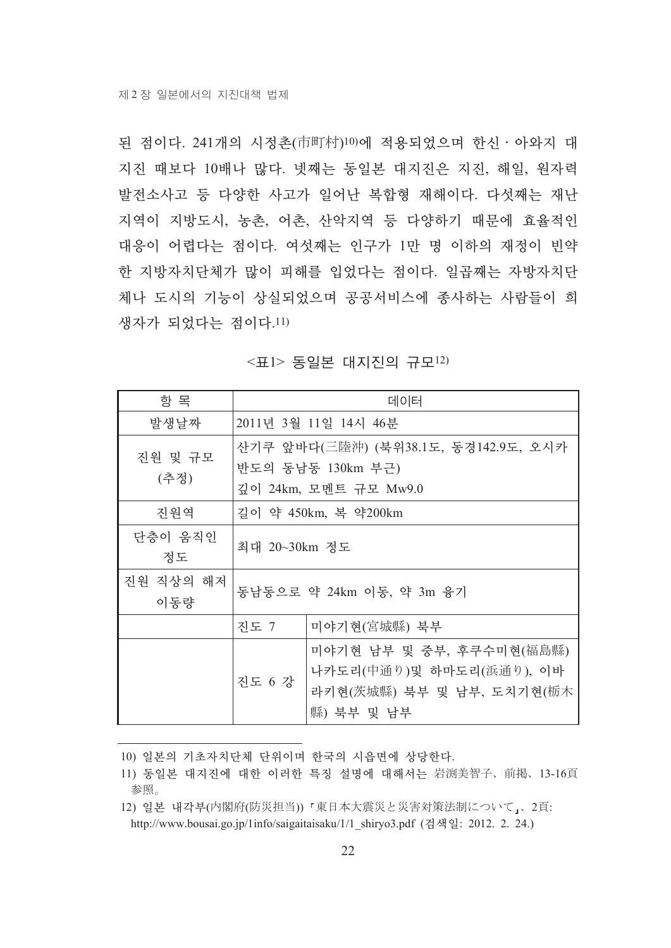된 점이다. 241개의 시정촌(市町村)10)에 적용되었으며 하시 · 아와지 대 지진 때보다 10배나 많다. 넷째는 동일본 대지진은 지진, 해일, 원자력 발전소사고 등 다양한 사고가 일어난 복합형 재해이다. 다섯째는 재난 지역이 지방도시, 농촌, 어촌, 산악지역 등 다양하기 때문에 효율적인 대응이 어렵다는 점이다. 여섯째는 인구가 1만 명 이하의 재정이 빈약 한 지방자치단체가 많이 피해를 입었다는 점이다. 일곱째는 자방자치단 체나 도시의 기능이 상실되었으며 공공서비스에 종사하는 사람들이 희 생자가 되었다는 점이다.11)

|  |  | $\leq$ 표 $1$ > 동일본 대지진의 규모 $12$ ) |  |
|--|--|-----------------------------------|--|
|--|--|-----------------------------------|--|

| 항 목              | 데이터                                                                                |                                                                                                 |
|------------------|------------------------------------------------------------------------------------|-------------------------------------------------------------------------------------------------|
| 발생날짜             |                                                                                    | 2011년 3월 11일 14시 46분                                                                            |
| 진원 및 규모<br>(추정)  | 산기쿠 앞바다(三陸沖) (북위38.1도, 동경142.9도, 오시카<br>반도의 동남동 130km 부근)<br>깊이 24km, 모멘트 규모 Mw9.0 |                                                                                                 |
| 진원역              | 길이 약 450km, 복 약200km                                                               |                                                                                                 |
| 단층이 움직인<br>정도    | 최대 20~30km 정도                                                                      |                                                                                                 |
| 진원 직상의 해저<br>이동량 | 동남동으로 약 24km 이동, 약 3m 융기                                                           |                                                                                                 |
|                  | 진도 7                                                                               | 미야기현(宮城縣) 북부                                                                                    |
|                  | 진도 6 강                                                                             | 미야기현 남부 및 중부, 후쿠수미현(福島縣)<br>나카도리(中通り)및 하마도리(浜通り), 이바<br>라키현(茨城縣) 북부 및 남부, 도치기현(栃木<br>縣) 북부 및 남부 |

10) 일본의 기초자치단체 단위이며 한국의 시읍면에 상당한다.

<sup>11)</sup> 동일본 대지지에 대한 이러한 특징 설명에 대해서는 岩渕美智子、前掲、13-16頁 参照。

<sup>12)</sup> 일본 내각부(内閣府(防災担当))「東日本大震災と災害対策法制について」、2頁: http://www.bousai.go.jp/1info/saigaitaisaku/1/1 shiryo3.pdf (검색일: 2012. 2. 24.)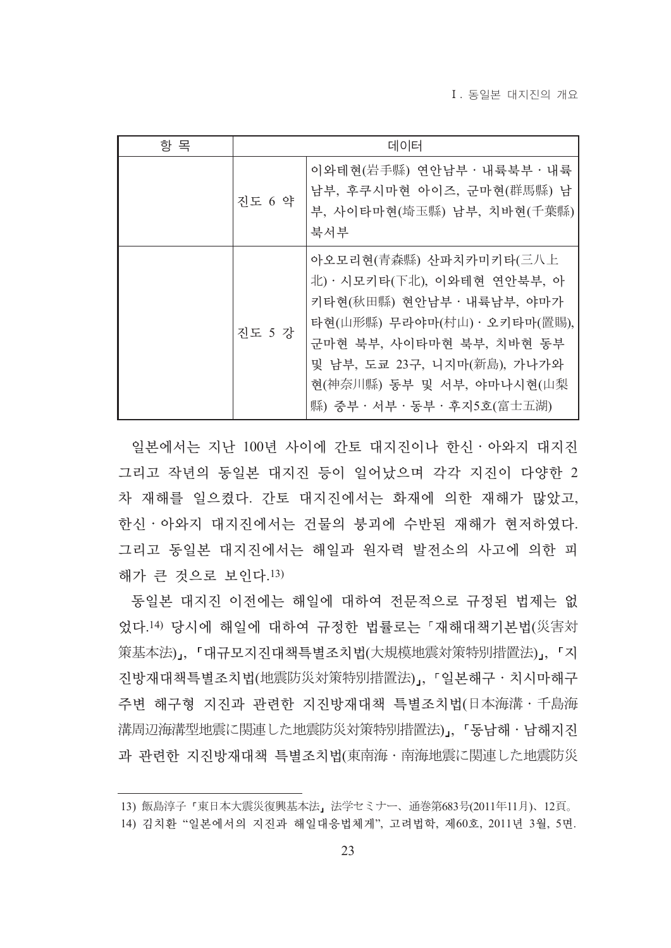| 항 목 | 데이터    |                                                                                                                                                                                                                                      |
|-----|--------|--------------------------------------------------------------------------------------------------------------------------------------------------------------------------------------------------------------------------------------|
|     | 진도 6 약 | 이와테현(岩手縣) 연안남부 · 내륙북부 · 내륙<br>남부, 후쿠시마현 아이즈, 군마현(群馬縣) 남<br>부, 사이타마현(埼玉縣) 남부, 치바현(千葉縣)<br>북서부                                                                                                                                         |
|     | 진도 5 강 | 아오모리현(青森縣) 산파치카미키타(三八上<br>北) · 시모키타(下北), 이와테현 연안북부, 아<br>키타현(秋田縣) 현안남부 · 내륙남부, 야마가<br>타현(山形縣) 무라야마(村山) · 오키타마(置賜),<br>군마현 북부, 사이타마현 북부, 치바현 동부<br>및 남부, 도쿄 23구, 니지마(新島), 가나가와<br>현(神奈川縣) 동부 및 서부, 야마나시현(山梨<br>縣) 중부・서부・동부・후지5호(富士五湖) |

일본에서는 지난 100년 사이에 간토 대지진이나 한신 · 아와지 대지진 그리고 작년의 동일본 대지진 등이 일어났으며 각각 지진이 다양한 2 차 재해를 일으켰다. 간토 대지진에서는 화재에 의한 재해가 많았고, 한신 · 아와지 대지진에서는 건물의 붕괴에 수반된 재해가 현저하였다. 그리고 동일본 대지진에서는 해일과 원자력 발전소의 사고에 의한 피 해가 큰 것으로 보인다.13)

동일본 대지진 이전에는 해일에 대하여 전문적으로 규정된 법제는 없 었다.14) 당시에 해일에 대하여 규정한 법률로는 「재해대책기본법(災害対 策基本法)」、「대규모지진대책특별조치법(大規模地震対策特別措置法)」、「지 진방재대책특별조치법(地震防災対策特別措置法)」、「일본해구·치시마해구 주변 해구형 지진과 관련한 지진방재대책 특별조치법(日本海溝・千島海 溝周辺海溝型地震に関連した地震防災対策特別措置法)」、「동남해・남해지진 과 관련한 지진방재대책 특별조치법(東南海・南海地震に関連した地震防災

<sup>13)</sup> 飯島淳子「東日本大震災復興基本法」法学セミナー、通巻第683号(2011年11月)、12頁。

<sup>14)</sup> 김치환 "일본에서의 지진과 해일대응법체게", 고려법학, 제60호, 2011년 3월, 5면.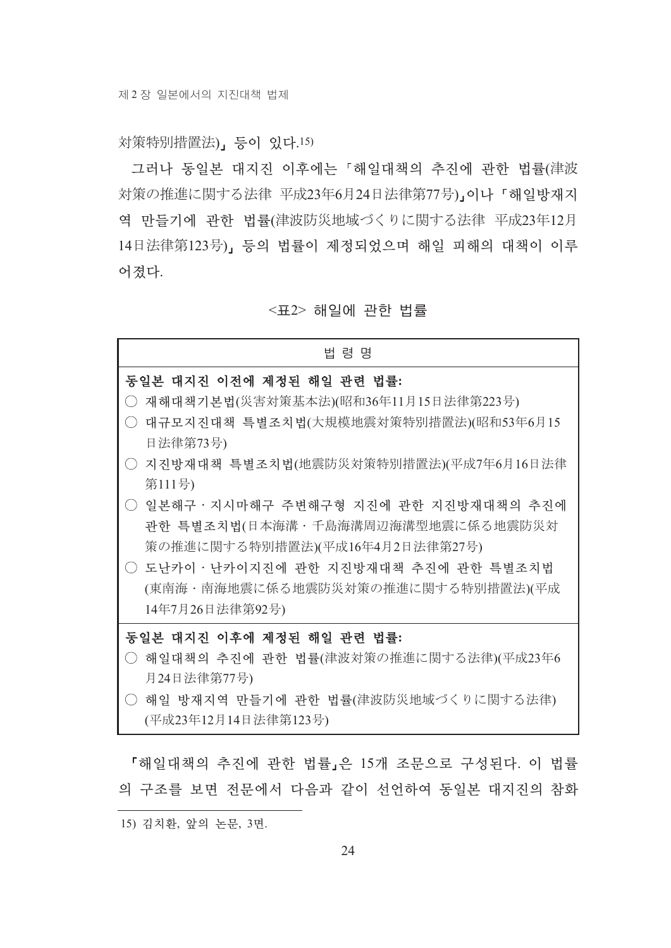#### 対策特別措置法)」 등이 있다.15)

그러나 동일본 대지진 이후에는 「해일대책의 추진에 관한 법률(津波 対策の推進に関する法律 平成23年6月24日法律第77号), 이나「해일방재지 역 만들기에 관한 법률(津波防災地域づくりに関する法律 平成23年12月 14日法律第123号), 등의 법률이 제정되었으며 해일 피해의 대책이 이루 어졌다.

<표2> 해일에 관한 법률

|        | 법 령 명                                   |
|--------|-----------------------------------------|
|        | 동일본 대지진 이전에 제정된 해일 관련 법률:               |
| $(\ )$ | 재해대책기본법(災害対策基本法)(昭和36年11月15日法律第223号)    |
|        | 대규모지진대책 특별조치법(大規模地震対策特別措置法)(昭和53年6月15   |
|        | 日法律第73号)                                |
|        | ◯ 지진방재대책 특별조치법(地震防災対策特別措置法)(平成7年6月16日法律 |
|        | 第111号)                                  |
|        | ○ 일본해구ㆍ지시마해구 주변해구형 지진에 관한 지진방재대책의 추진에   |
|        | 관한 특별조치법(日本海溝・千島海溝周辺海溝型地震に係る地震防災対       |
|        | 策の推進に関する特別措置法)(平成16年4月2日法律第27号)         |
|        | ◯ 도난카이·난카이지진에 관한 지진방재대책 추진에 관한 특별조치법    |
|        | (東南海・南海地震に係る地震防災対策の推進に関する特別措置法)(平成      |
|        | 14年7月26日法律第92号)                         |
|        | 동일본 대지진 이후에 제정된 해일 관련 법률:               |
| ( )    | ·해일대책의 추진에 관한 법률(津波対策の推進に関する法律)(平成23年6  |
|        | 月24日法律第77号)                             |
|        | ◯ 해일 방재지역 만들기에 관한 법률(津波防災地域づくりに関する法律)   |
|        | (平成23年12月14日法律第123号)                    |

「해일대책의 추진에 관한 법률」은 15개 조문으로 구성된다. 이 법률 의 구조를 보면 전문에서 다음과 같이 선언하여 동일본 대지진의 참화

<sup>15)</sup> 김치환, 앞의 논문, 3면.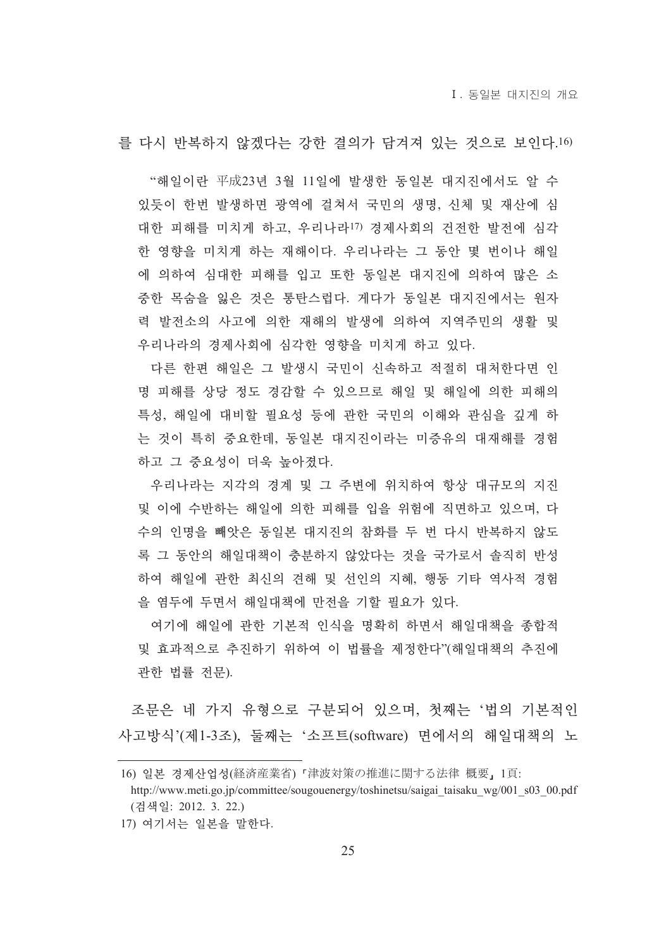를 다시 반복하지 않겠다는 강한 결의가 담겨져 있는 것으로 보인다.16)

"해일이란 平成23년 3월 11일에 발생한 동일본 대지진에서도 알 수 있듯이 한번 발생하면 광역에 걸쳐서 국민의 생명, 신체 및 재사에 심 대한 피해를 미치게 하고, 우리나라17) 경제사회의 건전한 발전에 심각 한 영향을 미치게 하는 재해이다. 우리나라는 그 동안 몇 번이나 해일 에 의하여 심대한 피해를 입고 또한 동일본 대지진에 의하여 많은 소 중한 목숨을 잃은 것은 통탄스럽다. 게다가 동일본 대지진에서는 원자 력 발전소의 사고에 의한 재해의 발생에 의하여 지역주민의 생활 및 우리나라의 경제사회에 심각한 영향을 미치게 하고 있다.

다른 한편 해일은 그 발생시 국민이 신속하고 적절히 대처한다면 인 명 피해를 상당 정도 경감할 수 있으므로 해일 및 해일에 의한 피해의 특성, 해일에 대비할 필요성 등에 관한 국민의 이해와 관심을 깊게 하 는 것이 특히 중요한데, 동일본 대지진이라는 미증유의 대재해를 경험 하고 그 중요성이 더욱 높아졌다.

우리나라는 지각의 경계 및 그 주변에 위치하여 항상 대규모의 지진 및 이에 수반하는 해일에 의한 피해를 입을 위험에 직면하고 있으며, 다 수의 인명을 빼앗은 동일본 대지진의 참화를 두 번 다시 반복하지 않도 록 그 동안의 해일대책이 충분하지 않았다는 것을 국가로서 솔직히 반성 하여 해일에 관한 최신의 견해 및 선인의 지혜, 행동 기타 역사적 경험 을 염두에 두면서 해일대책에 만전을 기할 필요가 있다.

여기에 해일에 관한 기본적 인식을 명확히 하면서 해일대책을 종합적 및 효과적으로 추진하기 위하여 이 법률을 제정한다"(해일대책의 추진에 관한 법률 전문).

조문은 네 가지 유형으로 구분되어 있으며, 첫째는 '법의 기본적인 사고방식'(제1-3조), 둘째는 '소프트(software) 면에서의 해일대책의 노

<sup>16)</sup> 일본 경제사업성(経済産業省)「津波対策の推進に関する法律 概要」1頁:

http://www.meti.go.jp/committee/sougouenergy/toshinetsu/saigai taisaku wg/001 s03 00.pdf (검색일: 2012. 3. 22.)

<sup>17)</sup> 여기서는 일본을 말한다.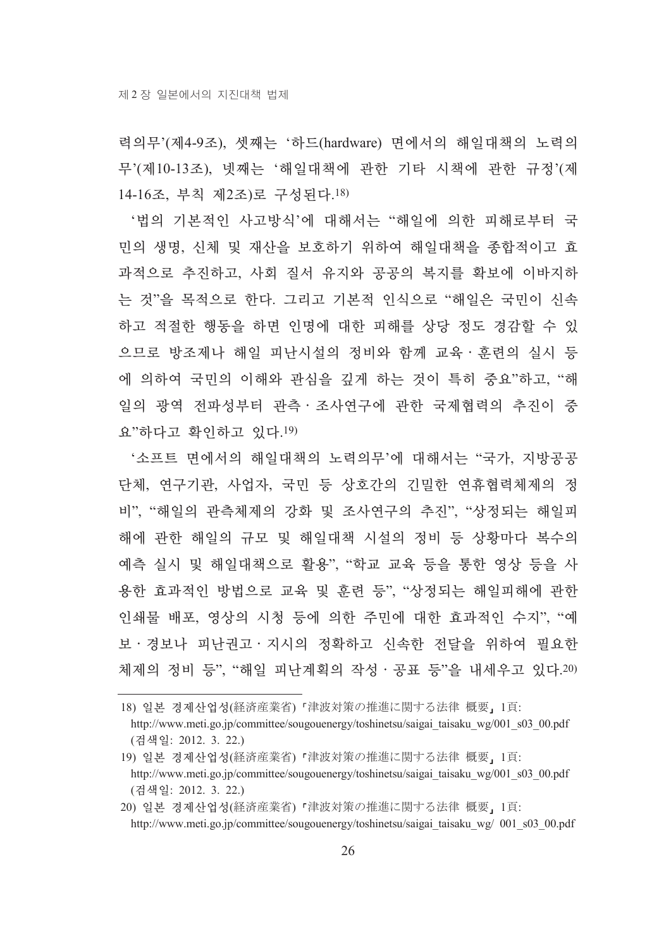력의무'(제4-9조), 셋째는 '하드(hardware) 면에서의 해일대책의 노력의 무'(제10-13조), 넷째는 '해일대책에 관한 기타 시책에 관한 규정'(제 14-16조, 부칙 제2조)로 구성된다.18)

'법의 기본적인 사고방식'에 대해서는 "해일에 의한 피해로부터 국 민의 생명, 신체 및 재산을 보호하기 위하여 해일대책을 종합적이고 효 과적으로 추진하고, 사회 질서 유지와 공공의 복지를 확보에 이바지하 는 것"을 목적으로 한다. 그리고 기본적 인식으로 "해일은 국민이 신속 하고 적절한 행동을 하면 인명에 대한 피해를 상당 정도 경감할 수 있 으므로 방조제나 해일 피난시설의 정비와 함께 교육 · 후련의 실시 등 에 의하여 국민의 이해와 관심을 깊게 하는 것이 특히 중요"하고, "해 일의 광역 전파성부터 관측 · 조사연구에 관한 국제협력의 추진이 중 요"하다고 확인하고 있다.19)

'소프트 면에서의 해일대책의 노력의무'에 대해서는 "국가, 지방공공 단체, 연구기관, 사업자, 국민 등 상호간의 긴밀한 연휴협력체제의 정 비", "해일의 관측체제의 강화 및 조사연구의 추진", "상정되는 해일피 해에 관한 해일의 규모 및 해일대책 시설의 정비 등 상황마다 복수의 예측 실시 및 해일대책으로 활용", "학교 교육 등을 통한 영상 등을 사 용한 효과적인 방법으로 교육 및 훈련 등", "상정되는 해일피해에 관한 인쇄물 배포, 영상의 시청 등에 의한 주민에 대한 효과적인 수지", "예 보·경보나 피난권고·지시의 정확하고 신속한 전달을 위하여 필요한 체제의 정비 등", "해일 피난계획의 작성 · 공표 등"을 내세우고 있다.20)

<sup>18)</sup> 일본 경제산업성(経済産業省)「津波対策の推進に関する法律 概要」1頁: http://www.meti.go.jp/committee/sougouenergy/toshinetsu/saigai taisaku wg/001 s03 00.pdf (검색일: 2012. 3. 22.)

<sup>19)</sup> 일본 경제산업성(経済産業省)『津波対策の推進に関する法律 概要」1頁: http://www.meti.go.jp/committee/sougouenergy/toshinetsu/saigai taisaku wg/001 s03 00.pdf (검색일: 2012. 3. 22.)

<sup>20)</sup> 일본 경제산업성(経済産業省)「津波対策の推進に関する法律 概要」1頁: http://www.meti.go.jp/committee/sougouenergy/toshinetsu/saigai taisaku wg/ 001 s03 00.pdf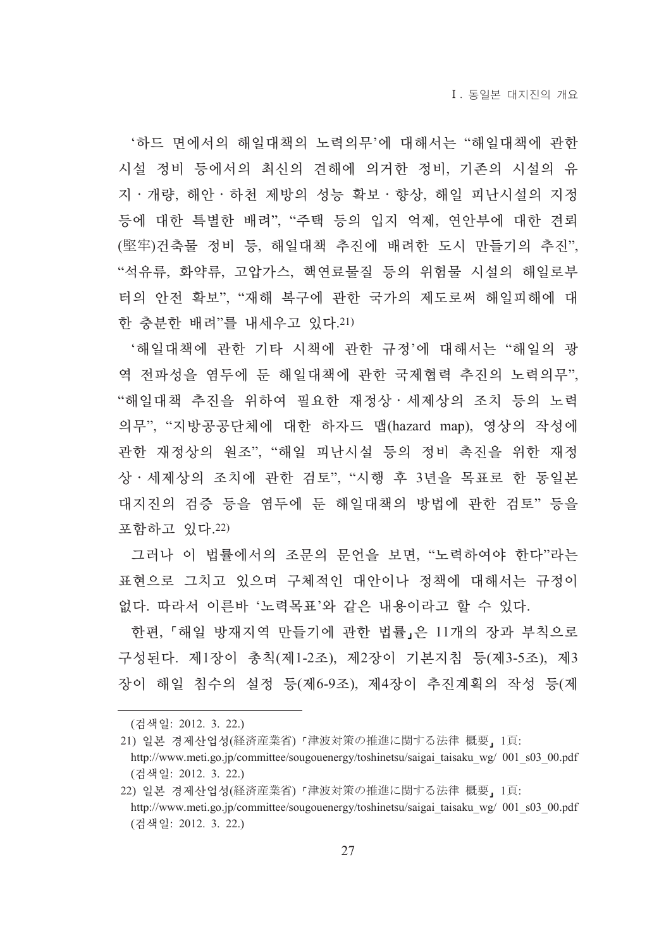'하드 면에서의 해일대책의 노력의무'에 대해서는 "해일대책에 관한 시설 정비 등에서의 최신의 견해에 의거한 정비, 기존의 시설의 유 지·개량, 해안·하천 제방의 성능 확보·향상, 해일 피난시설의 지정 등에 대한 특별한 배려", "주택 등의 입지 억제, 연안부에 대한 견뢰 (堅牢)건축물 정비 등, 해일대책 추진에 배려한 도시 만들기의 추진", "석유류, 화약류, 고압가스, 핵연료물질 등의 위험물 시설의 해일로부 터의 안전 확보", "재해 복구에 관한 국가의 제도로써 해일피해에 대 한 충분한 배려"를 내세우고 있다.21)

'해일대책에 관한 기타 시책에 관한 규정'에 대해서는 "해일의 광 역 전파성을 염두에 둔 해일대책에 관한 국제협력 추진의 노력의무", "해일대책 추진을 위하여 필요한 재정상 ·세제상의 조치 등의 노력 의무". "지방공공단체에 대한 하자드 맵(hazard map), 영상의 작성에 관한 재정상의 워조". "해일 피나시설 등의 정비 촉지을 위한 재정 상 · 세제상의 조치에 관한 검토", "시행 후 3년을 목표로 한 동일본 대지진의 검증 등을 염두에 둔 해일대책의 방법에 관한 검토"등을 포함하고 있다.22)

그러나 이 법률에서의 조문의 문언을 보면, "노력하여야 한다"라는 표현으로 그치고 있으며 구체적인 대안이나 정책에 대해서는 규정이 없다. 따라서 이른바 '노력목표'와 같은 내용이라고 할 수 있다.

한편, 「해일 방재지역 만들기에 관한 법률」은 11개의 장과 부칙으로 구성된다. 제1장이 총칙(제1-2조), 제2장이 기본지침 등(제3-5조), 제3 장이 해일 침수의 설정 등(제6-9조). 제4장이 추진계획의 작성 등(제

<sup>(</sup>검색일: 2012. 3. 22.)

<sup>21)</sup> 일본 경제산업성(経済産業省)「津波対策の推進に関する法律 概要」1頁:

http://www.meti.go.jp/committee/sougouenergy/toshinetsu/saigai taisaku wg/ 001 s03 00.pdf (검색일: 2012. 3. 22.)

<sup>22)</sup> 일본 경제산업성(経済産業省)「津波対策の推進に関する法律 概要」1頁: http://www.meti.go.jp/committee/sougouenergy/toshinetsu/saigai taisaku wg/ 001 s03 00.pdf (검색일: 2012. 3. 22.)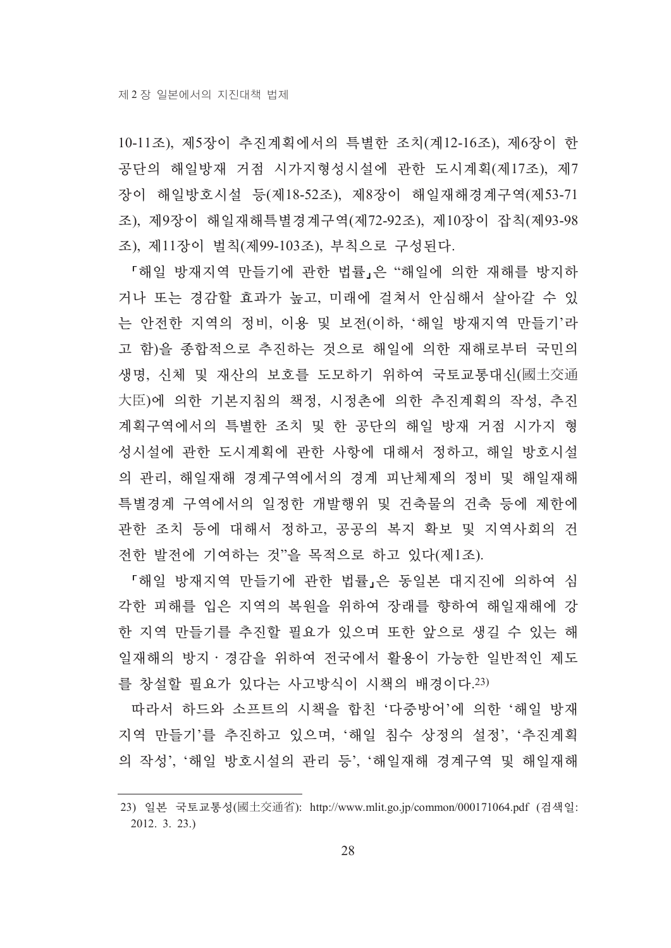10-11조), 제5장이 추진계획에서의 특별한 조치(계12-16조), 제6장이 한 공단의 해일방재 거점 시가지형성시설에 관한 도시계획(제17조), 제7 장이 해일방호시설 등(제18-52조), 제8장이 해일재해경계구역(제53-71 조), 제9장이 해일재해특별경계구역(제72-92조), 제10장이 잡칙(제93-98 조), 제11장이 벌칙(제99-103조), 부칙으로 구성된다.

『해일 방재지역 만들기에 관한 법률」은 "해일에 의한 재해를 방지하 거나 또는 경감할 효과가 높고, 미래에 걸쳐서 안심해서 살아갈 수 있 는 안전한 지역의 정비, 이용 및 보전(이하, '해일 방재지역 만들기'라 고 함)을 종합적으로 추진하는 것으로 해일에 의한 재해로부터 국민의 생명, 신체 및 재산의 보호를 도모하기 위하여 국토교통대신(國土交通 大臣)에 의한 기본지침의 책정, 시정촌에 의한 추진계획의 작성, 추진 계획구역에서의 특별한 조치 및 한 공단의 해일 방재 거점 시가지 형 성시설에 관한 도시계획에 관한 사항에 대해서 정하고, 해일 방호시설 의 관리, 해일재해 경계구역에서의 경계 피난체제의 정비 및 해일재해 특별경계 구역에서의 일정한 개발행위 및 건축물의 건축 등에 제한에 관한 조치 등에 대해서 정하고, 공공의 복지 확보 및 지역사회의 건 전한 발전에 기여하는 것"을 목적으로 하고 있다(제1조).

『해일 방재지역 만들기에 관한 법률』은 동일본 대지진에 의하여 심 각한 피해를 입은 지역의 복원을 위하여 장래를 향하여 해일재해에 강 한 지역 만들기를 추진할 필요가 있으며 또한 앞으로 생길 수 있는 해 일재해의 방지 · 경감을 위하여 전국에서 활용이 가능한 일반적인 제도 를 창설할 필요가 있다는 사고방식이 시책의 배경이다. 23)

따라서 하드와 소프트의 시책을 합친 '다중방어'에 의한 '해일 방재 지역 만들기'를 추진하고 있으며, '해일 침수 상정의 설정', '추진계획 의 작성', '해일 방호시설의 관리 등', '해일재해 경계구역 및 해일재해

<sup>23)</sup> 일본 국토교통성(國土交通省): http://www.mlit.go.jp/common/000171064.pdf (검색일:  $2012.3.23.$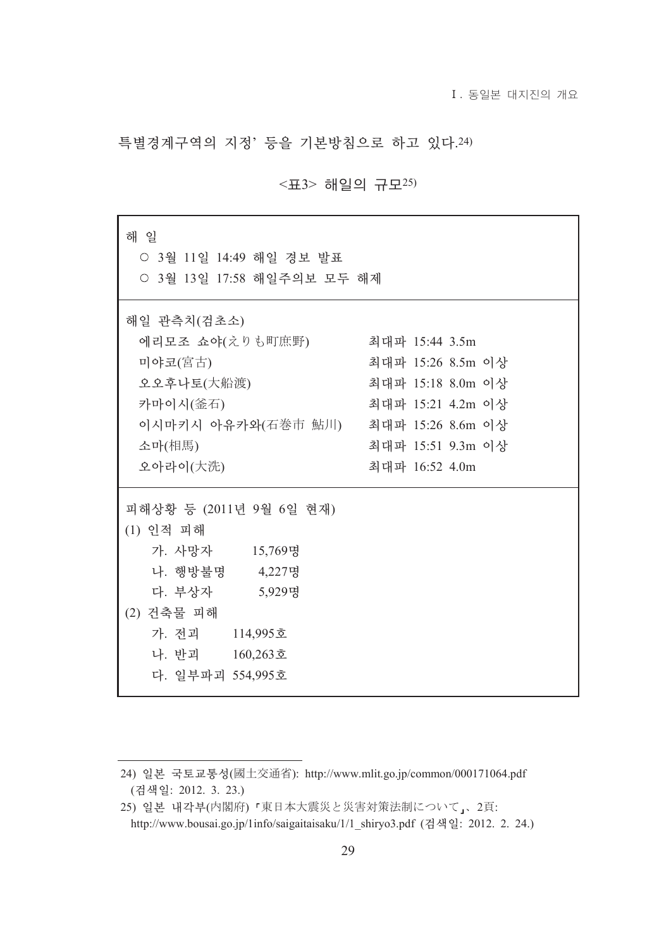특별경계구역의 지정' 등을 기본방침으로 하고 있다.24)

| 해 일<br>○ 3월 11일 14:49 해일 경보 발표<br>○ 3월 13일 17:58 해일주의보 모두 해제                                                                                                    |                                                                                                                      |
|-----------------------------------------------------------------------------------------------------------------------------------------------------------------|----------------------------------------------------------------------------------------------------------------------|
| 해일 관측치(검초소)<br>에리모조 쇼야(えりも町庶野)<br>미야코(宮古)<br>오오후나토(大船渡)<br>카마이시(釜石)<br>이시마키시 아유카와(石巻市 鮎川) - 최대파 15:26 8.6m 이상<br>소마(相馬)<br>오아라이(大洗)                             | 최대파 15:44 3.5m<br>최대파 15:26 8.5m 이상<br>최대파 15:18 8.0m 이상<br>최대파 15:21 4.2m 이상<br>최대파 15:51 9.3m 이상<br>최대파 16:52 4.0m |
| 피해상황 등 (2011년 9월 6일 현재)<br>(1) 인적 피해<br>가. 사망자 15,769명<br>나. 행방불명 4,227명<br>다. 부상자 5,929명<br>(2) 건축물 피해<br>가. 전괴 114,995호<br>나. 반괴 160,263호<br>다. 일부파괴 554,995호 |                                                                                                                      |

<표3> 해일의 규모<sup>25)</sup>

<sup>24)</sup> 일본 국토교통성(國土交通省): http://www.mlit.go.jp/common/000171064.pdf (검색일: 2012. 3. 23.)

<sup>25)</sup> 일본 내각부(内閣府)「東日本大震災と災害対策法制について」、2頁:

http://www.bousai.go.jp/1info/saigaitaisaku/1/1\_shiryo3.pdf (검색일: 2012. 2. 24.)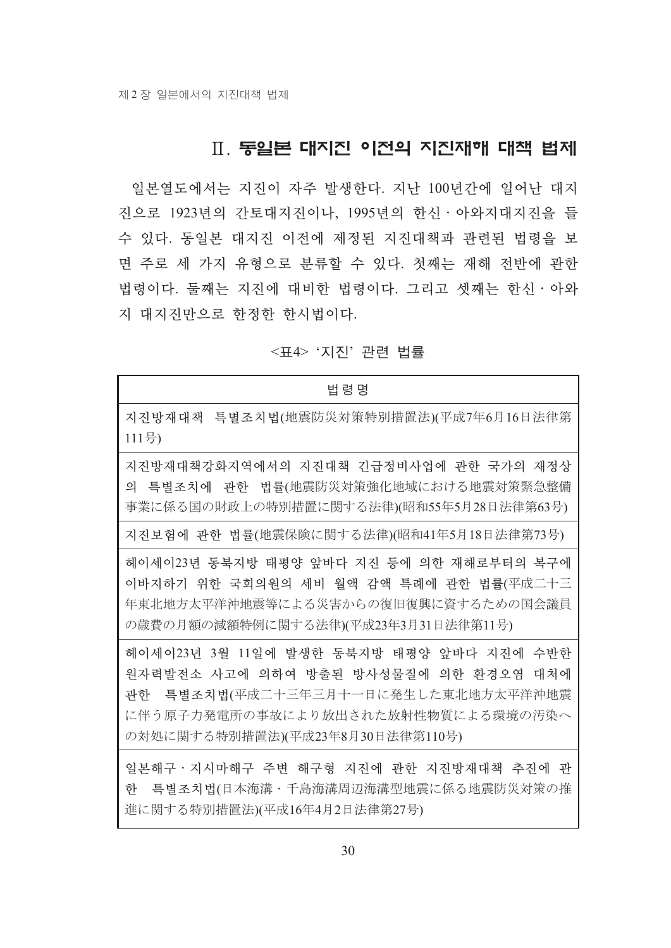## Ⅱ. 동일본 대지진 이전의 지진재해 대책 법제

일본열도에서는 지진이 자주 발생한다. 지난 100년간에 일어난 대지 진으로 1923년의 간토대지진이나, 1995년의 한신·아와지대지진을 들 수 있다. 동일본 대지진 이전에 제정된 지진대책과 관련된 법령을 보 면 주로 세 가지 유형으로 분류할 수 있다. 첫째는 재해 전반에 관한 법령이다. 둘째는 지진에 대비한 법령이다. 그리고 셋째는 한신·아와 지 대지진만으로 한정한 한시법이다.

#### <표4> '지진' 관련 법률

| 법 령 명                                                                                                                                                                                              |
|----------------------------------------------------------------------------------------------------------------------------------------------------------------------------------------------------|
| 지진방재대책 특별조치법(地震防災対策特別措置法)(平成7年6月16日法律第<br>111号)                                                                                                                                                    |
| 지진방재대책강화지역에서의 지진대책 긴급정비사업에 관한 국가의 재정상<br>의 특별조치에 관한 법률(地震防災対策強化地域における地震対策緊急整備<br>事業に係る国の財政上の特別措置に関する法律)(昭和55年5月28日法律第63号)                                                                          |
| 지진보험에 관한 법률(地震保険に関する法律)(昭和41年5月18日法律第73号)                                                                                                                                                          |
| 헤이세이23년 동북지방 태평양 앞바다 지진 등에 의한 재해로부터의 복구에<br>이바지하기 위한 국회의원의 세비 월액 감액 특례에 관한 법률(平成二十三<br>年東北地方太平洋沖地震等による災害からの復旧復興に資するための国会議員<br>の歳費の月額の減額特例に関する法律)(平成23年3月31日法律第11号)                                 |
| 헤이세이23년 3월 11일에 발생한 동북지방 태평양 앞바다 지진에 수반한<br>원자력발전소 사고에 의하여 방출된 방사성물질에 의한 환경오염 대처에<br>관한 특별조치법(平成二十三年三月十一日に発生した東北地方太平洋沖地震<br>に伴う原子力発電所の事故により放出された放射性物質による環境の汚染へ<br>の対処に関する特別措置法)(平成23年8月30日法律第110号) |
| 일본해구 · 지시마해구 주변 해구형 지진에 관한 지진방재대책 추진에 관<br>특별조치법(日本海溝・千島海溝周辺海溝型地震に係る地震防災対策の推<br>하<br>谁に関すろ特別措置法)(平成16年4月2日洪律第27号)                                                                                  |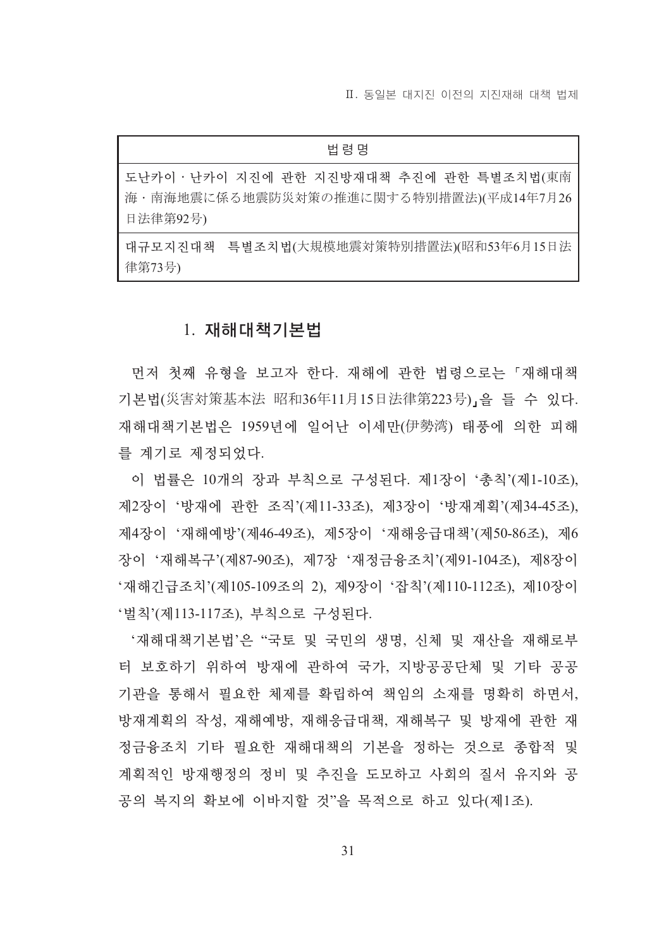Ⅱ. 동일본 대지진 이전의 지진재해 대책 법제

#### 법령명

도난카이 · 난카이 지진에 관한 지진방재대책 추진에 관한 특별조치법(東南 海・南海地震に係る地震防災対策の推進に関する特別措置法)(平成14年7月26 日法律第92号)

대규모지진대책 특별조치법(大規模地震対策特別措置法)(昭和53年6月15日法 律第73号)

#### 1. 재해대책기본법

먼저 첫째 유형을 보고자 한다. 재해에 관한 법령으로는 「재해대책 기본법(災害対策基本法 昭和36年11月15日法律第223号)」을 들 수 있다. 재해대책기본법은 1959년에 일어난 이세만(伊勢湾) 태풍에 의한 피해 를 계기로 제정되었다.

이 법률은 10개의 장과 부칙으로 구성된다. 제1장이 '총칙'(제1-10조). 제2장이 '방재에 관한 조직'(제11-33조), 제3장이 '방재계획'(제34-45조), 제4장이 '재해예방'(제46-49조), 제5장이 '재해응급대책'(제50-86조), 제6 장이 '재해복구'(제87-90조), 제7장 '재정금융조치'(제91-104조), 제8장이 '재해긴급조치'(제105-109조의 2), 제9장이 '잡칙'(제110-112조), 제10장이 '벌칙'(제113-117조), 부칙으로 구성된다.

'재해대책기본법'은 "국토 및 국민의 생명, 신체 및 재산을 재해로부 터 보호하기 위하여 방재에 관하여 국가, 지방공공단체 및 기타 공공 기관을 통해서 필요한 체제를 확립하여 책임의 소재를 명확히 하면서, 방재계획의 작성, 재해예방, 재해응급대책, 재해복구 및 방재에 관한 재 정금융조치 기타 필요한 재해대책의 기본을 정하는 것으로 종합적 및 계획적인 방재행정의 정비 및 추진을 도모하고 사회의 질서 유지와 공 공의 복지의 확보에 이바지할 것"을 목적으로 하고 있다(제1조).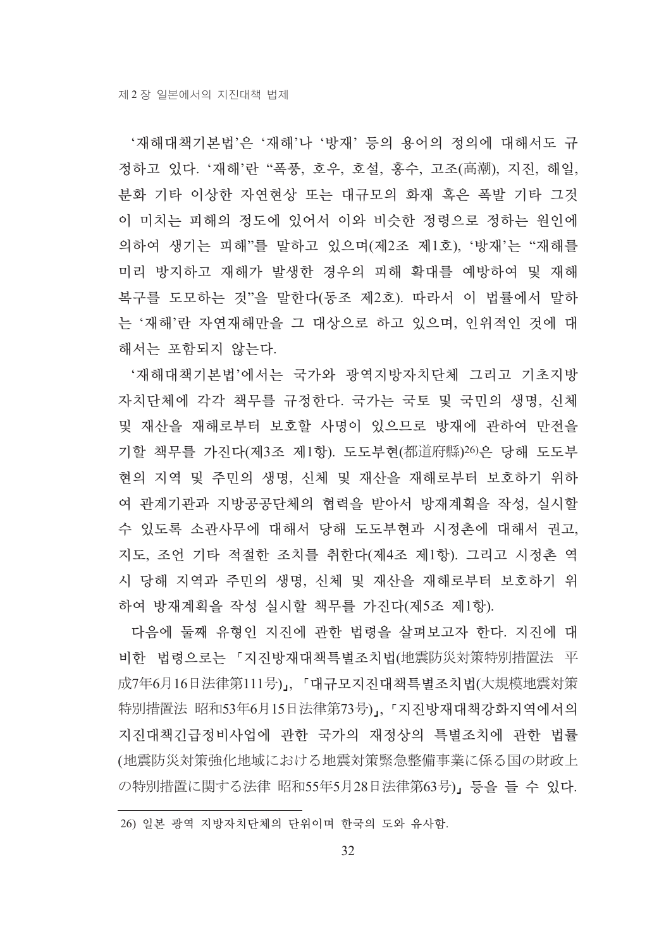'재해대책기본법'은 '재해'나 '방재' 등의 용어의 정의에 대해서도 규 정하고 있다. '재해'란 "폭풍, 호우, 호설, 홍수, 고조(高潮), 지진, 해일, 분화 기타 이상한 자연현상 또는 대규모의 화재 혹은 폭발 기타 그것 이 미치는 피해의 정도에 있어서 이와 비슷한 정령으로 정하는 원인에 의하여 생기는 피해"를 말하고 있으며(제2조 제1호), '방재'는 "재해를 미리 방지하고 재해가 발생한 경우의 피해 확대를 예방하여 및 재해 복구를 도모하는 것"을 말한다(동조 제2호). 따라서 이 법률에서 말하 는 '재해'란 자연재해만을 그 대상으로 하고 있으며, 인위적인 것에 대 해서는 포함되지 않는다.

'재해대책기본법'에서는 국가와 광역지방자치단체 그리고 기초지방 자치단체에 각각 책무를 규정한다. 국가는 국토 및 국민의 생명, 신체 및 재산을 재해로부터 보호할 사명이 있으므로 방재에 관하여 만전을 기할 책무를 가진다(제3조 제1항). 도도부현(都道府縣)26)은 당해 도도부 현의 지역 및 주민의 생명, 신체 및 재산을 재해로부터 보호하기 위하 여 관계기관과 지방공공단체의 협력을 받아서 방재계획을 작성, 실시할 수 있도록 소관사무에 대해서 당해 도도부현과 시정촌에 대해서 권고, 지도, 조언 기타 적절한 조치를 취한다(제4조 제1항). 그리고 시정촌 역 시 당해 지역과 주민의 생명, 신체 및 재산을 재해로부터 보호하기 위 하여 방재계획을 작성 실시할 책무를 가진다(제5조 제1항).

다음에 둘째 유형인 지진에 관한 법령을 살펴보고자 한다. 지진에 대 비한 법령으로는 「지진방재대책특별조치법(地震防災対策特別措置法 平 成7年6月16日法律第111号)」、「대규모지진대책특별조치법(大規模地震対策 特別措置法 昭和53年6月15日法律第73号)」、「지진방재대책강화지역에서의 지진대책기급정비사업에 과한 국가의 재정상의 특별조치에 과한 법률 (地震防災対策強化地域における地震対策緊急整備事業に係る国の財政上 の特別措置に関する法律 昭和55年5月28日法律第63号), 등을 들 수 있다.

<sup>26)</sup> 일본 광역 지방자치단체의 단위이며 한국의 도와 유사함.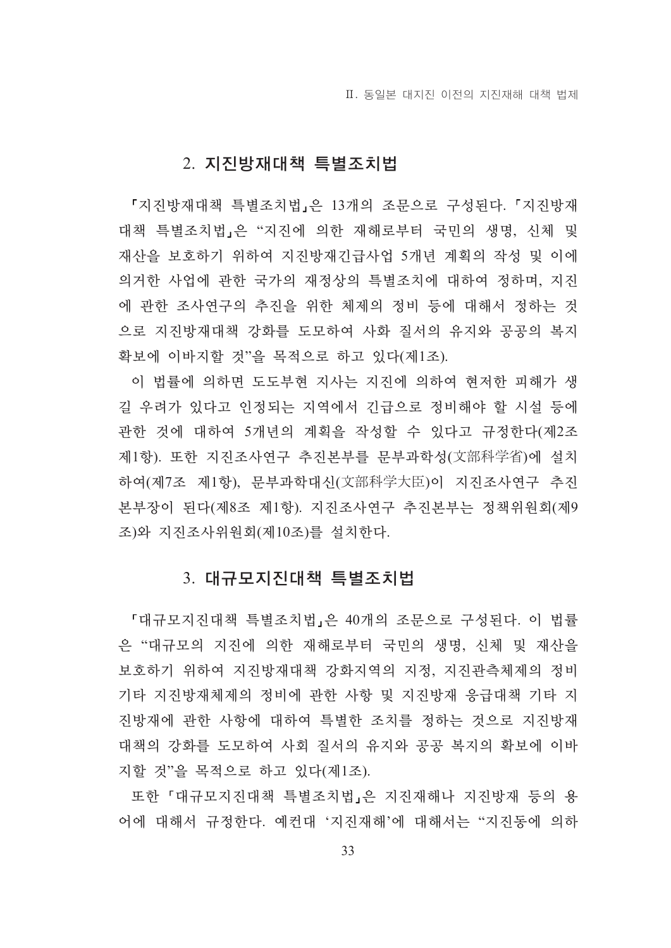### 2. 지진방재대책 특별조치법

『지진방재대책 특별조치법」은 13개의 조문으로 구성된다. 「지진방재 대책 특별조치법」은 "지진에 의한 재해로부터 국민의 생명, 신체 및 재산을 보호하기 위하여 지진방재긴급사업 5개년 계획의 작성 및 이에 의거한 사업에 관한 국가의 재정상의 특별조치에 대하여 정하며, 지진 에 관한 조사연구의 추진을 위한 체제의 정비 등에 대해서 정하는 것 으로 지진방재대책 강화를 도모하여 사화 질서의 유지와 공공의 복지 확보에 이바지할 것"을 목적으로 하고 있다(제1조).

이 법률에 의하면 도도부현 지사는 지진에 의하여 현저한 피해가 생 길 우려가 있다고 인정되는 지역에서 긴급으로 정비해야 할 시설 등에 관한 것에 대하여 5개년의 계획을 작성할 수 있다고 규정한다(제2조 제1항). 또한 지진조사연구 추진본부를 문부과학성(文部科学省)에 설치 하여(제7조 제1항), 문부과학대신(文部科学大臣)이 지진조사연구 추진 본부장이 된다(제8조 제1항) 지진조사연구 추진본부는 정책위원회(제9 조)와 지진조사위워회(제10조)를 설치하다.

## 3. 대규모지진대책 특별조치법

「대규모지진대책 특별조치법」은 40개의 조문으로 구성된다. 이 법률 은 "대규모의 지진에 의한 재해로부터 국민의 생명, 신체 및 재산을 보호하기 위하여 지진방재대책 강화지역의 지정, 지진관측체제의 정비 기타 지진방재체제의 정비에 관한 사항 및 지진방재 응급대책 기타 지 진방재에 관한 사항에 대하여 특별한 조치를 정하는 것으로 지진방재 대책의 강화를 도모하여 사회 질서의 유지와 공공 복지의 확보에 이바 지할 것"을 목적으로 하고 있다(제1조).

또한 「대규모지진대책 특별조치법」은 지진재해나 지진방재 등의 용 어에 대해서 규정한다. 예컨대 '지진재해'에 대해서는 "지진동에 의하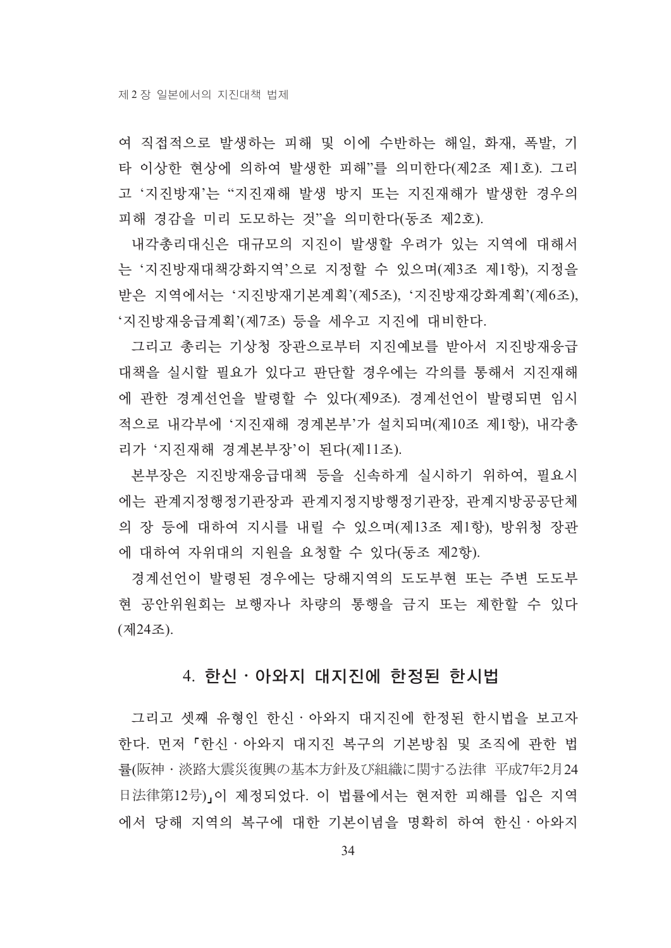여 직접적으로 발생하는 피해 및 이에 수반하는 해일, 화재, 폭발, 기 타 이상한 현상에 의하여 발생한 피해"를 의미한다(제2조 제1호). 그리 고 '지진방재'는 "지진재해 발생 방지 또는 지진재해가 발생한 경우의 피해 경감을 미리 도모하는 것"을 의미한다(동조 제2호).

내각총리대신은 대규모의 지진이 발생할 우려가 있는 지역에 대해서 는 '지진방재대책강화지역'으로 지정할 수 있으며(제3조 제1항), 지정을 받은 지역에서는 '지진방재기본계획'(제5조), '지진방재강화계획'(제6조), '지진방재응급계획'(제7조) 등을 세우고 지진에 대비한다.

그리고 총리는 기상청 장관으로부터 지진예보를 받아서 지진방재응급 대책을 실시할 필요가 있다고 판단할 경우에는 각의를 통해서 지진재해 에 관한 경계선언을 발령할 수 있다(제9조). 경계선언이 발령되면 임시 적으로 내각부에 '지진재해 경계본부'가 설치되며(제10조 제1항), 내각총 리가 '지진재해 경계본부장'이 된다(제11조).

본부장은 지진방재응급대책 등을 신속하게 실시하기 위하여, 필요시 에는 관계지정행정기관장과 관계지정지방행정기관장, 관계지방공공단체 의 장 등에 대하여 지시를 내릴 수 있으며(제13조 제1항), 방위청 장관 에 대하여 자위대의 지원을 요청할 수 있다(동조 제2항).

경계선언이 발령된 경우에는 당해지역의 도도부현 또는 주변 도도부 현 공안위원회는 보행자나 차량의 통행을 금지 또는 제한할 수 있다 (제24조).

## 4. 한신 · 아와지 대지진에 한정된 한시법

그리고 셋째 유형인 한신·아와지 대지진에 한정된 한시법을 보고자 한다. 먼저「한신·아와지 대지진 복구의 기본방침 및 조직에 관한 법 暑(阪神・淡路大震災復興の基本方針及び組織に関する法律 平成7年2月24 日法律第12号)」이 제정되었다. 이 법률에서는 현저한 피해를 입은 지역 에서 당해 지역의 복구에 대한 기본이념을 명확히 하여 하시·아와지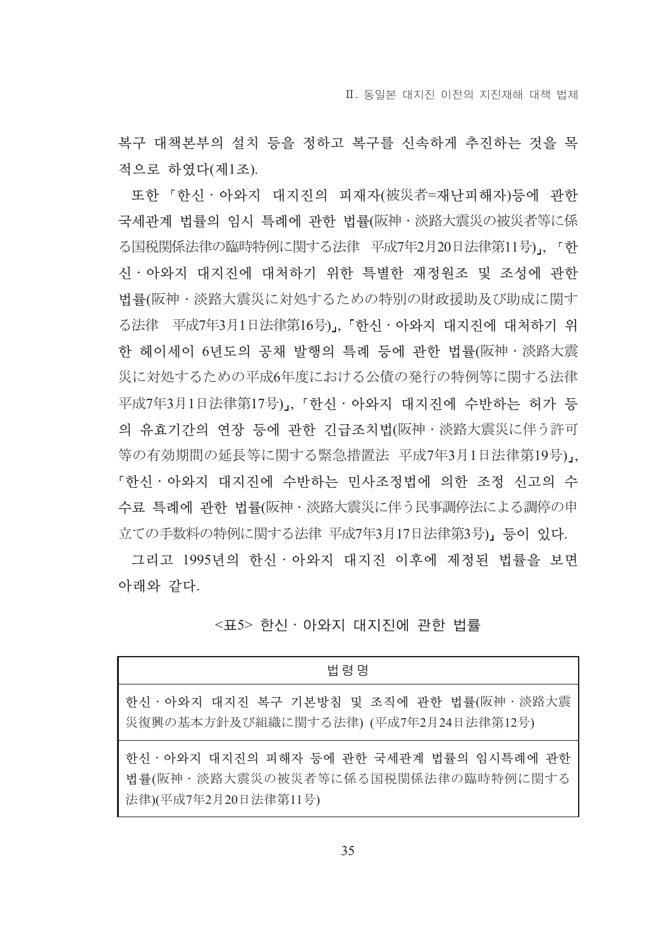복구 대책본부의 설치 등을 정하고 복구를 신속하게 추진하는 것을 목 적으로 하였다(제1조).

또한 「한신 · 아와지 대지진의 피재자(被災者=재난피해자)등에 관한 국세관계 법률의 임시 특례에 관한 법률(阪神・淡路大震災の被災者等に係 る国税関係法律の臨時特例に関する法律 平成7年2月20日法律第11号),、 『 ず 신 아와지 대지진에 대처하기 위한 특별한 재정워조 및 조성에 관한 법률(阪神・淡路大震災に対処するための特別の財政援助及び助成に関す る法律 平成7年3月1日法律第16号)」、「한신·아와지 대지진에 대처하기 위 한 헤이세이 6년도의 공채 발행의 특례 등에 과한 법률(阪神・淡路大震 災に対処するための平成6年度における公債の発行の特例等に関する法律 平成7年3月1日法律第17号), 「한신·아와지 대지진에 수반하는 허가 등 의 유효기간의 연장 등에 관한 긴급조치법(阪神・淡路大震災に伴う許可 等の有効期間の延長等に関する緊急措置法 平成7年3月1日法律第19号)」、 「하시 · 아와지 대지지에 수반하는 민사조정법에 의하 조정 시고의 수 수료 특례에 관한 법률(阪神・淡路大震災に伴う民事調停法による調停の申 立ての手数料の特例に関する法律 平成7年3月17日法律第3号)」 등이 있다.

그리고 1995년의 한신 아와지 대지진 이후에 제정된 법률을 보면 아래와 같다.

<표5> 한신 · 아와지 대지진에 관한 법률

| 법령명                                                                                                   |
|-------------------------------------------------------------------------------------------------------|
| 한신 · 아와지 대지진 복구 기본방침 및 조직에 관한 법률(阪神 · 淡路大震<br>災復興の基本方針及び組織に関する法律) (平成7年2月24日法律第12号)                   |
| 한신·아와지 대지진의 피해자 등에 관한 국세관계 법률의 임시특례에 관한<br>법률(阪神・淡路大震災の被災者等に係る国税関係法律の臨時特例に関する<br>法律)(平成7年2月20日法律第11号) |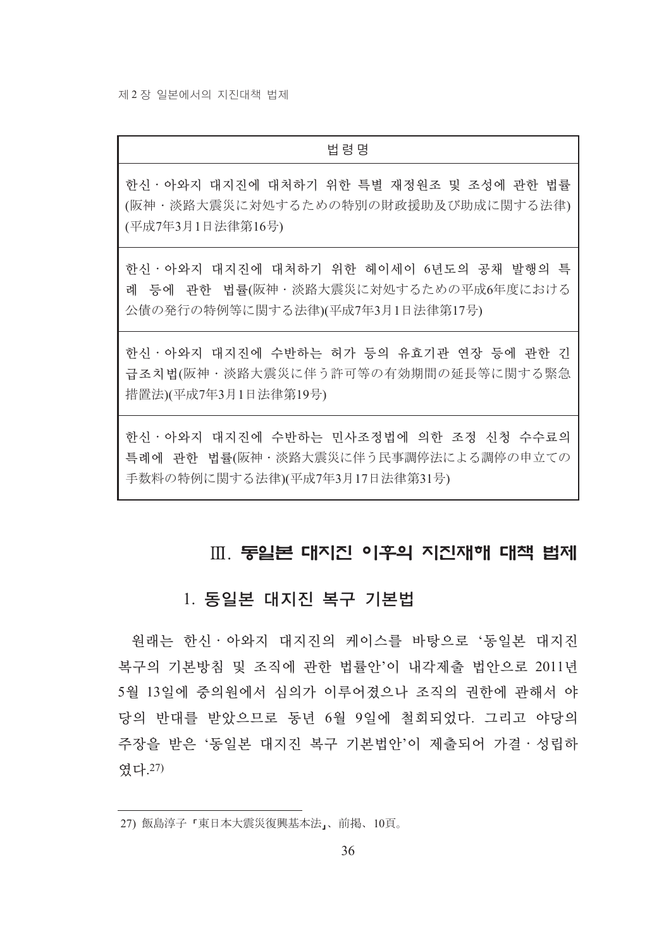#### 법령명

하시 · 아와지 대지지에 대처하기 위한 특별 재정워조 및 조성에 과한 법률 (阪神・淡路大震災に対処するための特別の財政援助及び助成に関する法律) (平成7年3月1日法律第16号)

한신·아와지 대지진에 대처하기 위한 헤이세이 6년도의 공채 발행의 특 레 등에 관한 법률(阪神・淡路大震災に対処するための平成6年度における 公債の発行の特例等に関する法律)(平成7年3月1日法律第17号)

하신 아와지 대지진에 수반하는 허가 등의 유효기관 연장 등에 관한 긴 금조치법(阪神・淡路大震災に伴う許可等の有効期間の延長等に関する緊急 措置法)(平成7年3月1日法律第19号)

한신 아와지 대지진에 수반하는 민사조정법에 의한 조정 신청 수수료의 특례에 관한 법률(阪神・淡路大震災に伴う民事調停法による調停の申立ての 手数料の特例に関する法律)(平成7年3月17日法律第31号)

# Ⅲ 동일본 대지진 이후의 지진재해 대책 법제

## 1. 동일본 대지진 복구 기본법

워래는 하시 · 아와지 대지지의 케이스를 바탕으로 '동일본 대지지 복구의 기본방침 및 조직에 관한 법률안'이 내각제출 법안으로 2011년 5월 13일에 중의원에서 심의가 이루어졌으나 조직의 권한에 관해서 야 당의 반대를 받았으므로 동년 6월 9일에 철회되었다. 그리고 야당의 주장을 받은 '동일본 대지진 복구 기본법안'이 제출되어 가결 · 성립하 였다. 27)

<sup>27)</sup> 飯島淳子「東日本大震災復興基本法」、前掲、10頁。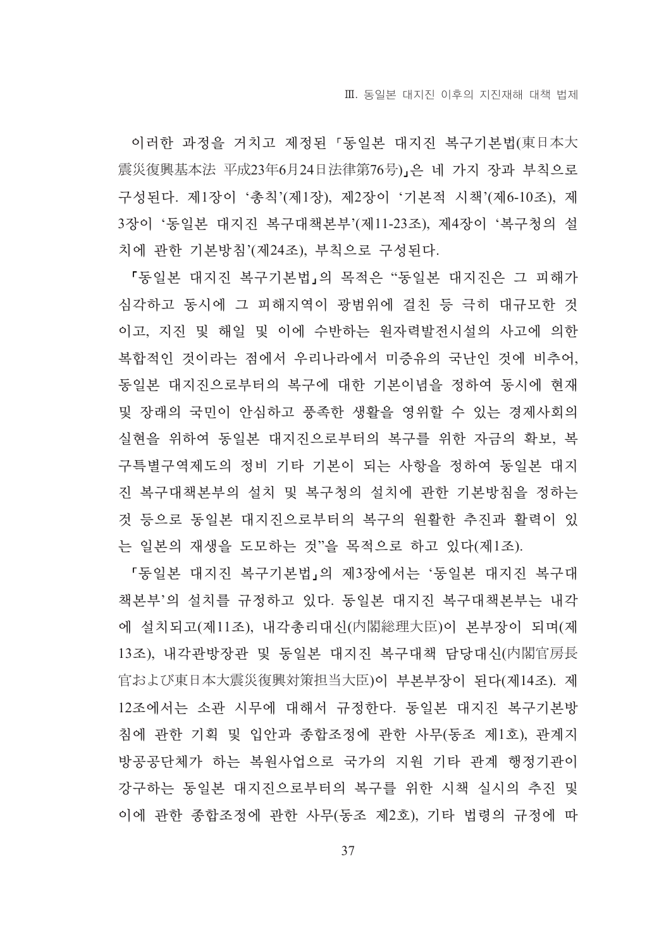이러한 과정을 거치고 제정된 「동일본 대지진 복구기본법(東日本大 震災復興基本法 平成23年6月24日法律第76号) 은 네 가지 장과 부칙으로 구성된다. 제1장이 '총칙'(제1장), 제2장이 '기본적 시책'(제6-10조), 제 3장이 '동일본 대지진 복구대책본부'(제11-23조), 제4장이 '복구청의 설 치에 관한 기본방침'(제24조), 부칙으로 구성된다.

「동일본 대지진 복구기본법」의 목적은 "동일본 대지진은 그 피해가 심각하고 동시에 그 피해지역이 광범위에 걸친 등 극히 대규모한 것 이고, 지진 및 해일 및 이에 수반하는 원자력발전시설의 사고에 의한 복합적인 것이라는 점에서 우리나라에서 미증유의 국난인 것에 비추어, 동일본 대지진으로부터의 복구에 대한 기본이념을 정하여 동시에 현재 및 장래의 국민이 안심하고 풍족한 생활을 영위할 수 있는 경제사회의 실현을 위하여 동일본 대지지으로부터의 복구를 위한 자금의 확보, 복 구특별구역제도의 정비 기타 기본이 되는 사항을 정하여 동일본 대지 진 복구대책본부의 설치 및 복구청의 설치에 관한 기본방침을 정하는 것 등으로 동일본 대지진으로부터의 복구의 원활한 추진과 활력이 있 는 일본의 재생을 도모하는 것"을 목적으로 하고 있다(제1조).

「동일본 대지진 복구기본법」의 제3장에서는 '동일본 대지진 복구대 책본부'의 설치를 규정하고 있다. 동일본 대지진 복구대책본부는 내각 에 설치되고(제11조), 내각총리대신(内閣総理大臣)이 본부장이 되며(제 13조), 내각관방장관 및 동일본 대지진 복구대책 담당대신(內閣官房長 官および東日本大震災復興対策担当大臣)이 부본부장이 된다(제14조). 제 12조에서는 소관 시무에 대해서 규정한다. 동일본 대지진 복구기본방 침에 관한 기획 및 입안과 종합조정에 관한 사무(동조 제1호), 관계지 방공공단체가 하는 복원사업으로 국가의 지원 기타 관계 행정기관이 강구하는 동일본 대지진으로부터의 복구를 위한 시책 실시의 추진 및 이에 관한 종합조정에 관한 사무(동조 제2호), 기타 법령의 규정에 따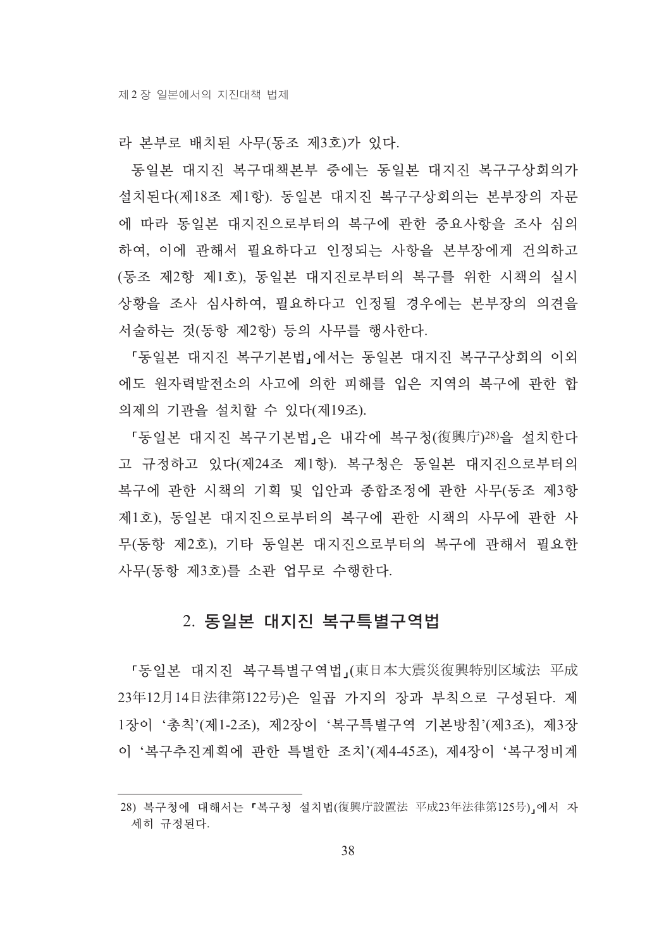라 본부로 배치된 사무(동조 제3호)가 있다.

동일본 대지진 복구대책본부 중에는 동일본 대지진 복구구상회의가 설치된다(제18조 제1항). 동일본 대지진 복구구상회의는 본부장의 자문 에 따라 동일본 대지진으로부터의 복구에 관한 중요사항을 조사 심의 하여, 이에 관해서 필요하다고 인정되는 사항을 본부장에게 건의하고 (동조 제2항 제1호), 동일본 대지진로부터의 복구를 위한 시책의 실시 상황을 조사 심사하여, 필요하다고 인정될 경우에는 본부장의 의견을 서술하는 것(동항 제2항) 등의 사무를 행사하다.

「동일본 대지진 복구기본법」에서는 동일본 대지진 복구구상회의 이외 에도 원자력발전소의 사고에 의한 피해를 입은 지역의 복구에 관한 합 의제의 기관을 설치할 수 있다(제19조).

「동일본 대지진 복구기본법」은 내각에 복구청(復興庁)28)을 설치한다 고 규정하고 있다(제24조 제1항). 복구청은 동일본 대지진으로부터의 복구에 관한 시책의 기획 및 입안과 종합조정에 관한 사무(동조 제3항 제1호), 동일본 대지진으로부터의 복구에 관한 시책의 사무에 관한 사 무(동항 제2호), 기타 동일본 대지진으로부터의 복구에 관해서 필요한 사무(동항 제3호)를 소관 업무로 수행한다.

## 2. 동일본 대지진 복구특별구역법

「동일본 대지진 복구특별구역법」(東日本大震災復興特別区域法 平成 23年12月14日法律第122号)은 일곱 가지의 장과 부칙으로 구성된다. 제 1장이 '총칙'(제1-2조), 제2장이 '복구특별구역 기본방침'(제3조), 제3장 이 '복구추진계획에 관한 특별한 조치'(제4-45조), 제4장이 '복구정비계

<sup>28)</sup> 복구청에 대해서는 「복구청 설치법(復興庁設置法 平成23年法律第125号),에서 자 세히 규정된다.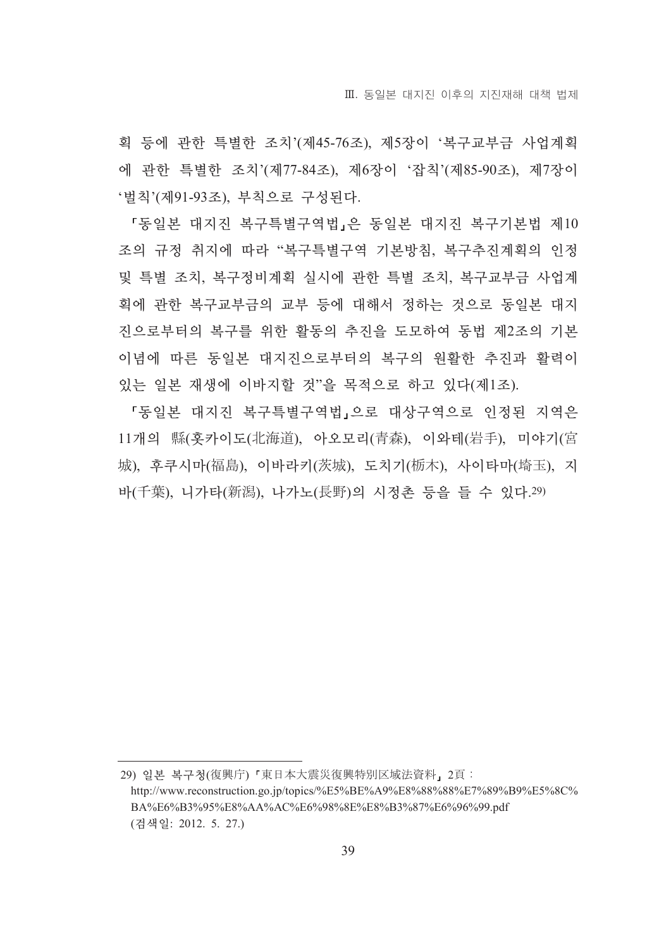획 등에 과한 특별한 조치'(제45-76조), 제5장이 '복구교부금 사업계획 에 관한 특별한 조치'(제77-84조), 제6장이 '잡칙'(제85-90조), 제7장이 '벌칙'(제91-93조), 부칙으로 구성된다.

「동일본 대지진 복구특별구역법」은 동일본 대지진 복구기본법 제10 조의 규정 취지에 따라 "복구특별구역 기본방침, 복구추진계획의 인정 및 특별 조치, 복구정비계획 실시에 과한 특별 조치, 복구교부금 사업계 획에 관한 복구교부금의 교부 등에 대해서 정하는 것으로 동일본 대지 진으로부터의 복구를 위한 활동의 추진을 도모하여 동법 제2조의 기본 이념에 따른 동일본 대지진으로부터의 복구의 원활한 추진과 활력이 있는 일본 재생에 이바지할 것"을 목적으로 하고 있다(제1조).

「동일본 대지진 복구특별구역법」으로 대상구역으로 인정된 지역은 11개의 縣(홋카이도(北海道), 아오모리(青森), 이와테(岩手), 미야기(宮 城), 후쿠시마(福島), 이바라키(茨城), 도치기(栃木), 사이타마(埼玉), 지 바(千葉), 니가타(新潟), 나가노(長野)의 시정촌 등을 들 수 있다.29)

<sup>29)</sup> 일본 복구청(復興庁) 『東日本大震災復興特別区域法資料』 2頁: http://www.reconstruction.go.jp/topics/%E5%BE%A9%E8%88%88%E7%89%B9%E5%8C% BA%E6%B3%95%E8%AA%AC%E6%98%8E%E8%B3%87%E6%96%99.pdf (검색일: 2012. 5. 27.)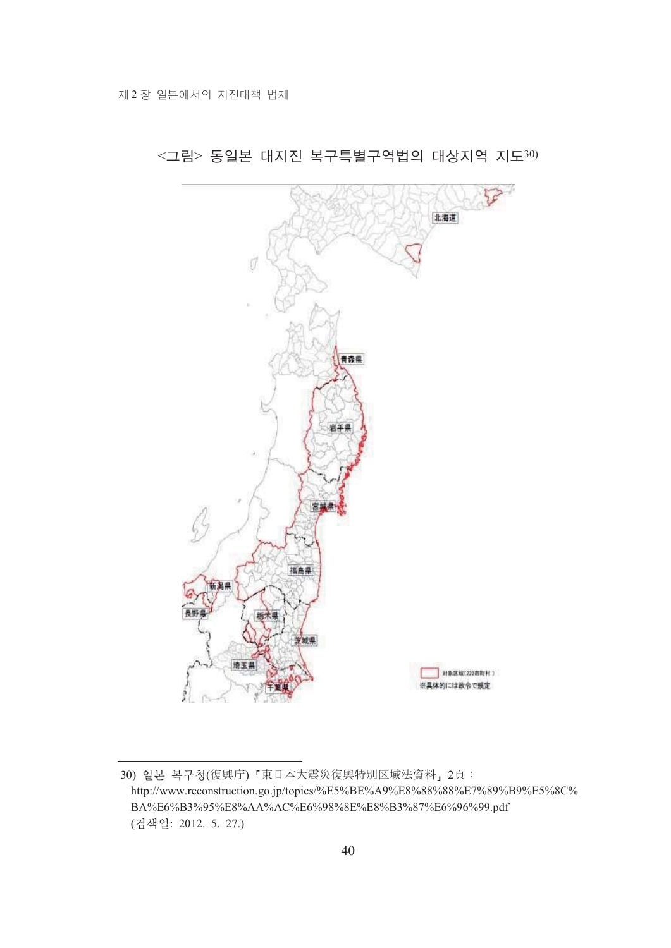

<그림> 동일본 대지진 복구특별구역법의 대상지역 지도30)

<sup>30)</sup> 일본 복구청(復興庁) 「東日本大震災復興特別区域法資料」 2頁: http://www.reconstruction.go.jp/topics/%E5%BE%A9%E8%88%88%E7%89%B9%E5%8C% BA%E6%B3%95%E8%AA%AC%E6%98%8E%E8%B3%87%E6%96%99.pdf (검색일: 2012. 5. 27.)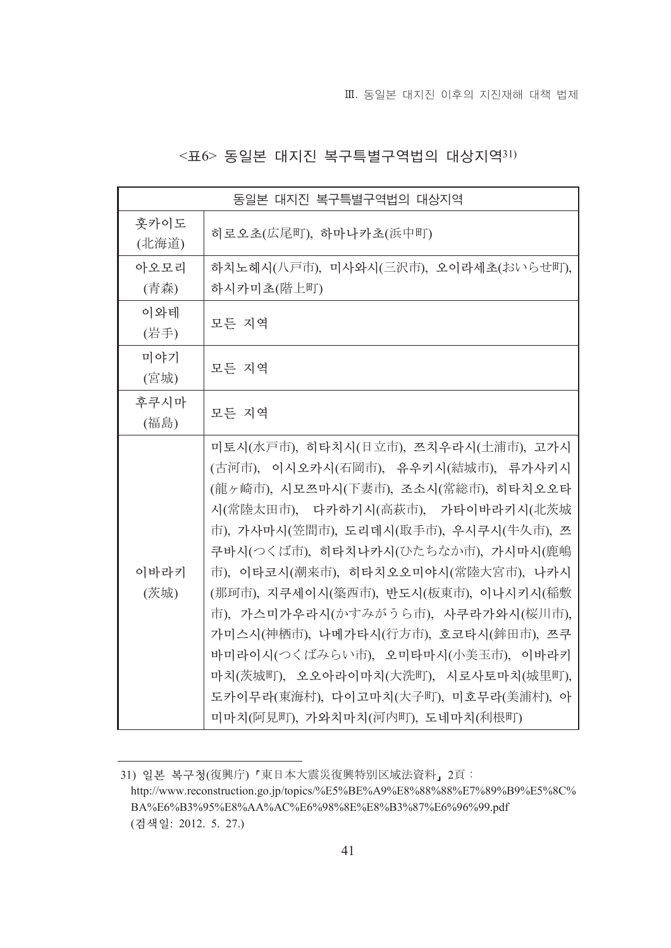|  |  |  | <표6> 동일본 대지진 복구특별구역법의 대상지역31) |  |
|--|--|--|-------------------------------|--|
|--|--|--|-------------------------------|--|

|               | 동일본 대지진 복구특별구역법의 대상지역                                                                                                                                                                                                                                                                                                                                                                                                                                                                                                                                         |
|---------------|---------------------------------------------------------------------------------------------------------------------------------------------------------------------------------------------------------------------------------------------------------------------------------------------------------------------------------------------------------------------------------------------------------------------------------------------------------------------------------------------------------------------------------------------------------------|
| 홋카이도<br>(北海道) | 히로오초(広尾町), 하마나카초(浜中町)                                                                                                                                                                                                                                                                                                                                                                                                                                                                                                                                         |
| 아오모리<br>(青森)  | 하치노헤시(八戸市), 미사와시(三沢市), 오이라세초(おいらせ町),<br>하시카미초(階上町)                                                                                                                                                                                                                                                                                                                                                                                                                                                                                                            |
| 이와테<br>(岩手)   | 모든 지역                                                                                                                                                                                                                                                                                                                                                                                                                                                                                                                                                         |
| 미야기<br>(宮城)   | 모든 지역                                                                                                                                                                                                                                                                                                                                                                                                                                                                                                                                                         |
| 후쿠시마<br>(福島)  | 모든 지역                                                                                                                                                                                                                                                                                                                                                                                                                                                                                                                                                         |
| 이바라키<br>(茨城)  | 미토시(水戸市), 히타치시(日立市), 쯔치우라시(土浦市), 고가시<br>(古河市), 이시오카시(石岡市), 유우키시(結城市), 류가사키시<br>(龍ヶ崎市), 시모쯔마시(下妻市), 조소시(常総市), 히타치오오타<br>시(常陸太田市), 다카하기시(高萩市), 가타이바라키시(北茨城<br>市), 가사마시(笠間市), 도리데시(取手市), 우시쿠시(牛久市), 쯔<br>쿠바시(つくば市), 히타치나카시(ひたちなか市), 가시마시(鹿嶋<br>市), 이타코시(潮来市), 히타치오오미야시(常陸大宮市), 나카시<br>(那珂市), 지쿠세이시(築西市), 반도시(板東市), 이나시키시(稲敷<br>市), 가스미가우라시(かすみがうら市), 사쿠라가와시(桜川市),<br>가미스시(神栖市), 나메가타시(行方市), 호코타시(鉾田市), 쯔쿠<br>바미라이시(つくばみらい市), 오미타마시(小美玉市), 이바라키<br>마치(茨城町), 오오아라이마치(大洗町), 시로사토마치(城里町),<br>도카이무라(東海村), 다이고마치(大子町), 미호무라(美浦村), 아<br>미마치(阿見町), 가와치마치(河内町), 도네마치(利根町) |

<sup>31)</sup> 일본 복구청(復興庁) 「東日本大震災復興特別区域法資料」 2頁: http://www.reconstruction.go.jp/topics/%E5%BE%A9%E8%88%88%E7%89%B9%E5%8C% BA%E6%B3%95%E8%AA%AC%E6%98%8E%E8%B3%87%E6%96%99.pdf (검색일: 2012. 5. 27.)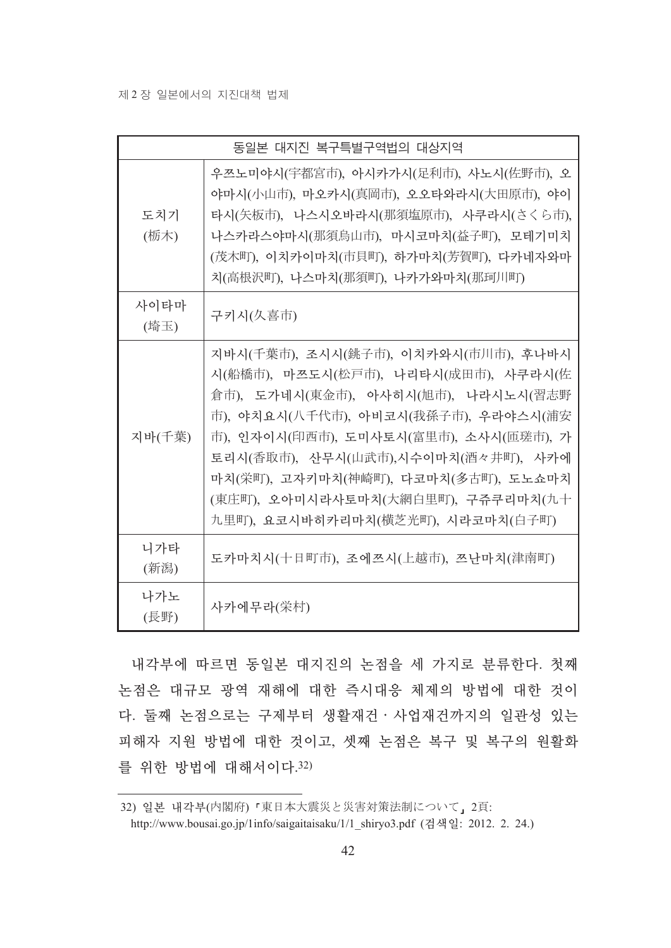#### 제 2 장 일본에서의 지진대책 법제

| 동일본 대지진 복구특별구역법의 대상지역 |                                                                                                                                                                                                                                                                                                                                                                 |  |
|-----------------------|-----------------------------------------------------------------------------------------------------------------------------------------------------------------------------------------------------------------------------------------------------------------------------------------------------------------------------------------------------------------|--|
| 도치기<br>(栃木)           | 우쯔노미야시(宇都宮市), 아시카가시(足利市), 사노시(佐野市), 오<br>야마시(小山市), 마오카시(真岡市), 오오타와라시(大田原市), 야이<br>타시(矢板市), 나스시오바라시(那須塩原市), 사쿠라시(さくら市),<br>나스카라스야마시(那須烏山市), 마시코마치(益子町), 모테기미치<br>(茂木町), 이치카이마치(市貝町), 하가마치(芳賀町), 다카네자와마<br>치(高根沢町), 나스마치(那須町), 나카가와마치(那珂川町)                                                                                                                       |  |
| 사이타마<br>(埼玉)          | 구키시(久喜市)                                                                                                                                                                                                                                                                                                                                                        |  |
| 지바(千葉)                | 지바시(千葉市), 조시시(銚子市), 이치카와시(市川市), 후나바시<br>시(船橋市), 마쯔도시(松戸市), 나리타시(成田市), 사쿠라시(佐<br>倉市), 도가네시(東金市), 아사히시(旭市), 나라시노시(習志野<br>市), 야치요시(八千代市), 아비코시(我孫子市), 우라야스시(浦安<br>市), 인자이시(印西市), 도미사토시(富里市), 소사시(匝瑳市), 가<br>토리시(香取市), 산무시(山武市),시수이마치(酒々井町), 사카에<br>마치(栄町), 고자키마치(神崎町), 다코마치(多古町), 도노쇼마치<br>(東庄町), 오아미시라사토마치(大網白里町), 구쥬쿠리마치(九十<br>九里町), 요코시바히카리마치(横芝光町), 시라코마치(白子町) |  |
| 니가타<br>(新潟)           | 도카마치시(十日町市), 조에쯔시(上越市), 쯔난마치(津南町)                                                                                                                                                                                                                                                                                                                               |  |
| 나가노<br>(長野)           | 사카에무라(栄村)                                                                                                                                                                                                                                                                                                                                                       |  |

내각부에 따르면 동일본 대지진의 논점을 세 가지로 분류한다. 첫째 논점은 대규모 광역 재해에 대한 즉시대응 체제의 방법에 대한 것이 다. 둘째 논점으로는 구제부터 생활재건 · 사업재건까지의 일관성 있는 피해자 지원 방법에 대한 것이고, 셋째 논점은 복구 및 복구의 원활화 를 위한 방법에 대해서이다. 32)

<sup>32)</sup> 일본 내각부(内閣府)「東日本大震災と災害対策法制について」2頁: http://www.bousai.go.jp/1info/saigaitaisaku/1/1\_shiryo3.pdf (검색일: 2012. 2. 24.)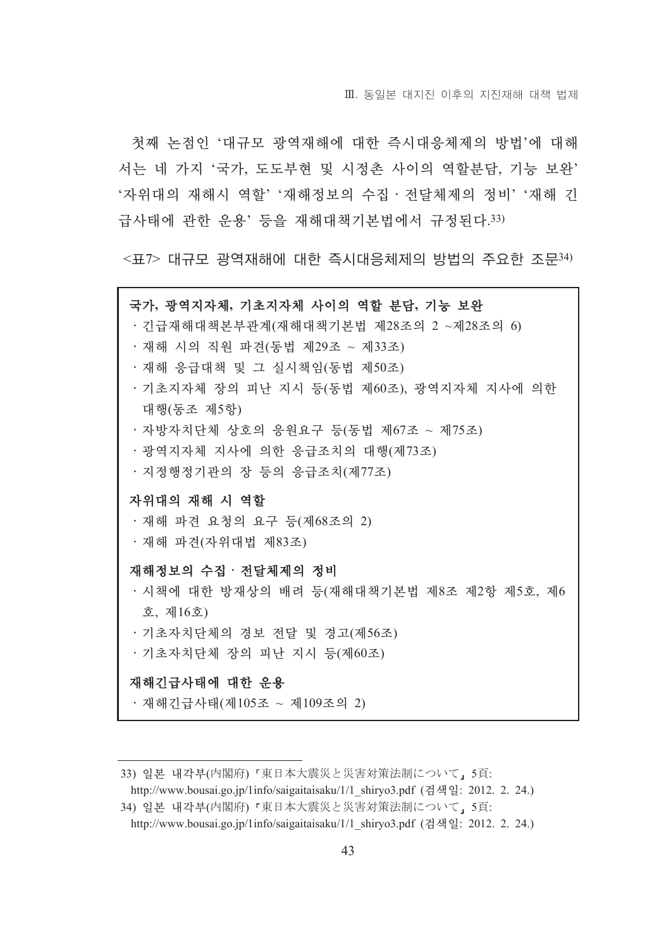Ⅲ. 동일본 대지진 이후의 지진재해 대책 법제

첫째 논점이 '대규모 광역재해에 대한 즉시대응체제의 방법'에 대해 서는 네 가지 '국가, 도도부현 및 시정촌 사이의 역할분담, 기능 보완' '자위대의 재해시 역할' '재해정보의 수집 · 전달체제의 정비' '재해 긴 급사태에 관한 운용' 등을 재해대책기본법에서 규정된다.33)

<표7> 대규모 광역재해에 대한 즉시대응체제의 방법의 주요한 조문34)

## 국가, 광역지자체, 기초지자체 사이의 역할 분담, 기능 보완

· 긴급재해대책본부관계(재해대책기본법 제28조의 2 ~제28조의 6)

- · 재해 시의 직원 파견(동법 제29조 ~ 제33조)
- · 재해 응급대책 및 그 실시책임(동법 제50조)
- · 기초지자체 장의 피난 지시 등(동법 제60조), 광역지자체 지사에 의하 대행(동조 제5항)
- · 자방자치단체 상호의 응원요구 등(동법 제67조 ~ 제75조)
- ·광역지자체 지사에 의한 응급조치의 대행(제73조)
- · 지정행정기관의 장 등의 응급조치(제77조)

### 자위대의 재해 시 역할

- · 재해 파견 요청의 요구 등(제68조의 2)
- · 재해 파견(자위대법 제83조)

## 재해정보의 수집 · 전달체제의 정비

- •시책에 대한 방재상의 배려 등(재해대책기본법 제8조 제2항 제5호, 제6 호, 제16호)
- · 기초자치단체의 경보 전달 및 경고(제56조)
- · 기초자치단체 장의 피난 지시 등(제60조)

## 재해긴급사태에 대한 운용

· 재해긴급사태(제105조 ~ 제109조의 2)

<sup>33)</sup> 일본 내각부(内閣府)「東日本大震災と災害対策法制について、5頁:

http://www.bousai.go.jp/1info/saigaitaisaku/1/1 shiryo3.pdf (검색일: 2012. 2. 24.)

<sup>34)</sup> 일본 내각부(内閣府)「東日本大震災と災害対策法制について」5頁:

http://www.bousai.go.jp/1info/saigaitaisaku/1/1 shiryo3.pdf (검색일: 2012. 2. 24.)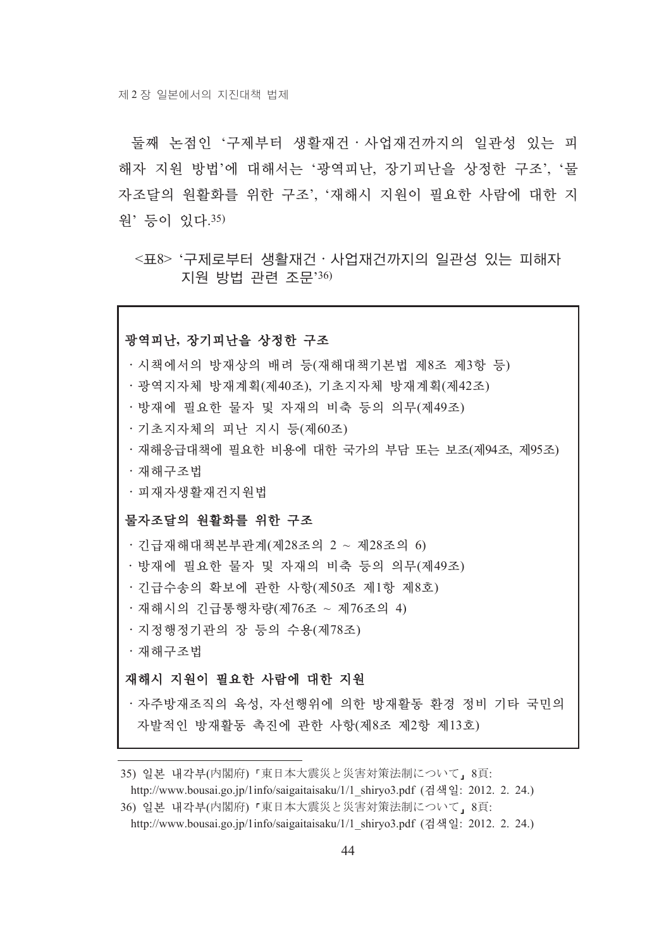둘째 논점인 '구제부터 생활재건 · 사업재건까지의 일관성 있는 피 해자 지워 방법'에 대해서는 '광역피난, 장기피난을 상정한 구조', '물 자조달의 워활화를 위한 구조' '재해시 지워이 필요한 사람에 대한 지 워' 등이 있다.35)

<표8> '구제로부터 생활재건 · 사업재건까지의 일관성 있는 피해자 지원 방법 관련 조문'36)

## 광역피난, 장기피난을 상정한 구조

- · 시책에서의 방재상의 배려 등(재해대책기본법 제8조 제3항 등)
- ·광역지자체 방재계획(제40조), 기초지자체 방재계획(제42조)
- · 방재에 필요한 물자 및 자재의 비축 등의 의무(제49조)
- · 기초지자체의 피난 지시 등(제60조)
- · 재해응급대책에 필요한 비용에 대한 국가의 부담 또는 보조(제94조, 제95조)
- · 재해구조법
- · 피재자생활재거지워법

#### 물자조달의 원활화를 위한 구조

· 긴급재해대책본부관계(제28조의 2 ~ 제28조의 6) · 방재에 필요한 물자 및 자재의 비축 등의 의무(제49조)

- 
- 긴급수송의 확보에 관한 사항(제50조 제1항 제8호)
- · 재해시의 긴급통행차량(제76조 ~ 제76조의 4)
- · 지정행정기관의 장 등의 수용(제78조)
- · 재해구조법

## 재해시 지원이 필요한 사람에 대한 지원

· 자주방재조직의 육성, 자서행위에 의한 방재활동 화경 정비 기타 국민의 자발적인 방재활동 촉진에 과한 사항(제8조 제2항 제13호)

http://www.bousai.go.jp/1info/saigaitaisaku/1/1\_shiryo3.pdf (검색일: 2012. 2. 24.)

http://www.bousai.go.jp/1info/saigaitaisaku/1/1 shiryo3.pdf (검색일: 2012. 2. 24.)

<sup>35)</sup> 일본 내각부(内閣府) 「東日本大震災と災害対策法制について、8頁:

<sup>36)</sup> 일본 내각부(内閣府)「東日本大震災と災害対策法制について」8頁: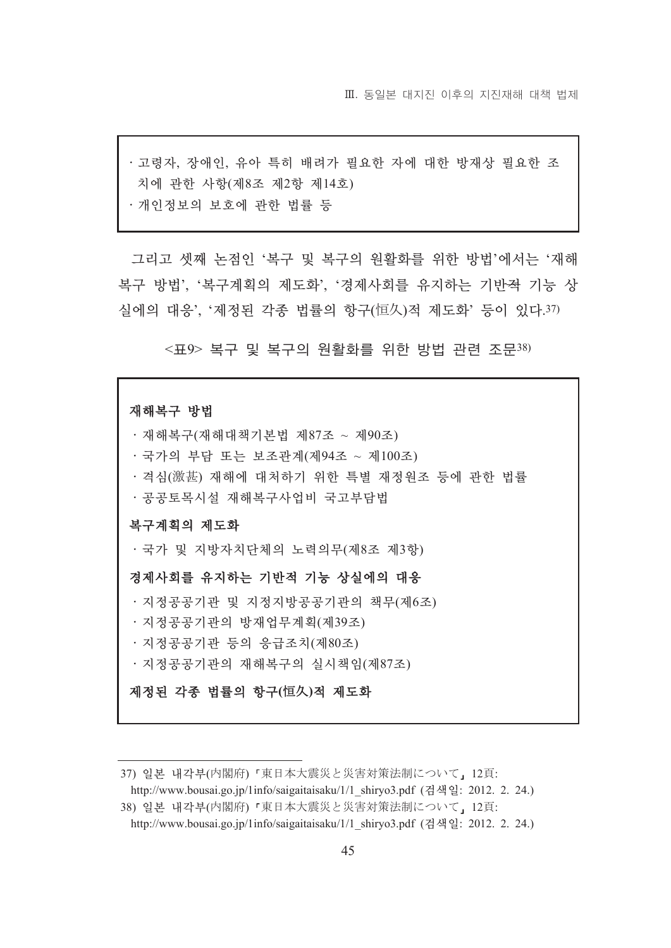Ⅲ. 동일본 대지진 이후의 지진재해 대책 법제

| ㆍ고령자, 장애인, 유아 특히 배려가 필요한 자에 대한 방재상 필요한 조 |  |  |  |
|------------------------------------------|--|--|--|
| 치에 관한 사항(제8조 제2항 제14호)                   |  |  |  |
| ㆍ개인정보의 보호에 관한 법률 등                       |  |  |  |

그리고 셋째 논점인 '복구 및 복구의 원활화를 위한 방법'에서는 '재해 복구 방법', '복구계획의 제도화', '경제사회를 유지하는 기반적 기능 상 실에의 대응', '제정된 각종 법률의 항구(恒久)적 제도화' 등이 있다.37)

## <표9> 복구 및 복구의 원활화를 위한 방법 관련 조문38)

#### 재해복구 방법

- · 재해복구(재해대책기본법 제87조 ~ 제90조)
- · 국가의 부담 또는 보조관계(제94조 ~ 제100조)
- · 격심(激甚) 재해에 대처하기 위한 특별 재정원조 등에 관한 법률
- · 공공토목시설 재해복구사업비 국고부담법

### 복구계획의 제도화

· 국가 및 지방자치단체의 노력의무(제8조 제3항)

#### 경제사회를 유지하는 기반적 기능 상실에의 대응

· 지정공공기관 및 지정지방공공기관의 책무(제6조)

- · 지정공공기관의 방재업무계획(제39조)
- · 지정공공기관 등의 응급조치(제80조)
- · 지정공공기관의 재해복구의 실시책임(제87조)

## 제정된 각종 법률의 항구(恒久)적 제도화

<sup>37)</sup> 일본 내각부(内閣府) 「東日本大震災と災害対策法制について」12頁:

http://www.bousai.go.jp/1info/saigaitaisaku/1/1\_shiryo3.pdf (검색일: 2012. 2. 24.)

<sup>38)</sup> 일본 내각부(内閣府)「東日本大震災と災害対策法制について」12頁:

http://www.bousai.go.jp/1info/saigaitaisaku/1/1 shiryo3.pdf (검색일: 2012. 2. 24.)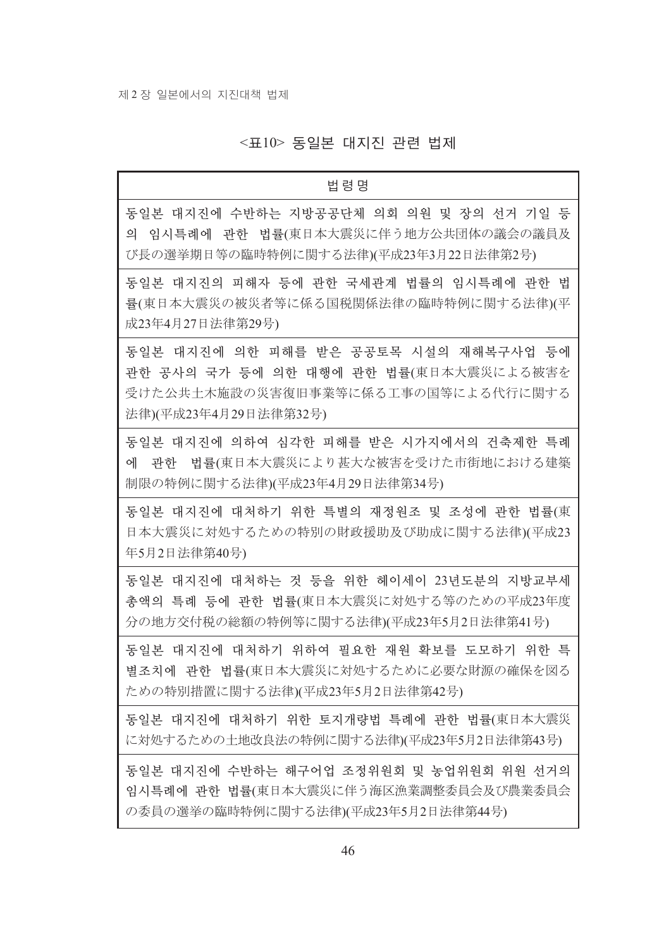## <표10> 동일본 대지진 관련 법제

# 법령명 동일본 대지진에 수반하는 지방공공단체 의회 의원 및 장의 선거 기일 등 의 임시특례에 과하 법률(東日本大震災に伴う地方公共団体の議会の議員及 び長の選挙期日等の臨時特例に関する法律)(平成23年3月22日法律第2号) 동일본 대지진의 피해자 등에 관한 국세관계 법률의 임시특례에 관한 법 <del></del> 号(東日本大震災の被災者等に係る国税関係法律の臨時特例に関する法律)(平 成23年4月27日法律第29号) 동일본 대지지에 의한 피해를 받은 공공토목 시설의 재해복구사업 등에 관한 공사의 국가 등에 의한 대행에 관한 법률(東日本大震災による被害を 受けた公共土木施設の災害復旧事業等に係る工事の国等による代行に関する 法律)(平成23年4月29日法律第32号) 동일본 대지진에 의하여 심각한 피해를 받은 시가지에서의 건축제한 특례 에 과하 법률(東日本大震災により甚大な被害を受けた市街地における建築 制限の特例に関する法律)(平成23年4月29日法律第34号) 동일본 대지지에 대처하기 위한 특별의 재정워조 및 조성에 관한 법률(東 日本大震災に対処するための特別の財政援助及び助成に関する法律)(平成23 年5月2日洪律第40号) 동일본 대지진에 대처하는 것 등을 위한 헤이세이 23년도분의 지방교부세 ※액의 특례 등에 과하 법률(東日本大震災に対処する等のための平成23年度 分の地方交付税の総額の特例等に関する法律)(平成23年5月2日法律第41号) 동일본 대지진에 대처하기 위하여 필요한 재워 확보를 도모하기 위한 특 **曽조치에 관한 법률(東日本大震災に対処するために必要な財源の確保を図る** ための特別措置に関する法律)(平成23年5月2日法律第42号) 동일본 대지진에 대처하기 위한 토지개량법 특례에 관한 법률(東日本大震災 に対処するための土地改良法の特例に関する法律)(平成23年5月2日法律第43号) 동일본 대지진에 수반하는 해구어업 조정위원회 및 농업위원회 위원 선거의 읶시특례에 관한 법률(東日本大震災に伴う海区漁業調整委員会及び農業委員会 の委員の選挙の臨時特例に関する法律)(平成23年5月2日法律第44号)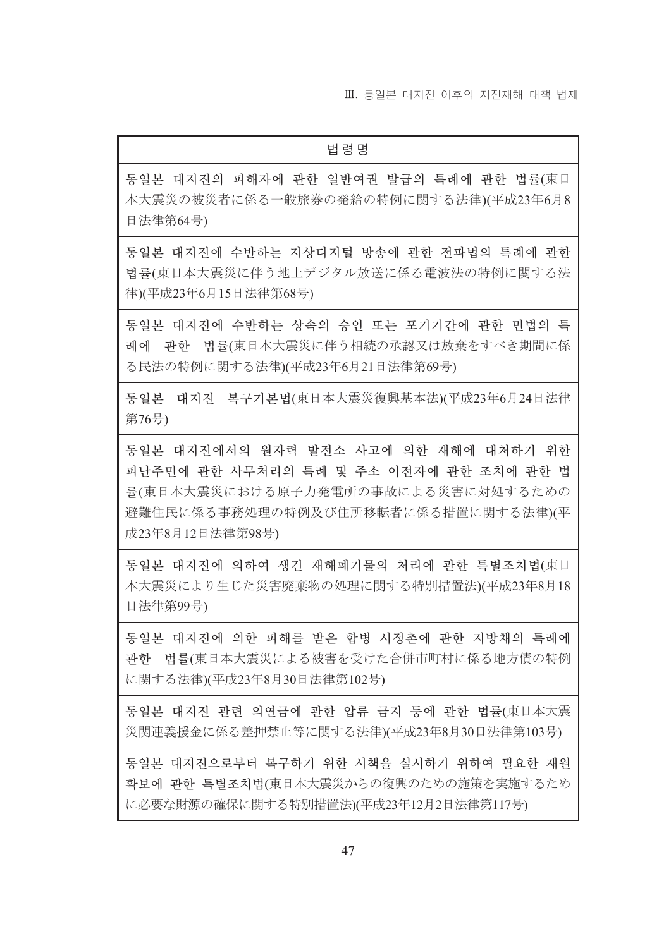Ⅲ. 동일본 대지진 이후의 지진재해 대책 법제

#### 법령명

동일본 대지진의 피해자에 관한 일반여권 발급의 특례에 관한 법률(東日 本大震災の被災者に係る一般旅券の発給の特例に関する法律)(平成23年6月8 日法律第64号)

동일본 대지진에 수반하는 지상디지털 방송에 관한 전파법의 특례에 관한 법률(東日本大震災に伴う地上デジタル放送に係る電波法の特例に関する法 律)(平成23年6月15日法律第68号)

동일본 대지진에 수반하는 상속의 승인 또는 포기기간에 관한 민법의 특 刮에 과하 법률(東日本大震災に伴う相続の承認又は放棄をすべき期間に係 る民法の特例に関する法律)(平成23年6月21日法律第69号)

동일본 대지진 복구기본법(東日本大震災復興基本法)(平成23年6月24日法律 第76号)

동일본 대지지에서의 워자력 발전소 사고에 의한 재해에 대처하기 위한 피난주민에 관한 사무처리의 특례 및 주소 이전자에 관한 조치에 관한 법 暑(東日本大震災における原子力発電所の事故による災害に対処するための 避難住民に係る事務処理の特例及び住所移転者に係る措置に関する法律)(平 成23年8月12日法律第98号)

동일본 대지진에 의하여 생긴 재해폐기물의 처리에 관한 특별조치법(東日 本大震災により生じた災害廃棄物の処理に関する特別措置法)(平成23年8月18 日法律第99号)

동일본 대지진에 의한 피해를 받은 합병 시정촌에 관한 지방채의 특례에 과하 법률(東日本大震災による被害を受けた合併市町村に係る地方債の特例 に関する法律)(平成23年8月30日法律第102号)

동일본 대지진 관련 의연금에 관한 압류 금지 등에 관한 법률(東日本大震 災関連義援金に係る差押禁止等に関する法律)(平成23年8月30日法律第103号)

동일본 대지진으로부터 복구하기 위한 시책을 실시하기 위하여 필요한 재워  **확보에 과하 특별조치법(東日本大震災からの復興のための施策を実施するため** に必要な財源の確保に関する特別措置法)(平成23年12月2日法律第117号)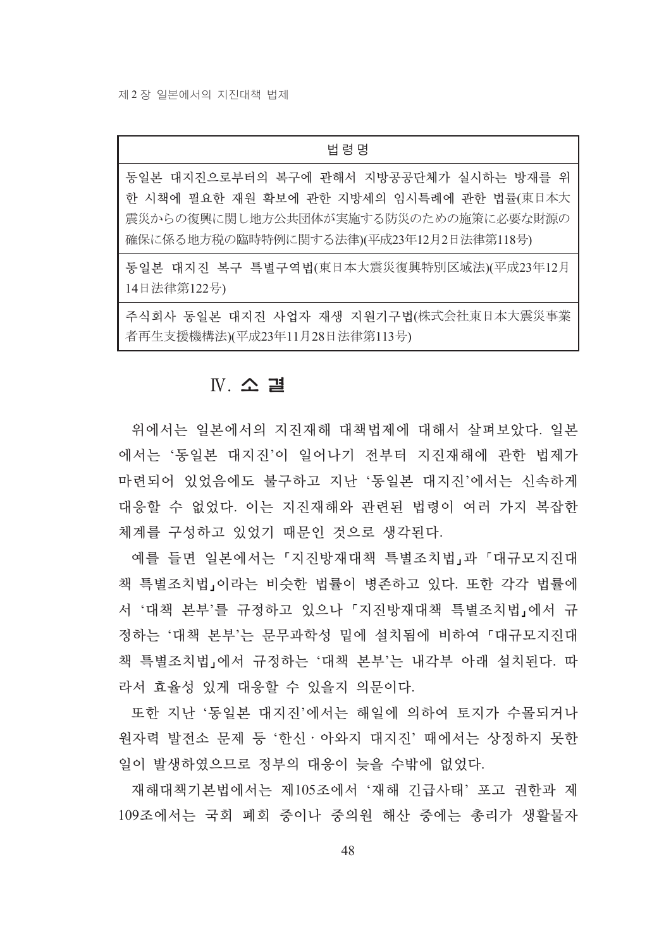#### 법령명

동일본 대지진으로부터의 복구에 관해서 지방공공단체가 실시하는 방재를 위 한 시책에 필요한 재워 확보에 관한 지방세의 임시특례에 관한 법률(東日本大 震災からの復興に関し地方公共団体が実施する防災のための施策に必要な財源の 確保に係る地方税の臨時特例に関する法律)(平成23年12月2日法律第118号)

동일본 대지진 복구 특별구역법(東日本大震災復興特別区域法)(平成23年12月 14日法律第122号)

주식회사 동일본 대지진 사업자 재생 지원기구법(株式会社東日本大震災事業 者再生支援機構法)(平成23年11月28日法律第113号)

## N. 소 결

위에서는 일본에서의 지진재해 대책법제에 대해서 살펴보았다. 일본 에서는 '동일본 대지진'이 일어나기 전부터 지진재해에 관한 법제가 마련되어 있었음에도 불구하고 지난 '동일본 대지진'에서는 신속하게 대응할 수 없었다. 이는 지진재해와 관련된 법령이 여러 가지 복잡한 체계를 구성하고 있었기 때문인 것으로 생각된다.

예를 들면 일본에서는 「지진방재대책 특별조치법」과 「대규모지진대 책 특별조치법」이라는 비슷한 법률이 병존하고 있다. 또한 각각 법률에 서 '대책 본부'를 규정하고 있으나 「지진방재대책 특별조치법」에서 규 정하는 '대책 본부'는 문무과학성 밑에 설치됨에 비하여 「대규모지진대 책 특별조치법」에서 규정하는 '대책 본부'는 내각부 아래 설치된다. 따 라서 효율성 있게 대응할 수 있을지 의문이다.

또한 지난 '동일본 대지진'에서는 해일에 의하여 토지가 수몰되거나 워자력 발전소 문제 등 '한신 · 아와지 대지진' 때에서는 상정하지 못한 일이 발생하였으므로 정부의 대응이 늦을 수밖에 없었다.

재해대책기본법에서는 제105조에서 '재해 긴급사태' 포고 권한과 제 109조에서는 국회 폐회 중이나 중의원 해산 중에는 총리가 생활물자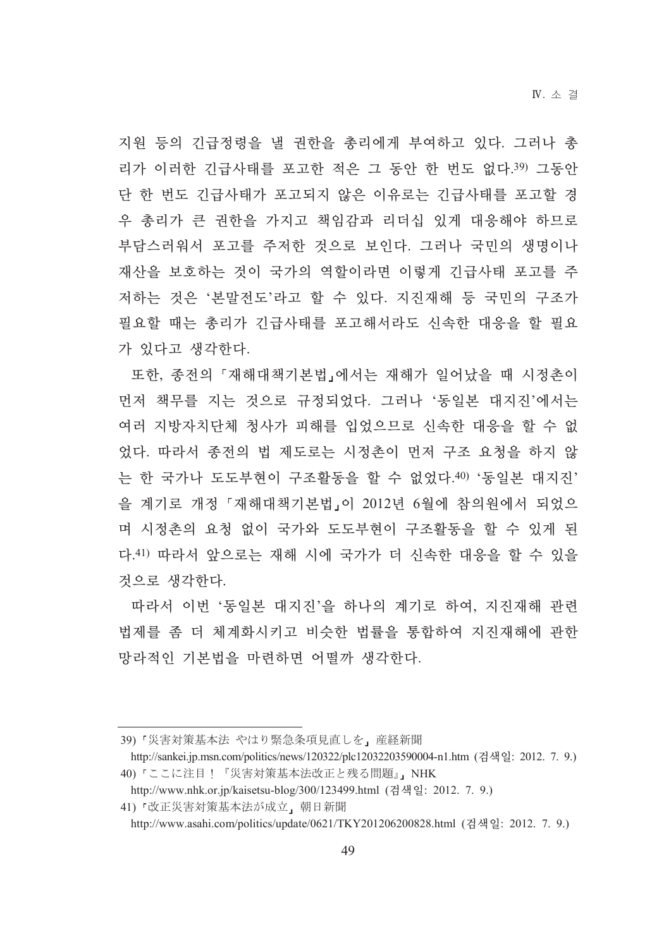지원 등의 긴급정령을 낼 권한을 총리에게 부여하고 있다. 그러나 총 리가 이러한 긴급사태를 포고한 적은 그 동안 한 번도 없다.39) 그동안 단 한 번도 긴급사태가 포고되지 않은 이유로는 긴급사태를 포고할 경 우 총리가 큰 권한을 가지고 책임감과 리더십 있게 대응해야 하므로 부담스러워서 포고를 주저한 것으로 보인다. 그러나 국민의 생명이나 재산을 보호하는 것이 국가의 역할이라면 이렇게 긴급사태 포고를 주 저하는 것은 '본말전도'라고 할 수 있다. 지진재해 등 국민의 구조가 필요할 때는 총리가 긴급사태를 포고해서라도 신속한 대응을 할 필요 가 있다고 생각한다.

또한, 종전의 『재해대책기본법』에서는 재해가 일어났을 때 시정촌이 먼저 책무를 지는 것으로 규정되었다. 그러나 '동일본 대지진'에서는 여러 지방자치단체 청사가 피해를 입었으므로 신속한 대응을 할 수 없 었다. 따라서 종전의 법 제도로는 시정촌이 먼저 구조 요청을 하지 않 는 한 국가나 도도부현이 구조활동을 할 수 없었다.40) '동일본 대지진' 을 계기로 개정 『재해대책기본법』이 2012년 6월에 참의원에서 되었으 며 시정촌의 요청 없이 국가와 도도부현이 구조활동을 할 수 있게 된 다.41) 따라서 앞으로는 재해 시에 국가가 더 신속한 대응을 할 수 있을 것으로 생각한다.

따라서 이번 '동일본 대지진'을 하나의 계기로 하여, 지진재해 관련 법제를 좀 더 체계화시키고 비슷한 법률을 통합하여 지진재해에 관한 망라적인 기본법을 마련하면 어떨까 생각한다.

41) 「改正災害対策基本法が成立」朝日新聞

<sup>39)「</sup>災害対策基本法 やはり緊急条項見直しを」産経新聞

http://sankei.jp.msn.com/politics/news/120322/plc12032203590004-n1.htm (검색일: 2012. 7. 9.) 40)「ここに注目!『災害対策基本法改正と残る問題』, NHK

http://www.nhk.or.jp/kaisetsu-blog/300/123499.html (검색일: 2012. 7. 9.)

http://www.asahi.com/politics/update/0621/TKY201206200828.html (검색일: 2012. 7. 9.)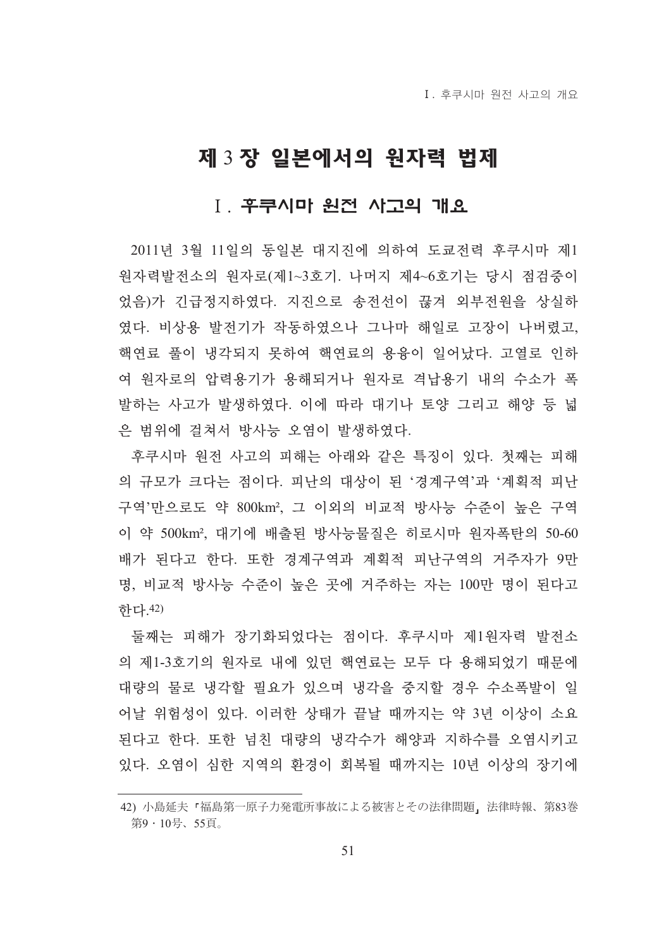# 제 3 장 일본에서의 원자력 법제

# Ⅰ 후쿠시마 원전 사고의 개요

2011년 3월 11일의 동일본 대지진에 의하여 도쿄전력 후쿠시마 제1 원자력발전소의 원자로(제1~3호기. 나머지 제4~6호기는 당시 점검중이 었음)가 긴급정지하였다. 지진으로 송전선이 끊겨 외부전원을 상실하 였다. 비상용 발전기가 작동하였으나 그나마 해일로 고장이 나버렸고, 핵연료 풀이 냉각되지 못하여 핵연료의 용융이 일어났다. 고열로 인하 여 원자로의 압력용기가 용해되거나 원자로 격납용기 내의 수소가 폭 발하는 사고가 발생하였다. 이에 따라 대기나 토양 그리고 해양 등 넓 은 범위에 걸쳐서 방사능 오염이 발생하였다.

후쿠시마 원전 사고의 피해는 아래와 같은 특징이 있다. 첫째는 피해 의 규모가 크다는 점이다. 피난의 대상이 된 '경계구역'과 '계획적 피난 구역'만으로도 약 800km2, 그 이외의 비교적 방사능 수준이 높은 구역 이 약 500km2, 대기에 배출된 방사능물질은 히로시마 워자폭탄의 50-60 배가 된다고 한다. 또한 경계구역과 계획적 피난구역의 거주자가 9만 명, 비교적 방사능 수준이 높은 곳에 거주하는 자는 100만 명이 된다고 하다 42)

둘째는 피해가 장기화되었다는 점이다. 후쿠시마 제1워자력 발전소 의 제1-3호기의 워자로 내에 있던 핵여료는 모두 다 용해되었기 때문에 대량의 물로 냉각할 필요가 있으며 냉각을 중지할 경우 수소폭발이 일 어날 위험성이 있다. 이러한 상태가 끝날 때까지는 약 3년 이상이 소요 된다고 한다. 또한 넘친 대량의 냉각수가 해양과 지하수를 오염시키고 있다. 오염이 심한 지역의 환경이 회복될 때까지는 10년 이상의 장기에

<sup>42)</sup> 小島延夫「福島第一原子力発電所事故による被害とその法律問題、法律時報、第83巻 第9·10号、55頁。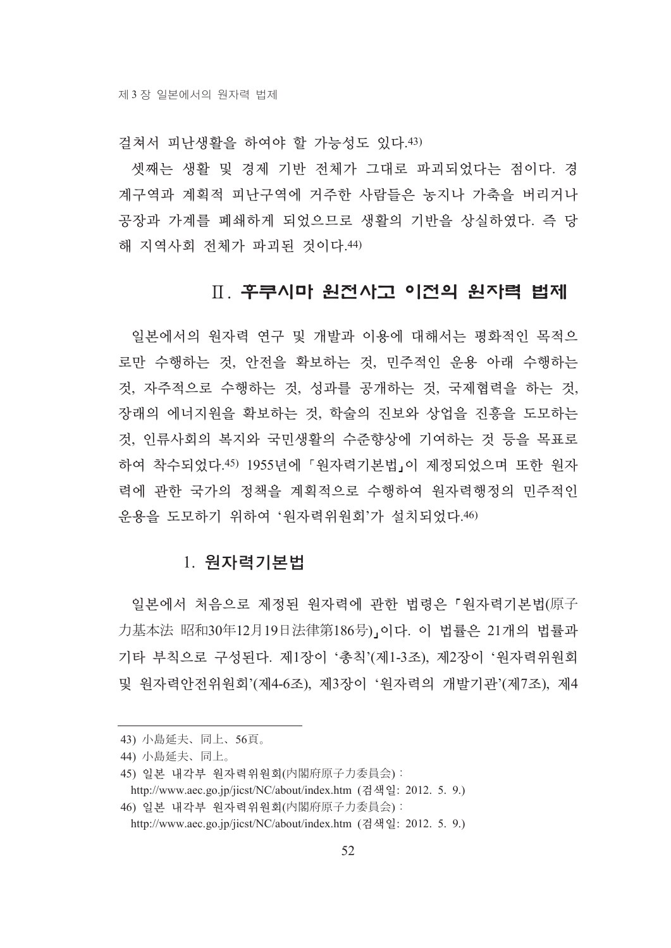걸쳐서 피난생활을 하여야 할 가능성도 있다. 43)

셋째는 생활 및 경제 기반 전체가 그대로 파괴되었다는 점이다. 경 계구역과 계획적 피난구역에 거주한 사람들은 농지나 가축을 버리거나 공장과 가계를 폐쇄하게 되었으므로 생활의 기반을 상실하였다. 즉 당 해 지역사회 전체가 파괴된 것이다.44)

## Ⅱ 후쿠시마 원전사고 이전의 원자력 법제

일본에서의 원자력 연구 및 개발과 이용에 대해서는 평화적인 목적으 로만 수행하는 것, 안전을 확보하는 것, 민주적인 운용 아래 수행하는 것, 자주적으로 수행하는 것, 성과를 공개하는 것, 국제협력을 하는 것, 장래의 에너지원을 확보하는 것, 학술의 진보와 상업을 진흥을 도모하는 것, 인류사회의 복지와 국민생활의 수준향상에 기여하는 것 등을 목표로 하여 착수되었다.45) 1955년에 「워자력기본법」이 제정되었으며 또한 워자 력에 관한 국가의 정책을 계획적으로 수행하여 원자력행정의 민주적인 운용을 도모하기 위하여 '워자력위워회'가 설치되었다.46)

## 1. 워자력기본법

일본에서 처음으로 제정된 원자력에 관한 법령은 「원자력기본법(原子 力基本法 昭和30年12月19日法律第186号)」이다. 이 법률은 21개의 법률과 기타 부칙으로 구성된다. 제1장이 '총칙'(제1-3조), 제2장이 '원자력위원회 및 워자력안전위워회'(제4-6조), 제3장이 '워자력의 개발기관'(제7조), 제4

<sup>43)</sup> 小島延夫、同上、56頁。

<sup>44)</sup> 小島延夫、同上。

<sup>45)</sup> 일본 내각부 워자력위워회(内閣府原子力委員会):

http://www.aec.go.jp/jicst/NC/about/index.htm (검색일: 2012. 5. 9.)

<sup>46)</sup> 일본 내각부 워자력위워회(内閣府原子力委員会):

http://www.aec.go.jp/jicst/NC/about/index.htm (검색일: 2012. 5. 9.)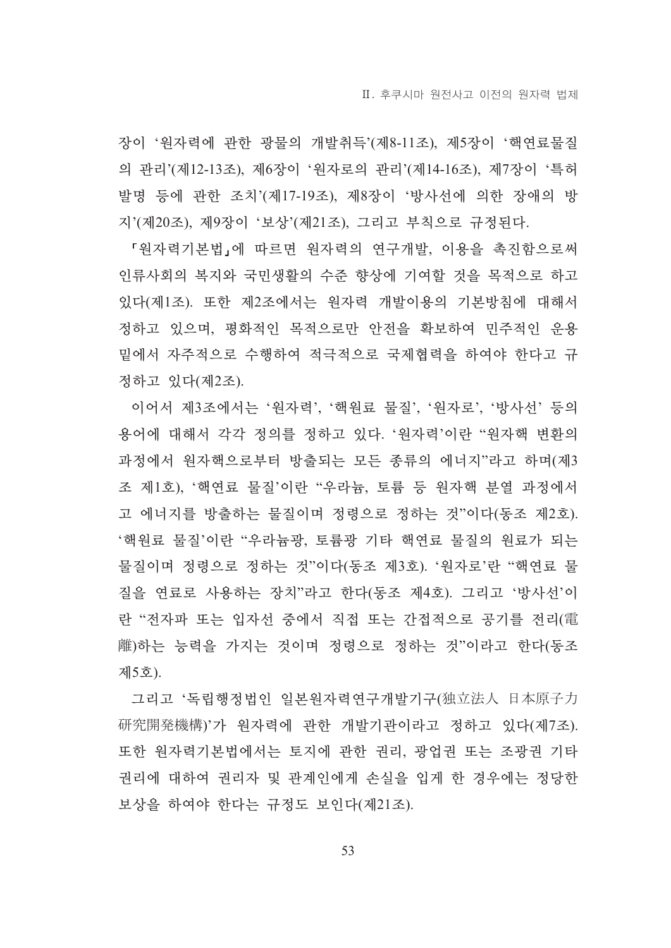장이 '원자력에 관한 광물의 개발취득'(제8-11조), 제5장이 '핵연료물질 의 관리'(제12-13조), 제6장이 '워자로의 관리'(제14-16조), 제7장이 '특허 발명 등에 관한 조치'(제17-19조), 제8장이 '방사선에 의한 장애의 방 지'(제20조), 제9장이 '보상'(제21조), 그리고 부칙으로 규정된다.

「원자력기본법」에 따르면 원자력의 연구개발, 이용을 촉진함으로써 인류사회의 복지와 국민생활의 수준 향상에 기여할 것을 목적으로 하고 있다(제1조). 또한 제2조에서는 원자력 개발이용의 기본방침에 대해서 정하고 있으며, 평화적인 목적으로만 안전을 확보하여 민주적인 운용 믿에서 자주적으로 수행하여 적극적으로 국제협력을 하여야 한다고 규 정하고 있다(제2조).

이어서 제3조에서는 '원자력', '핵원료 물질', '원자로', '방사선' 등의 용어에 대해서 각각 정의를 정하고 있다. '원자력'이란 "원자핵 변환의 과정에서 원자핵으로부터 방출되는 모든 종류의 에너지"라고 하며(제3 조 제1호), '핵연료 물질'이란 "우라늄, 토류 등 워자핵 분열 과정에서 고 에너지를 방출하는 물질이며 정령으로 정하는 것"이다(동조 제2호). '핵원료 물질'이란 "우라늄광, 토륨광 기타 핵연료 물질의 원료가 되는 물질이며 정령으로 정하는 것"이다(동조 제3호). '원자로'란 "핵연료 물 질을 연료로 사용하는 장치"라고 한다(동조 제4호). 그리고 '방사선'이 란 "전자파 또는 입자선 중에서 직접 또는 간접적으로 공기를 전리(電 離)하는 능력을 가지는 것이며 정령으로 정하는 것"이라고 한다(동조 제5호).

그리고 '독립행정법인 일본원자력연구개발기구(独立法人 日本原子力 研究開発機構)'가 원자력에 관한 개발기관이라고 정하고 있다(제7조). 또한 원자력기본법에서는 토지에 관한 권리, 광업권 또는 조광권 기타 권리에 대하여 권리자 및 관계인에게 손실을 입게 한 경우에는 정당한 보상을 하여야 한다는 규정도 보인다(제21조).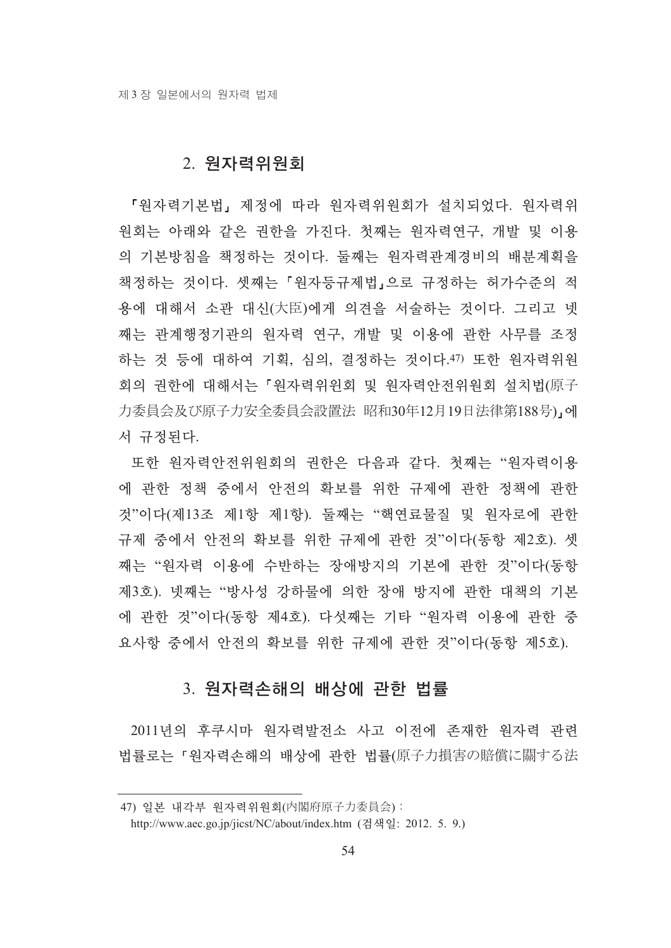## 2. 원자력위원회

「원자력기본법」 제정에 따라 원자력위원회가 설치되었다. 원자력위 워회는 아래와 같은 권한을 가진다. 첫째는 워자력연구, 개발 및 이용 의 기본방침을 책정하는 것이다. 둘째는 워자력관계경비의 배분계획을 책정하는 것이다. 셋째는 「원자등규제법」으로 규정하는 허가수준의 적 용에 대해서 소과 대시(大臣)에게 의견을 서술하는 것이다. 그리고 넷 째는 관계행정기관의 워자력 연구, 개발 및 이용에 관한 사무를 조정 하는 것 등에 대하여 기획, 심의, 결정하는 것이다.47) 또한 원자력위원 회의 권한에 대해서는 「워자력위위회 및 워자력안전위워회 설치법(原子 力委員会及び原子力安全委員会設置法 昭和30年12月19日法律第188号)』에 서 규정된다.

또한 원자력안전위원회의 권한은 다음과 같다. 첫째는 "원자력이용 에 과한 정책 중에서 아저의 확보를 위한 규제에 과한 정책에 과한 것"이다(제13조 제1항 제1항). 둘째는 "핵연료물질 및 워자로에 관한 규제 중에서 안전의 확보를 위한 규제에 관한 것"이다(동항 제2호). 셋 째는 "원자력 이용에 수반하는 장애방지의 기본에 관한 것"이다(동항 제3호). 넷째는 "방사성 강하물에 의한 장애 방지에 관한 대책의 기본 에 관한 것"이다(동항 제4호). 다섯째는 기타 "원자력 이용에 관한 중 요사항 중에서 안전의 확보를 위한 규제에 관한 것"이다(동항 제5호).

## 3. 원자력손해의 배상에 관한 법률

2011년의 후쿠시마 워자력발전소 사고 이전에 존재한 워자력 관련 법률로는「워자력손해의 배상에 관한 법률(原子力損害の賠償に關する法

<sup>47)</sup> 일본 내각부 워자력위워회(内閣府原子力委員会):

http://www.aec.go.jp/jicst/NC/about/index.htm (검색일: 2012. 5. 9.)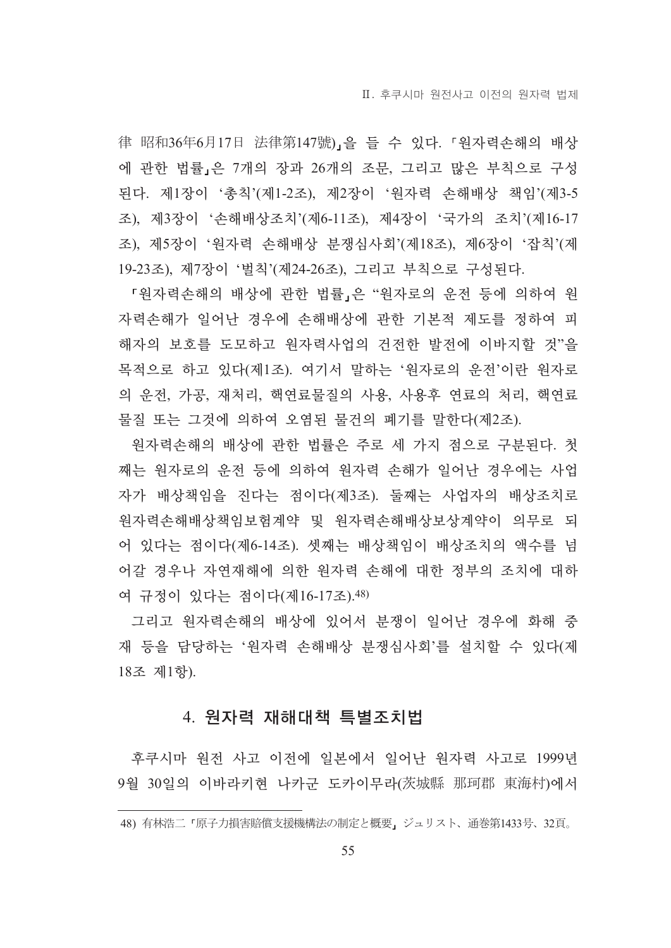律 昭和36年6月17日 法律第147號)」을 들 수 있다. 「원자력손해의 배상 에 관한 법률」은 7개의 장과 26개의 조문, 그리고 많은 부칙으로 구성 된다. 제1장이 '총칙'(제1-2조), 제2장이 '원자력 손해배상 책임'(제3-5 조), 제3장이 '손해배상조치'(제6-11조), 제4장이 '국가의 조치'(제16-17 조), 제5장이 '워자력 손해배상 분쟁심사회'(제18조), 제6장이 '잡칙'(제 19-23조), 제7장이 '벌칙'(제24-26조), 그리고 부칙으로 구성된다.

「원자력손해의 배상에 관한 법률」은 "원자로의 운전 등에 의하여 원 자력손해가 일어난 경우에 손해배상에 관한 기본적 제도를 정하여 피 해자의 보호를 도모하고 원자력사업의 건전한 발전에 이바지할 것"을 목적으로 하고 있다(제1조). 여기서 말하는 '원자로의 운전'이란 원자로 의 운전, 가공, 재처리, 핵연료물질의 사용, 사용후 연료의 처리, 핵연료 물질 또는 그것에 의하여 오염된 물건의 폐기를 말한다(제2조).

원자력손해의 배상에 관한 법률은 주로 세 가지 점으로 구분된다. 첫 째는 원자로의 운전 등에 의하여 원자력 손해가 일어난 경우에는 사업 자가 배상책임을 진다는 점이다(제3조). 둘째는 사업자의 배상조치로 원자력손해배상책임보험계약 및 원자력손해배상보상계약이 의무로 되 어 있다는 점이다(제6-14조). 셋째는 배상책임이 배상조치의 액수를 넘 어갈 경우나 자연재해에 의한 원자력 손해에 대한 정부의 조치에 대하 여 규정이 있다는 점이다(제16-17조).48)

그리고 워자력손해의 배상에 있어서 분쟁이 일어난 경우에 화해 중 재 등을 담당하는 '워자력 손해배상 부쟁심사회'를 설치할 수 있다(제 18조 제1항).

## 4. 원자력 재해대책 특별조치법

후쿠시마 원전 사고 이전에 일본에서 일어난 원자력 사고로 1999년 9월 30일의 이바라키현 나카군 도카이무라(茨城縣 那珂郡 東海村)에서

<sup>48)</sup> 有林浩二『原子力損害賠償支援機構法の制定と概要』ジュリスト、通巻第1433号、32頁。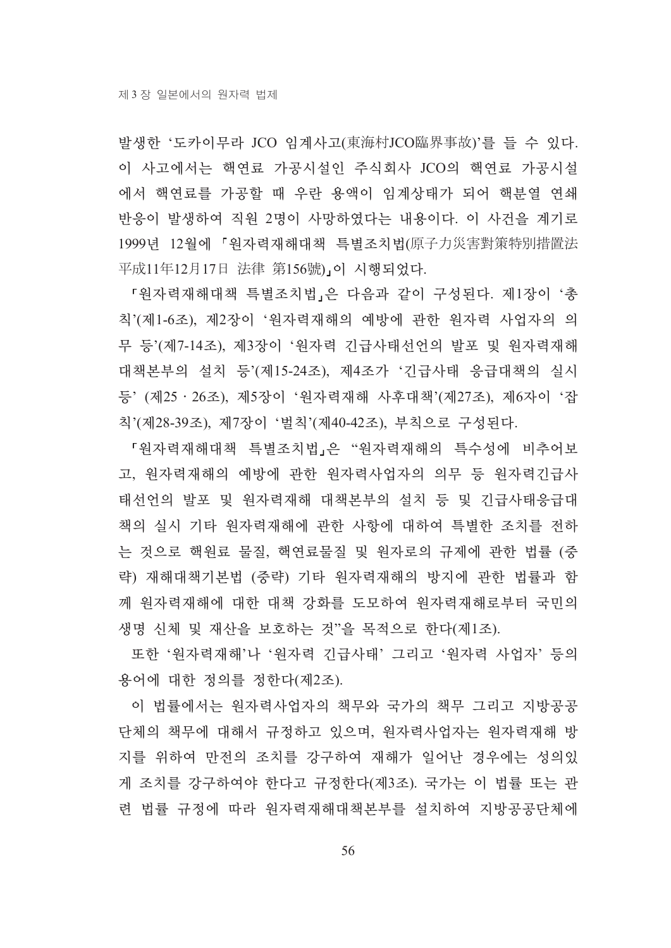발생한 '도카이무라 JCO 임계사고(東海村JCO臨界事故)'를 들 수 있다. 이 사고에서는 핵연료 가공시설인 주식회사 JCO의 핵연료 가공시설 에서 핵연료를 가공할 때 우란 용액이 임계상태가 되어 핵분열 연쇄 반응이 발생하여 직원 2명이 사망하였다는 내용이다. 이 사건을 계기로 1999년 12월에 「워자력재해대책 특별조치법(原子力災害對策特別措置法 平成11年12月17日 法律 第156號)」이 시행되었다.

「원자력재해대책 특별조치법」은 다음과 같이 구성된다. 제1장이'총 칙'(제1-6조), 제2장이 '원자력재해의 예방에 관한 원자력 사업자의 의 무 등'(제7-14조), 제3장이 '원자력 긴급사태선언의 발포 및 원자력재해 대책본부의 설치 등'(제15-24조), 제4조가 '긴급사태 응급대책의 실시 등' (제25 · 26조), 제5장이 '원자력재해 사후대책'(제27조), 제6자이 '잡 칙'(제28-39조), 제7장이 '벌칙'(제40-42조), 부칙으로 구성된다.

「원자력재해대책 특별조치법」은 "원자력재해의 특수성에 비추어보 고, 워자력재해의 예방에 관한 워자력사업자의 의무 등 워자력긴급사 태선언의 발포 및 원자력재해 대책본부의 설치 등 및 긴급사태응급대 책의 실시 기타 워자력재해에 관한 사항에 대하여 특별한 조치를 전하 는 것으로 핵원료 물질, 핵연료물질 및 원자로의 규제에 관한 법률 (중 략) 재해대책기본법 (중략) 기타 워자력재해의 방지에 관한 법률과 함 께 원자력재해에 대한 대책 강화를 도모하여 원자력재해로부터 국민의 생명 신체 및 재산을 보호하는 것"을 목적으로 한다(제1조).

또한 '원자력재해'나 '원자력 긴급사태' 그리고 '원자력 사업자' 등의 용어에 대한 정의를 정한다(제2조).

이 법률에서는 원자력사업자의 책무와 국가의 책무 그리고 지방공공 다체의 책무에 대해서 규정하고 있으며, 원자력사업자는 원자력재해 방 지를 위하여 만전의 조치를 강구하여 재해가 일어난 경우에는 성의있 게 조치를 강구하여야 한다고 규정한다(제3조). 국가는 이 법률 또는 관 련 법률 규정에 따라 워자력재해대책본부를 설치하여 지방공공다체에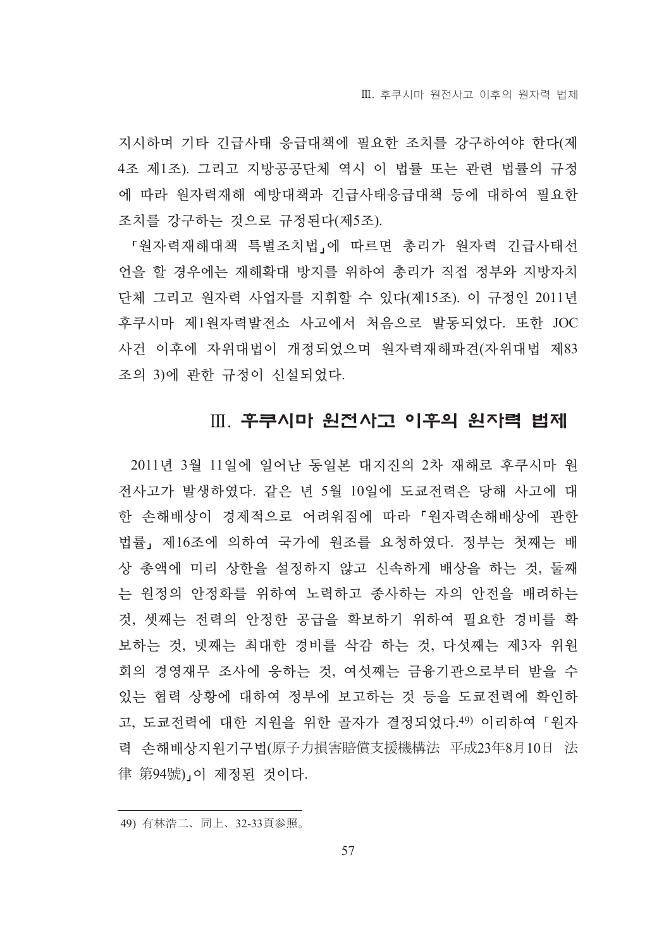지시하며 기타 긴급사태 응급대책에 필요한 조치를 강구하여야 한다(제 4조 제1조). 그리고 지방공공단체 역시 이 법률 또는 관련 법률의 규정 에 따라 원자력재해 예방대책과 긴급사태응급대책 등에 대하여 필요한 조치를 강구하는 것으로 규정된다(제5조).

「워자력재해대책 특별조치법」에 따르면 총리가 원자력 긴급사태선 언을 할 경우에는 재해확대 방지를 위하여 총리가 직접 정부와 지방자치 단체 그리고 원자력 사업자를 지휘할 수 있다(제15조). 이 규정인 2011년 후쿠시마 제1원자력발전소 사고에서 처음으로 발동되었다. 또한 JOC 사건 이후에 자위대법이 개정되었으며 원자력재해파견(자위대법 제83 조의 3)에 관한 규정이 신설되었다.

## Ⅲ. 후쿠시마 원전사고 이후의 원자력 법제

2011년 3월 11일에 일어난 동일본 대지진의 2차 재해로 후쿠시마 원 전사고가 발생하였다. 같은 년 5월 10일에 도쿄전력은 당해 사고에 대 한 손해배상이 경제적으로 어려워짐에 따라 「워자력손해배상에 관한 법률, 제16조에 의하여 국가에 원조를 요청하였다. 정부는 첫째는 배 상 총액에 미리 상한을 설정하지 않고 신속하게 배상을 하는 것, 둘째 는 원정의 안정화를 위하여 노력하고 종사하는 자의 안전을 배려하는 것, 셋째는 전력의 안정한 공급을 확보하기 위하여 필요한 경비를 확 보하는 것, 넷째는 최대한 경비를 삭감 하는 것, 다섯째는 제3자 위원 회의 경영재무 조사에 응하는 것, 여섯째는 금융기관으로부터 받을 수 있는 협력 상황에 대하여 정부에 보고하는 것 등을 도쿄저력에 확인하 고, 도쿄전력에 대한 지원을 위한 골자가 결정되었다.49) 이리하여 「원자 력 손해배상지원기구법(原子力損害賠償支援機構法 平成23年8月10日 法 律 第94號)」이 제정된 것이다.

<sup>49)</sup> 有林浩二、同上、32-33頁参照。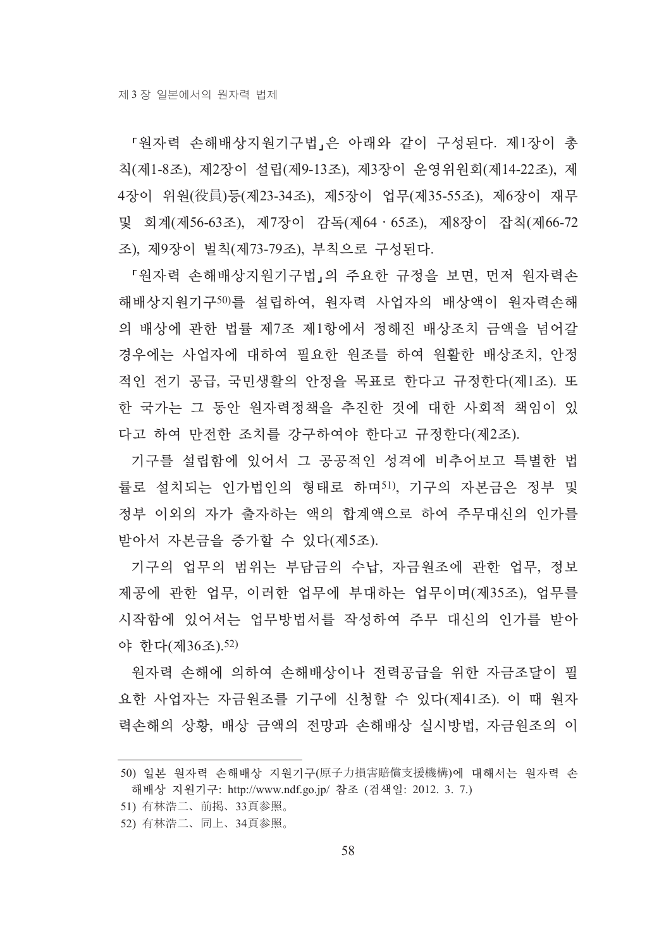「워자력 손해배상지워기구법」은 아래와 같이 구성되다. 제1장이 총 칙(제1-8조), 제2장이 설립(제9-13조), 제3장이 운영위원회(제14-22조), 제 4장이 위원(役員)등(제23-34조), 제5장이 업무(제35-55조), 제6장이 재무 및 회계(제56-63조), 제7장이 감독(제64·65조), 제8장이 잡칙(제66-72 조), 제9장이 벌칙(제73-79조), 부칙으로 구성된다.

「원자력 손해배상지원기구법」의 주요한 규정을 보면, 먼저 원자력손 해배상지워기구50)를 설립하여, 워자력 사업자의 배상액이 워자력손해 의 배상에 관한 법률 제7조 제1항에서 정해진 배상조치 금액을 넘어갈 경우에는 사업자에 대하여 필요한 원조를 하여 원활한 배상조치, 안정 적인 전기 공급, 국민생활의 안정을 목표로 한다고 규정한다(제1조). 또 한 국가는 그 동안 원자력정책을 추진한 것에 대한 사회적 책임이 있 다고 하여 만전한 조치를 강구하여야 한다고 규정한다(제2조).

기구를 설립함에 있어서 그 공공적인 성격에 비추어보고 특별한 법 률로 설치되는 인가법인의 형태로 하며51), 기구의 자본금은 정부 및 정부 이외의 자가 출자하는 액의 합계액으로 하여 주무대시의 인가를 받아서 자본금을 증가할 수 있다(제5조).

기구의 업무의 범위는 부담금의 수납, 자금원조에 관한 업무, 정보 제공에 관한 업무, 이러한 업무에 부대하는 업무이며(제35조), 업무를 시작함에 있어서는 업무방법서를 작성하여 주무 대신의 인가를 받아 야 한다(제36조).52)

원자력 손해에 의하여 손해배상이나 전력공급을 위한 자금조달이 필 요한 사업자는 자금워조를 기구에 신청할 수 있다(제41조). 이 때 워자 력손해의 상황, 배상 금액의 전망과 손해배상 실시방법, 자금원조의 이

<sup>50)</sup> 일본 워자력 손해배상 지워기구(原子力損害賠償支援機構)에 대해서는 워자력 손 해배상 지원기구: http://www.ndf.go.jp/ 참조 (검색일: 2012. 3. 7.)

<sup>51)</sup> 有林浩二、前揭、33頁参照。

<sup>52)</sup> 有林浩二、同上、34頁参照。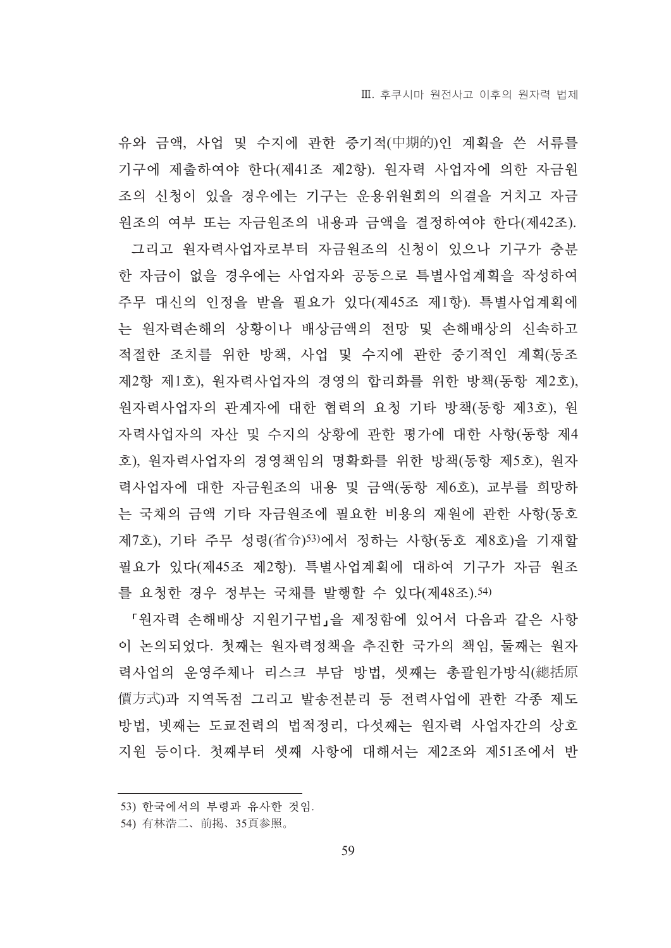유와 금액, 사업 및 수지에 관한 중기적(中期的)인 계획을 쓴 서류를 기구에 제출하여야 한다(제41조 제2항). 워자력 사업자에 의한 자금워 조의 신청이 있을 경우에는 기구는 운용위원회의 의결을 거치고 자금 원조의 여부 또는 자금원조의 내용과 금액을 결정하여야 한다(제42조). 그리고 원자력사업자로부터 자금원조의 신청이 있으나 기구가 충분 한 자금이 없을 경우에는 사업자와 공동으로 특별사업계획을 작성하여 주무 대신의 인정을 받을 필요가 있다(제45조 제1항). 특별사업계획에 는 원자력손해의 상황이나 배상금액의 전망 및 손해배상의 신속하고 적절한 조치를 위한 방책, 사업 및 수지에 관한 중기적인 계획(동조 제2항 제1호), 워자력사업자의 경영의 합리화를 위한 방책(동항 제2호), 원자력사업자의 관계자에 대한 협력의 요청 기타 방책(동항 제3호), 원 자력사업자의 자산 및 수지의 상황에 관한 평가에 대한 사항(동항 제4 호), 원자력사업자의 경영책임의 명확화를 위한 방책(동항 제5호), 원자 력사업자에 대한 자금워조의 내용 및 금액(동항 제6호), 교부를 희망하 는 국채의 금액 기타 자금워조에 필요한 비용의 재워에 과한 사항(동호 제7호), 기타 주무 성령(省令)53)에서 정하는 사항(동호 제8호)을 기재할 필요가 있다(제45조 제2항). 특별사업계획에 대하여 기구가 자금 원조 를 요청한 경우 정부는 국채를 발행할 수 있다(제48조).54)

「원자력 손해배상 지원기구법」을 제정함에 있어서 다음과 같은 사항 이 논의되었다. 첫째는 워자력정책을 추진한 국가의 책임, 둘째는 워자 력사업의 운영주체나 리스크 부담 방법, 셋째는 총괄원가방식(總括原 價方式)과 지역독점 그리고 발송전분리 등 전력사업에 관한 각종 제도 방법, 넷째는 도쿄전력의 법적정리, 다섯째는 원자력 사업자간의 상호 지원 등이다. 첫째부터 셋째 사항에 대해서는 제2조와 제51조에서 반

54) 有林浩二、前揭、35頁参照。

<sup>53)</sup> 한국에서의 부령과 유사한 것임.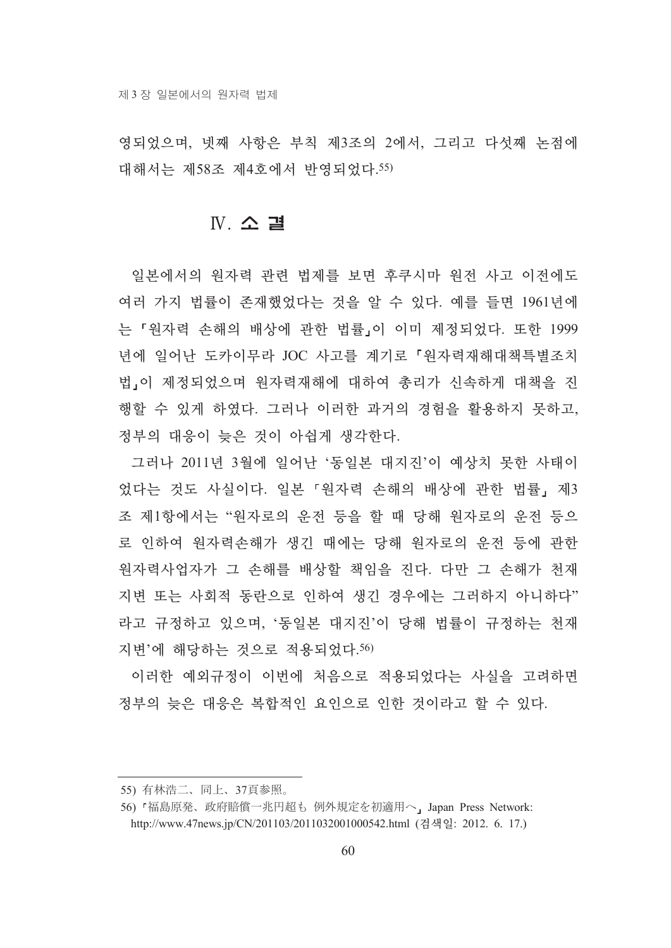영되었으며, 넷째 사항은 부칙 제3조의 2에서, 그리고 다섯째 논점에 대해서는 제58조 제4호에서 반영되었다. 55)

## N 소 결

일본에서의 원자력 관련 법제를 보면 후쿠시마 원전 사고 이전에도 여러 가지 법률이 존재했었다는 것을 알 수 있다. 예를 들면 1961년에 는 「워자력 손해의 배상에 관한 법률」이 이미 제정되었다. 또한 1999 년에 일어난 도카이무라 JOC 사고를 계기로 「원자력재해대책특별조치 법」이 제정되었으며 원자력재해에 대하여 총리가 신속하게 대책을 진 행할 수 있게 하였다. 그러나 이러한 과거의 경험을 활용하지 못하고, 정부의 대응이 늦은 것이 아쉽게 생각한다.

그러나 2011년 3월에 일어난 '동일본 대지진'이 예상치 못한 사태이 었다는 것도 사실이다. 일본 「워자력 손해의 배상에 관한 법률」제3 조 제1항에서는 "원자로의 운전 등을 할 때 당해 원자로의 운전 등으 로 인하여 원자력손해가 생긴 때에는 당해 원자로의 운전 등에 관한 워자력사업자가 그 손해를 배상할 책임을 진다. 다만 그 손해가 천재 지변 또는 사회적 동란으로 인하여 생긴 경우에는 그러하지 아니하다" 라고 규정하고 있으며, '동일본 대지진'이 당해 법률이 규정하는 천재 지변'에 해당하는 것으로 적용되었다.56)

이러한 예외규정이 이번에 처음으로 적용되었다는 사실을 고려하면 정부의 늦은 대응은 복합적인 요인으로 인한 것이라고 할 수 있다.

<sup>55)</sup> 有林浩二、同上、37頁参照。

<sup>56)「</sup>福島原発、政府賠償一兆円超も 例外規定を初適用へ, Japan Press Network: http://www.47news.jp/CN/201103/2011032001000542.html (검색일: 2012. 6. 17.)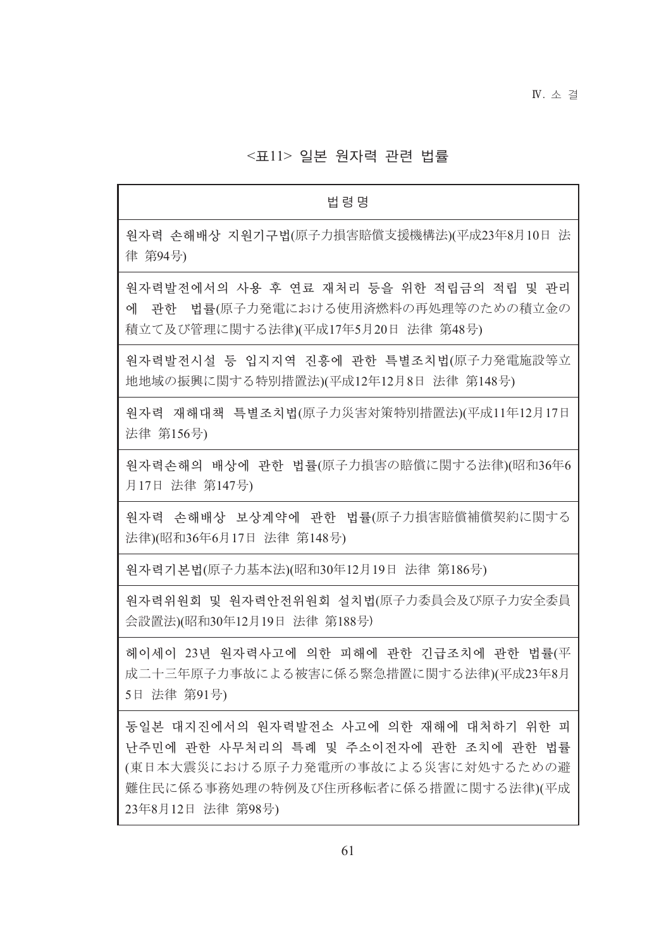### <표11> 일본 워자력 관련 법률

#### 법령명

원자력 손해배상 지원기구법(原子力損害賠償支援機構法)(平成23年8月10日 法 律 第94号)

워자력발전에서의 사용 후 연료 재처리 등을 위한 적립금의 적립 및 관리 에 관한 법률(原子力発電における使用済燃料の再処理等のための積立金の 積立て及び管理に関する法律)(平成17年5月20日 法律 第48号)

원자력발전시설 등 입지지역 진흥에 관한 특별조치법(原子力発電施設等立 地地域の振興に関する特別措置法)(平成12年12月8日 法律 第148号)

워자력 재해대책 특별조치법(原子力災害対策特別措置法)(平成11年12月17日 法律 第156号)

원자력손해의 배상에 관한 법률(原子力損害の賠償に関する法律)(昭和36年6 月17日 法律 第147号)

원자력 손해배상 보상계약에 관한 법률(原子力損害賠償補償契約に関する 法律)(昭和36年6月17日 法律 第148号)

원자력기본법(原子力基本法)(昭和30年12月19日 法律 第186号)

원자력위원회 및 원자력안전위원회 설치법(原子力委員会及び原子力安全委員 会設置法)(昭和30年12月19日 法律 第188号)

헤이세이 23년 원자력사고에 의한 피해에 관한 긴급조치에 관한 법률(平 成二十三年原子力事故による被害に係る緊急措置に関する法律)(平成23年8月 5日 法律 第91号)

동일본 대지지에서의 워자력발저소 사고에 의한 재해에 대처하기 위한 피 난주민에 관한 사무처리의 특례 및 주소이저자에 관한 조치에 관한 법률 (東日本大震災における原子力発電所の事故による災害に対処するための避 難住民に係る事務処理の特例及び住所移転者に係る措置に関する法律)(平成 23年8月12日 法律 第98号)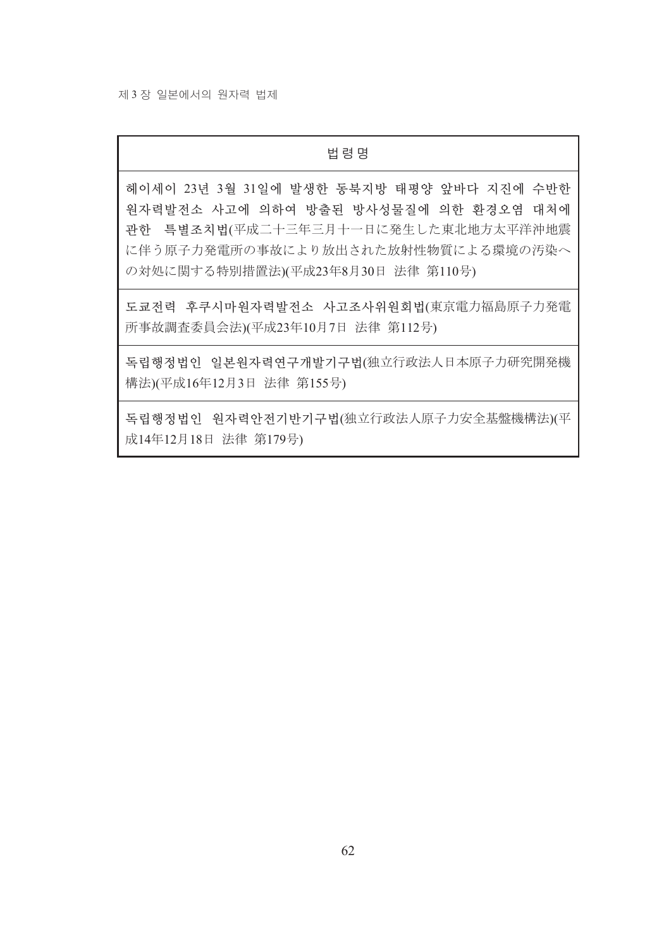#### 법령명

헤이세이 23년 3월 31일에 발생한 동북지방 태평양 앞바다 지진에 수반한 원자력발전소 사고에 의하여 방출된 방사성물질에 의한 환경오염 대처에 관한 특별조치법(平成二十三年三月十一日に発生した東北地方太平洋沖地震 に伴う原子力発電所の事故により放出された放射性物質による環境の汚染へ の対処に関する特別措置法)(平成23年8月30日 法律 第110号)

도쿄전력 후쿠시마원자력발전소 사고조사위원회법(東京電力福島原子力発電 所事故調査委員会法)(平成23年10月7日 法律 第112号)

독립행정법인 일본원자력연구개발기구법(独立行政法人日本原子力研究開発機 構法)(平成16年12月3日 法律 第155号)

독립행정법인 원자력안전기반기구법(独立行政法人原子力安全基盤機構法)(平 成14年12月18日 法律 第179号)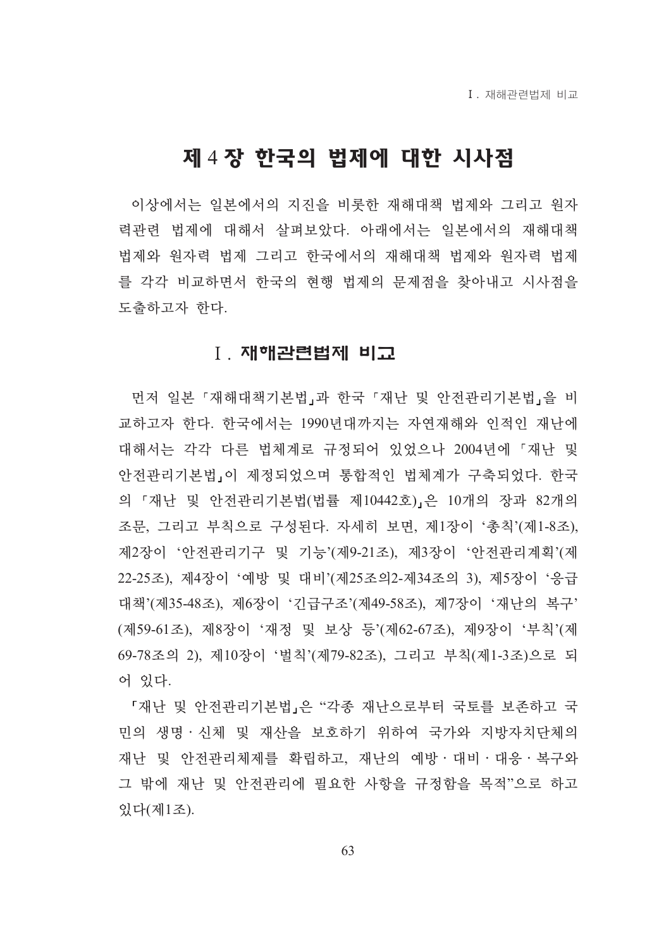# 제 4 장 한국의 법제에 대한 시사점

이상에서는 일본에서의 지지을 비롯한 재해대책 법제와 그리고 워자 력관련 법제에 대해서 살펴보았다. 아래에서는 일본에서의 재해대책 법제와 워자력 법제 그리고 한국에서의 재해대책 법제와 워자력 법제 를 각각 비교하면서 한국의 현행 법제의 문제점을 찾아내고 시사점을 도출하고자 한다.

## Ⅰ. 재해관련법제 비교

먼저 일본 「재해대책기본법」과 한국 「재난 및 안전관리기본법」을 비 교하고자 한다. 한국에서는 1990년대까지는 자연재해와 인적인 재난에 대해서는 각각 다른 법체계로 규정되어 있었으나 2004년에 「재난 및 안전관리기본법」이 제정되었으며 통합적인 법체계가 구축되었다. 한국 의 「재난 및 안전관리기본법(법률 제10442호)」은 10개의 장과 82개의 조문. 그리고 부칙으로 구성되다. 자세히 보며. 제1장이 '총칙'(제1-8조). 제2장이 '안전관리기구 및 기능'(제9-21조), 제3장이 '안전관리계획'(제 22-25조), 제4장이 '예방 및 대비'(제25조의2-제34조의 3), 제5장이 '응급 대책'(제35-48조), 제6장이 '긴급구조'(제49-58조), 제7장이 '재난의 복구' (제59-61조), 제8장이 '재정 및 보상 등'(제62-67조), 제9장이 '부칙'(제 69-78조의 2), 제10장이 '벌칙'(제79-82조), 그리고 부칙(제1-3조)으로 되 어 있다.

「재난 및 안전관리기본법」은 "각종 재난으로부터 국토를 보존하고 국 민의 생명 · 신체 및 재산을 보호하기 위하여 국가와 지방자치단체의 재난 및 안전관리체제를 확립하고, 재난의 예방·대비·대응·복구와 그 밖에 재난 및 안전관리에 필요한 사항을 규정함을 목적"으로 하고 있다(제1조).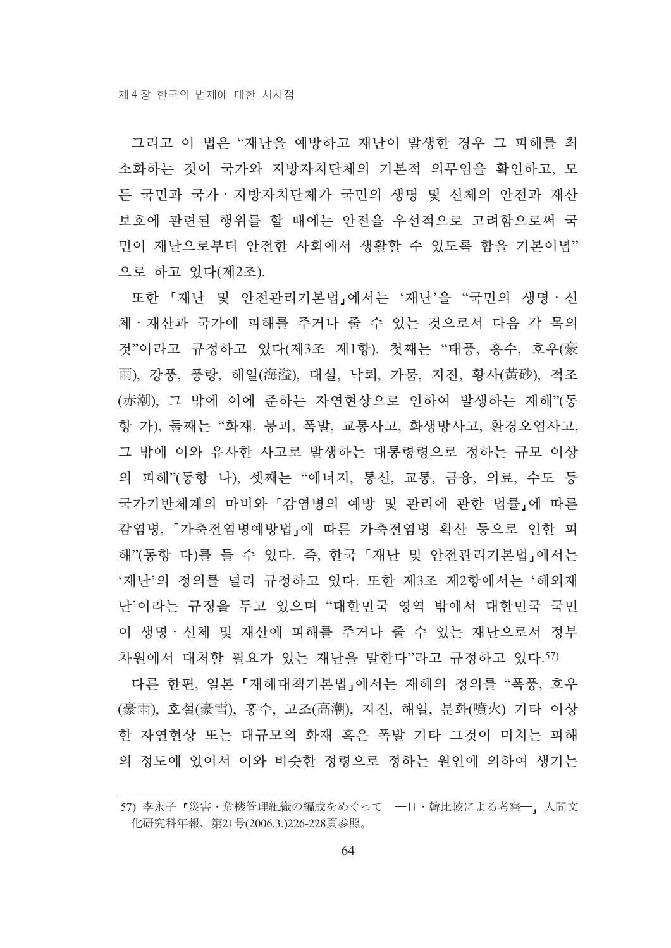그리고 이 법은 "재나을 예방하고 재나이 발생한 경우 그 피해를 최 소화하는 것이 국가와 지방자치단체의 기본적 의무임을 확인하고, 모 든 국민과 국가 · 지방자치단체가 국민의 생명 및 신체의 안전과 재산 보호에 관련된 행위를 할 때에는 안전을 우선적으로 고려함으로써 국 민이 재난으로부터 안전한 사회에서 생활할 수 있도록 함을 기본이념" 으로 하고 있다(제2조).

또한 「재난 및 안전관리기본법」에서는 '재난'을 "국민의 생명·신 체·재산과 국가에 피해를 주거나 줄 수 있는 것으로서 다음 각 목의 것"이라고 규정하고 있다(제3조 제1항). 첫째는 "태풍, 홍수, 호우(豪 雨), 강풍, 풍랑, 해일(海溢), 대설, 낙뢰, 가뭄, 지진, 황사(黃砂), 적조 (赤潮), 그 밖에 이에 준하는 자연현상으로 인하여 발생하는 재해"(동 항 가), 둘째는 "화재, 붕괴, 폭발, 교통사고, 화생방사고, 화경오염사고, 그 밖에 이와 유사한 사고로 발생하는 대통령령으로 정하는 규모 이상 의 피해"(동항 나), 셋째는 "에너지, 통신, 교통, 금융, 의료, 수도 등 국가기반체계의 마비와 「감염병의 예방 및 관리에 관한 법률」에 따른 감염병, 「가축전염병예방법」에 따른 가축전염병 확산 등으로 인한 피 해"(동항 다)를 들 수 있다. 즉, 한국 「재난 및 안전관리기본법」에서는 '재난'의 정의를 널리 규정하고 있다. 또한 제3조 제2항에서는 '해외재 난'이라는 규정을 두고 있으며 "대한민국 영역 밖에서 대한민국 국민 이 생명·신체 및 재산에 피해를 주거나 줄 수 있는 재난으로서 정부 차원에서 대처할 필요가 있는 재난을 말한다"라고 규정하고 있다.57)

다른 한편, 일본 『재해대책기본법』에서는 재해의 정의를 "폭풍, 호우 (豪雨), 호설(豪雪), 홍수, 고조(高潮), 지진, 해일, 분화(噴火) 기타 이상 한 자연현상 또는 대규모의 화재 혹은 폭발 기타 그것이 미치는 피해 의 정도에 있어서 이와 비슷한 정령으로 정하는 원인에 의하여 생기는

<sup>57)</sup> 李永子「災害・危機管理組織の編成をめぐって –日・韓比較による考察––」人間文 化研究科年報、第21号(2006.3.)226-228頁参照。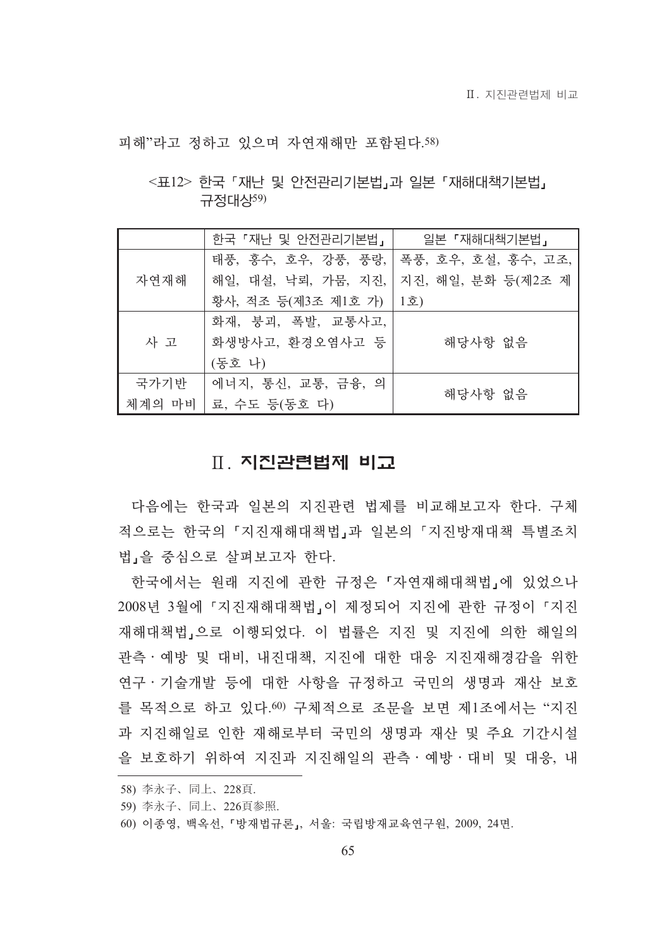피해"라고 정하고 있으며 자연재해만 포함되다.58)

<표12> 한국「재난 및 안전관리기본법」과 일본「재해대책기본법」 규정대상59)

|        | 한국 「재난 및 안전관리기본법」        | 일본「재해대책기본법」         |
|--------|--------------------------|---------------------|
|        | 태풍, 홍수, 호우, 강풍, 풍랑,      | 폭풍, 호우, 호설, 홍수, 고조, |
| 자연재해   | 해일, 대설, 낙뢰, 가뭄, 지진,      | 지진, 해일, 분화 등(제2조 제  |
|        | 황사, 적조 등(제3조 제1호 가)      | 1호)                 |
| 사 고    | 화재, 붕괴, 폭발, 교통사고,        |                     |
|        | 화생방사고, 환경오염사고 등          | 해당사항 없음             |
|        | (동호 나)                   |                     |
| 국가기반   | 에너지, 통신, 교통, 금융, 의       |                     |
| 체계의 마비 | 해당사항 없음<br>료, 수도 등(동호 다) |                     |

## Ⅱ 지진관련법제 비교

다음에는 한국과 일본의 지진관련 법제를 비교해보고자 한다. 구체 적으로는 한국의 「지진재해대책법」과 일본의 「지진방재대책 특별조치 법」을 중심으로 살펴보고자 한다.

한국에서는 원래 지진에 관한 규정은 「자연재해대책법」에 있었으나 2008년 3월에 「지진재해대책법」이 제정되어 지진에 관한 규정이 「지진 재해대책법,으로 이행되었다. 이 법률은 지진 및 지진에 의한 해일의 관측 · 예방 및 대비, 내진대책, 지진에 대한 대응 지진재해경감을 위한 연구·기술개발 등에 대한 사항을 규정하고 국민의 생명과 재산 보호 를 목적으로 하고 있다.60) 구체적으로 조무을 보면 제1조에서는 "지지 과 지진해일로 인한 재해로부터 국민의 생명과 재산 및 주요 기간시설 을 보호하기 위하여 지진과 지진해일의 관측·예방·대비 및 대응, 내

59) 李永子、同上、226頁参照.

<sup>58)</sup> 李永子、同上、228頁.

<sup>60)</sup> 이종영, 백옥선, 『방재법규론』, 서울: 국립방재교육연구원, 2009, 24면.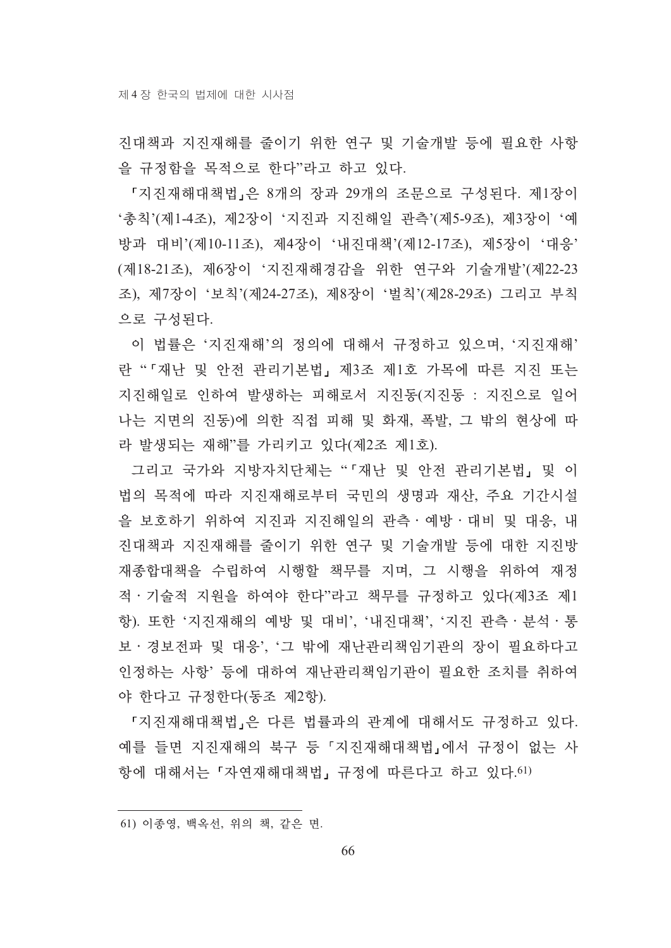진대책과 지진재해를 줄이기 위한 연구 및 기술개발 등에 필요한 사항 을 규정함을 목적으로 하다"라고 하고 있다.

『지진재해대책법』은 8개의 장과 29개의 조문으로 구성된다. 제1장이 '총칙'(제1-4조), 제2장이 '지진과 지진해일 관측'(제5-9조), 제3장이 '예 방과 대비'(제10-11조), 제4장이 '내진대책'(제12-17조), 제5장이 '대응' (제18-21조), 제6장이'지진재해경감을 위한 연구와 기술개발'(제22-23 조), 제7장이 '보칙'(제24-27조), 제8장이 '벌칙'(제28-29조) 그리고 부칙 으로 구성된다.

이 법률은 '지진재해'의 정의에 대해서 규정하고 있으며, '지진재해' 란"「재난 및 안전 관리기본법」제3조 제1호 가목에 따른 지진 또는 지진해일로 인하여 발생하는 피해로서 지진동(지진동 : 지진으로 일어 나는 지면의 진동)에 의한 직접 피해 및 화재, 폭발, 그 밖의 현상에 따 라 발생되는 재해"를 가리키고 있다(제2조 제1호).

그리고 국가와 지방자치단체는 "「재난 및 안전 관리기본법」 및 이 법의 목적에 따라 지진재해로부터 국민의 생명과 재산, 주요 기간시설 을 보호하기 위하여 지진과 지진해일의 관측·예방·대비 및 대응, 내 진대책과 지진재해를 줄이기 위한 연구 및 기술개발 등에 대한 지진방 재종합대책을 수립하여 시행할 책무를 지며, 그 시행을 위하여 재정 적·기술적 지원을 하여야 한다"라고 책무를 규정하고 있다(제3조 제1 항). 또한 '지진재해의 예방 및 대비', '내진대책', '지진 관측 · 분석 · 통 보 · 경보전파 및 대응', '그 밖에 재난관리책임기관의 장이 필요하다고 인정하는 사항' 등에 대하여 재나과리책임기과이 필요한 조치를 취하여 야 한다고 규정한다(동조 제2항).

『지진재해대책법』은 다른 법률과의 관계에 대해서도 규정하고 있다. 예를 들면 지진재해의 북구 등 「지진재해대책법」에서 규정이 없는 사 항에 대해서는 「자연재해대책법」 규정에 따른다고 하고 있다. 61)

<sup>61)</sup> 이종영, 백옥선, 위의 책, 같은 면.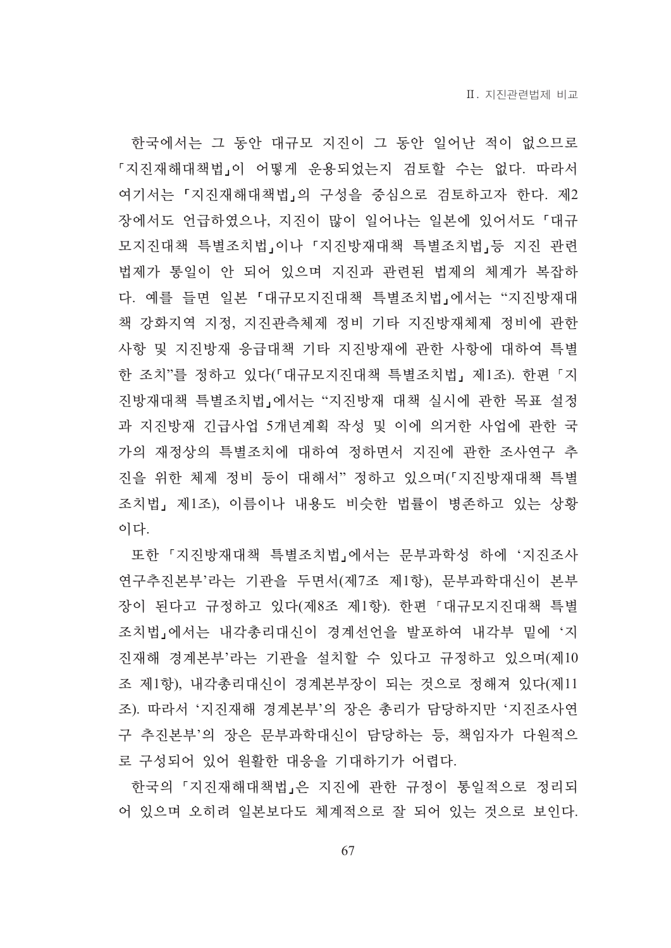한국에서는 그 동안 대규모 지진이 그 동안 일어난 적이 없으므로 『지진재해대책법」이 어떻게 운용되었는지 검토할 수는 없다. 따라서 여기서는 「지진재해대책법」의 구성을 중심으로 검토하고자 한다. 제2 장에서도 언급하였으나, 지진이 많이 일어나는 일본에 있어서도 「대규 모지진대책 특별조치법」이나「지진방재대책 특별조치법」등 지진 관련 법제가 통일이 안 되어 있으며 지진과 관련된 법제의 체계가 복잡하 다. 예를 들면 일본 『대규모지진대책 특별조치법』에서는 "지진방재대 책 강화지역 지정, 지진관측체제 정비 기타 지진방재체제 정비에 관한 사항 및 지진방재 응급대책 기타 지진방재에 관한 사항에 대하여 특별 한 조치"를 정하고 있다(「대규모지진대책 특별조치법」 제1조). 한편 「지 진방재대책 특별조치법」에서는 "지진방재 대책 실시에 관한 목표 설정 과 지진방재 긴급사업 5개년계획 작성 및 이에 의거한 사업에 관한 국 가의 재정상의 특별조치에 대하여 정하면서 지진에 관한 조사연구 추 진을 위한 체제 정비 등이 대해서" 정하고 있으며(「지진방재대책 특별 조치법, 제1조), 이름이나 내용도 비슷한 법률이 병존하고 있는 상황 이다.

또한 「지진방재대책 특별조치법」에서는 문부과학성 하에 '지진조사 연구추진본부'라는 기관을 두면서(제7조 제1항), 문부과학대신이 본부 장이 된다고 규정하고 있다(제8조 제1항). 한편 「대규모지진대책 특별 조치법」에서는 내각총리대신이 경계선언을 발포하여 내각부 밑에 '지 진재해 경계본부'라는 기관을 설치할 수 있다고 규정하고 있으며(제10 조 제1항), 내각총리대신이 경계본부장이 되는 것으로 정해져 있다(제11 조). 따라서 '지진재해 경계본부'의 장은 총리가 담당하지만 '지진조사연 구 추진본부'의 장은 문부과학대신이 담당하는 등, 책임자가 다워적으 로 구성되어 있어 원활한 대응을 기대하기가 어렵다.

한국의 「지진재해대책법」은 지진에 관한 규정이 통일적으로 정리되 어 있으며 오히려 일본보다도 체계적으로 잘 되어 있는 것으로 보인다.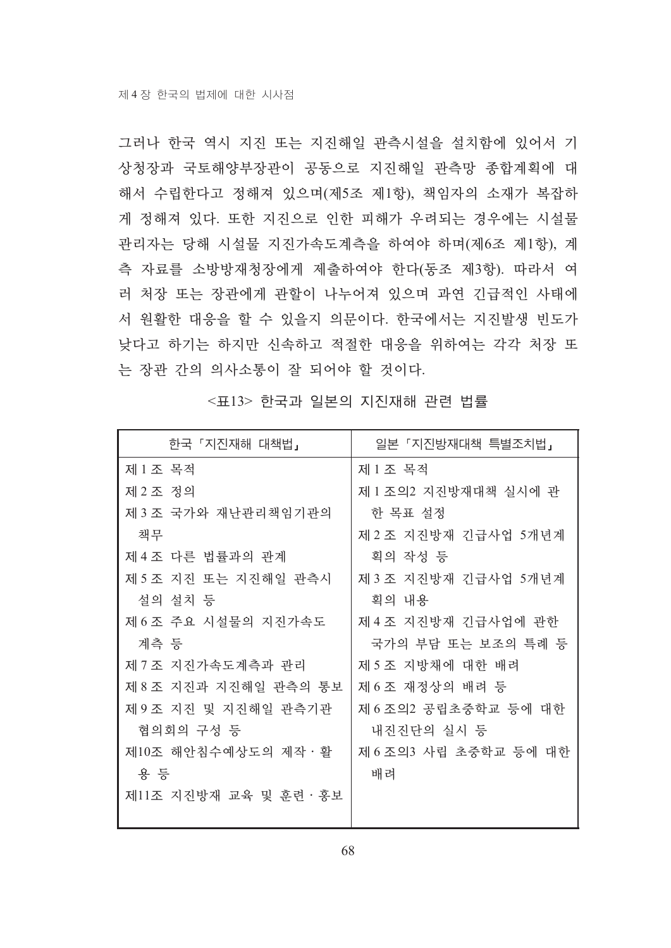그러나 한국 역시 지진 또는 지진해일 관측시설을 설치함에 있어서 기 상청장과 국토해양부장관이 공동으로 지진해일 관측망 종합계획에 대 해서 수립한다고 정해져 있으며(제5조 제1항), 책임자의 소재가 복잡하 게 정해져 있다. 또한 지진으로 인한 피해가 우려되는 경우에는 시설물 관리자는 당해 시설물 지진가속도계측을 하여야 하며(제6조 제1항), 계 측 자료를 소방방재청장에게 제출하여야 한다(동조 제3항). 따라서 여 러 처장 또는 장관에게 관할이 나누어져 있으며 과연 긴급적인 사태에 서 원활한 대응을 할 수 있을지 의문이다. 한국에서는 지진발생 빈도가 낮다고 하기는 하지만 신속하고 적절한 대응을 위하여는 각각 처장 또 는 장관 간의 의사소통이 잘 되어야 할 것이다.

## <표13> 한국과 일본의 지진재해 관련 법률

| 한국「지진재해 대책법」           | 일본 「지진방재대책 특별조치법」     |
|------------------------|-----------------------|
| 제 1 조 목적               | 제 1 조 목적              |
| 제 2 조 정의               | 제 1 조의2 지진방재대책 실시에 관  |
| 제 3 조 국가와 재난관리책임기관의    | 한 목표 설정               |
| 책무                     | 제 2 조 지진방재 긴급사업 5개년계  |
| 제 4 조 다른 법률과의 관계       | 획의 작성 등               |
| 제 5 조 지진 또는 지진해일 관측시   | 제 3 조 지진방재 긴급사업 5개년계  |
| 설의 설치 등                | 획의 내용                 |
| 제 6 조 주요 시설물의 지진가속도    | 제4조 지진방재 긴급사업에 관한     |
| 계측 등                   | 국가의 부담 또는 보조의 특례 등    |
| 제 7 조 지진가속도계측과 관리      | 제 5 조 지방채에 대한 배려      |
| 제 8 조 지진과 지진해일 관측의 통보  | 제6조 재정상의 배려 등         |
| 제 9 조 지진 및 지진해일 관측기관   | 제 6 조의2 공립초중학교 등에 대한  |
| 협의회의 구성 등              | 내진진단의 실시 등            |
| 제10조 해안침수예상도의 제작·활     | 제 6 조의3 사립 초중학교 등에 대한 |
| 용 등                    | 배려                    |
| 제11조 지진방재 교육 및 훈련 · 홍보 |                       |
|                        |                       |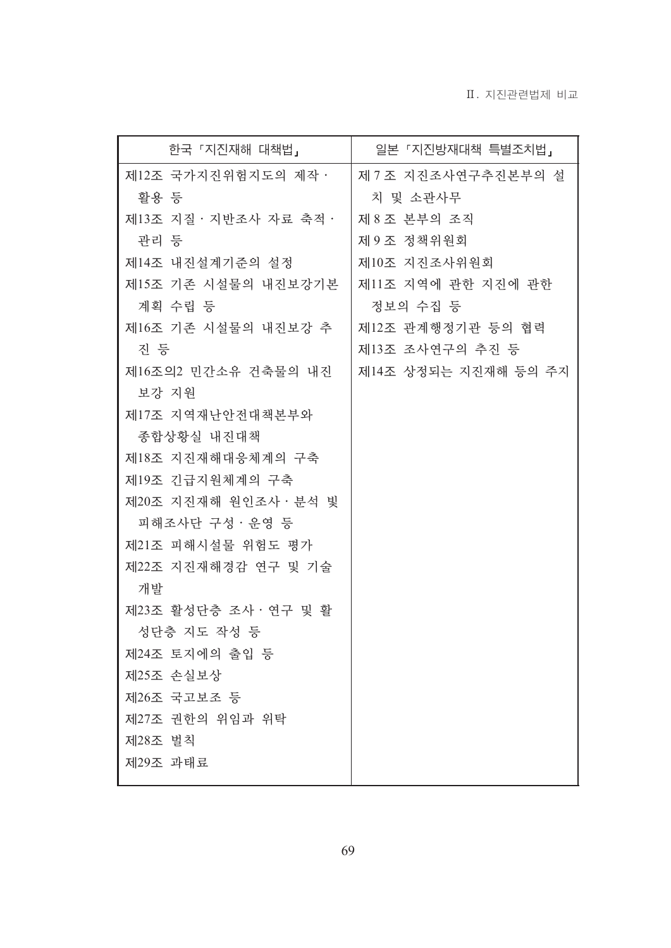| 한국「지진재해 대책법」           | 일본「지진방재대책 특별조치법」     |
|------------------------|----------------------|
| 제12조 국가지진위험지도의 제작·     | 제 7 조 지진조사연구추진본부의 설  |
| 활용 등                   | 치 및 소관사무             |
| 제13조 지질 · 지반조사 자료 축적 · | 제 8 조 본부의 조직         |
| 관리 등                   | 제 9 조 정책위원회          |
| 제14조 내진설계기준의 설정        | 제10조 지진조사위원회         |
| 제15조 기존 시설물의 내진보강기본    | 제11조 지역에 관한 지진에 관한   |
| 계획 수립 등                | 정보의 수집 등             |
| 제16조 기존 시설물의 내진보강 추    | 제12조 관계행정기관 등의 협력    |
| 진 등                    | 제13조 조사연구의 추진 등      |
| 제16조의2 민간소유 건축물의 내진    | 제14조 상정되는 지진재해 등의 주지 |
| 보강 지원                  |                      |
| 제17조 지역재난안전대책본부와       |                      |
| 종합상황실 내진대책             |                      |
| 제18조 지진재해대응체계의 구축      |                      |
| 제19조 긴급지원체계의 구축        |                      |
| 제20조 지진재해 원인조사 · 분석 빛  |                      |
| 피해조사단 구성 · 운영 등        |                      |
| 제21조 피해시설물 위험도 평가      |                      |
| 제22조 지진재해경감 연구 및 기술    |                      |
| 개발                     |                      |
| 제23조 활성단층 조사 · 연구 및 활  |                      |
| 성단층 지도 작성 등            |                      |
| 제24조 토지에의 출입 등         |                      |
| 제25조 손실보상              |                      |
| 제26조 국고보조 등            |                      |
| 제27조 권한의 위임과 위탁        |                      |
| 제28조 벌칙                |                      |
| 제29조 과태료               |                      |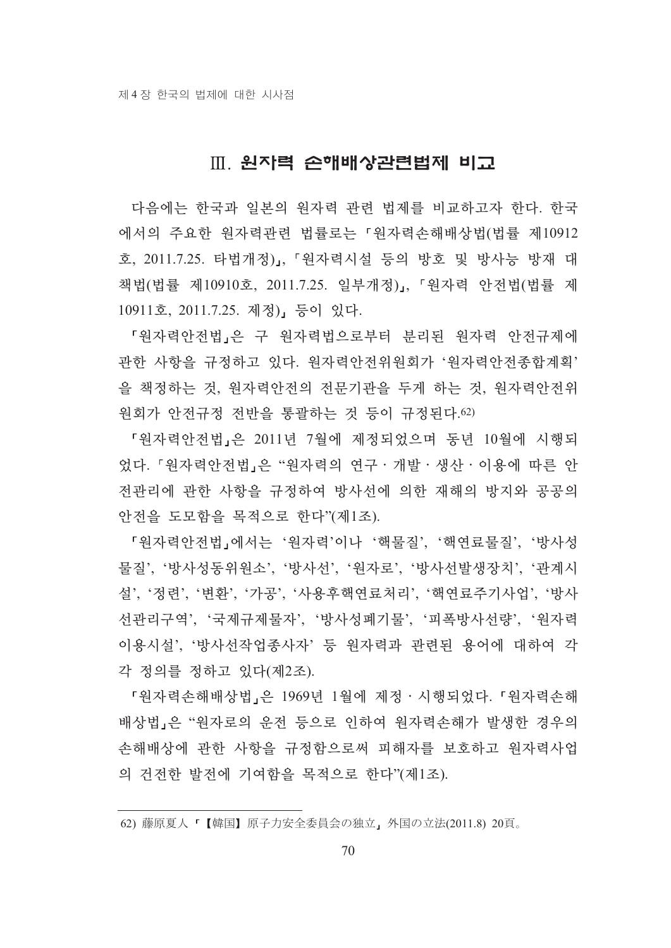# Ⅲ 원자력 손해배상관련법제 비교

다음에는 한국과 일본의 원자력 관련 법제를 비교하고자 한다. 한국 에서의 주요한 워자력관련 법률로는 「원자력손해배상법(법률 제10912 호, 2011.7.25. 타법개정)」, 「원자력시설 등의 방호 및 방사능 방재 대 책법(법률 제10910호, 2011.7.25. 일부개정)」, 「원자력 안전법(법률 제 10911호, 2011.7.25. 제정)」 등이 있다.

「원자력안전법」은 구 원자력법으로부터 분리된 원자력 안전규제에 관한 사항을 규정하고 있다. 원자력안전위원회가 '원자력안전종합계획' 을 책정하는 것. 워자력안전의 전문기관을 두게 하는 것. 워자력안전위 원회가 안전규정 전반을 통괄하는 것 등이 규정된다. 62)

『원자력안전법』은 2011년 7월에 제정되었으며 동년 10월에 시행되 었다. 「워자력안전법」은 "워자력의 연구·개발·생산·이용에 따른 안 전관리에 관한 사항을 규정하여 방사선에 의한 재해의 방지와 공공의 안전을 도모함을 목적으로 한다"(제1조).

「원자력안전법」에서는'원자력'이나'핵물질','핵연료물질','방사성 물질', '방사성동위워소', '방사선', '워자로', '방사선발생장치', '관계시 설', '정련', '변환', '가공', '사용후핵연료처리', '핵연료주기사업', '방사 선관리구역', '국제규제물자', '방사성폐기물', '피폭방사선량', '원자력 이용시설', '방사선작업종사자' 등 원자력과 관련된 용어에 대하여 각 각 정의를 정하고 있다(제2조).

「워자력손해배상법」은 1969년 1월에 제정·시행되었다.「워자력손해 배상법」은 "워자로의 우전 등으로 이하여 워자력손해가 발생한 경우의 손해배상에 관한 사항을 규정함으로써 피해자를 보호하고 원자력사업 의 거저하 발저에 기여함을 목적으로 하다"(제1조).

<sup>62)</sup> 藤原夏人『【韓国】原子力安全委員会の独立』外国の立法(2011.8) 20頁。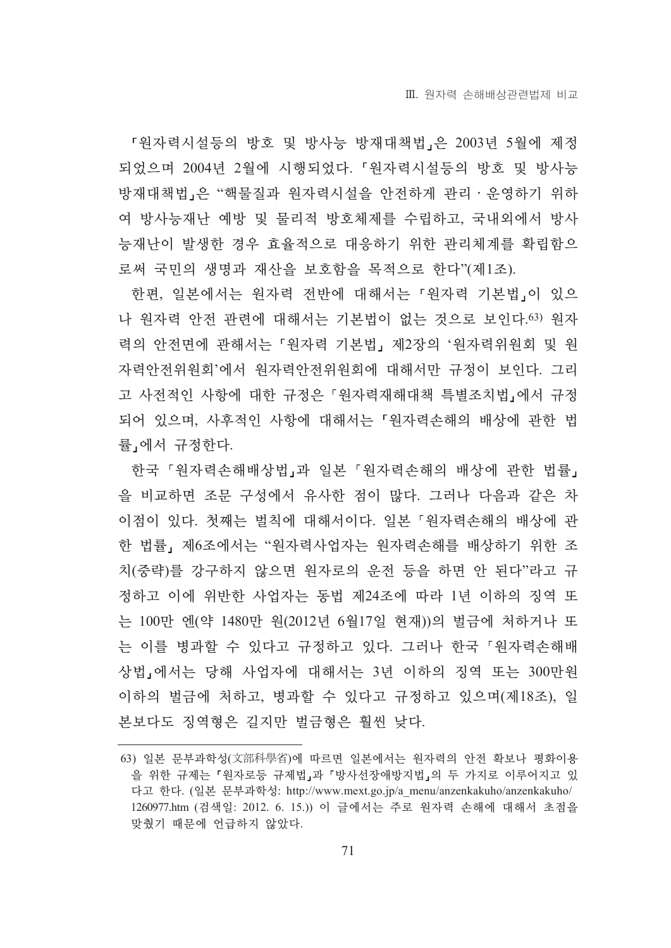「원자력시설등의 방호 및 방사능 방재대책법」은 2003년 5월에 제정 되었으며 2004년 2월에 시행되었다. 「원자력시설등의 방호 및 방사능 방재대책법」은 "핵물질과 원자력시설을 안전하게 관리 · 운영하기 위하 여 방사능재난 예방 및 물리적 방호체제를 수립하고, 국내외에서 방사 능재난이 발생한 경우 효율적으로 대응하기 위한 관리체계를 확립함으 로써 국민의 생명과 재산을 보호함을 목적으로 한다"(제1조).

한편, 일본에서는 원자력 전반에 대해서는 「원자력 기본법」이 있으 나 원자력 안전 관련에 대해서는 기본법이 없는 것으로 보인다. 63) 원자 력의 안전면에 관해서는 「원자력 기본법」 제2장의 '원자력위원회 및 원 자력안전위워회'에서 워자력안전위원회에 대해서만 규정이 보인다. 그리 고 사전적인 사항에 대한 규정은 「원자력재해대책 특별조치법」에서 규정 되어 있으며, 사후적인 사항에 대해서는 「원자력손해의 배상에 관한 법 률」에서 규정한다.

한국 「원자력손해배상법」과 일본 「원자력손해의 배상에 관한 법률」 을 비교하면 조문 구성에서 유사한 점이 많다. 그러나 다음과 같은 차 이점이 있다. 첫째는 벌칙에 대해서이다. 일본 「원자력손해의 배상에 관 한 법률, 제6조에서는 "원자력사업자는 원자력손해를 배상하기 위한 조 치(중략)를 강구하지 않으면 원자로의 운전 등을 하면 안 된다"라고 규 정하고 이에 위반한 사업자는 동법 제24조에 따라 1년 이하의 징역 또 는 100만 엔(약 1480만 원(2012년 6월17일 현재))의 벌금에 처하거나 또 는 이를 병과할 수 있다고 규정하고 있다. 그러나 한국 「워자력손해배 상법,에서는 당해 사업자에 대해서는 3년 이하의 징역 또는 300만원 이하의 벌금에 처하고, 병과할 수 있다고 규정하고 있으며(제18조), 일 본보다도 징역형은 길지만 벌금형은 훨씬 낮다.

<sup>63)</sup> 일본 문부과학성(文部科學省)에 따르며 일본에서는 워자력의 안전 확보나 평화이용 을 위한 규제는 「워자로등 규제법」과 「방사선장애방지법」의 두 가지로 이루어지고 있 다고 한다. (일본 문부과학성: http://www.mext.go.jp/a menu/anzenkakuho/anzenkakuho/ 1260977.htm (검색일: 2012. 6. 15.)) 이 글에서는 주로 원자력 손해에 대해서 초점을 맞췄기 때문에 언급하지 않았다.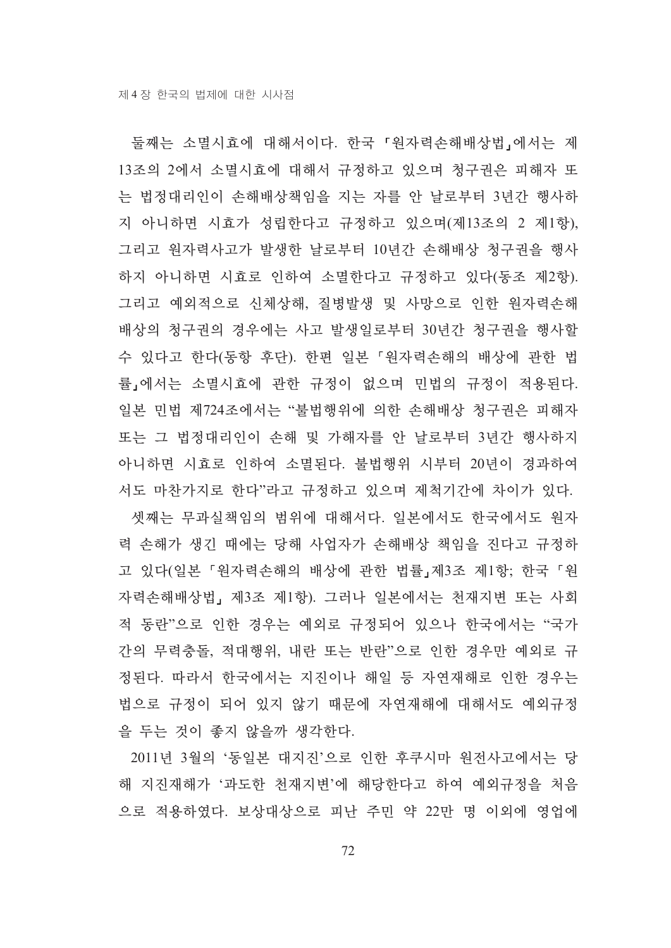둘째는 소멸시효에 대해서이다. 한국 「원자력손해배상법」에서는 제 13조의 2에서 소멸시효에 대해서 규정하고 있으며 청구권은 피해자 또 는 법정대리인이 손해배상책임을 지는 자를 안 날로부터 3년간 행사하 지 아니하면 시효가 성립한다고 규정하고 있으며(제13조의 2 제1항), 그리고 원자력사고가 발생한 날로부터 10년간 손해배상 청구권을 행사 하지 아니하면 시효로 인하여 소멸한다고 규정하고 있다(동조 제2항). 그리고 예외적으로 신체상해, 질병발생 및 사망으로 인한 원자력손해 배상의 청구권의 경우에는 사고 발생일로부터 30년간 청구권을 행사할 수 있다고 한다(동항 후단). 한편 일본 「원자력손해의 배상에 관한 법 률」에서는 소멸시효에 관한 규정이 없으며 민법의 규정이 적용된다. 일본 민법 제724조에서는 "불법행위에 의한 손해배상 청구권은 피해자 또는 그 법정대리인이 손해 및 가해자를 안 날로부터 3년간 행사하지 아니하면 시효로 이하여 소멸되다. 불법행위 시부터 20년이 경과하여 서도 마찬가지로 한다"라고 규정하고 있으며 제척기간에 차이가 있다.

셋째는 무과실책임의 범위에 대해서다. 일본에서도 한국에서도 원자 력 손해가 생긴 때에는 당해 사업자가 손해배상 책임을 진다고 규정하 고 있다(일본 「원자력손해의 배상에 관한 법률」제3조 제1항; 한국 「원 자력손해배상법, 제3조 제1항). 그러나 일본에서는 천재지변 또는 사회 적 동란"으로 인한 경우는 예외로 규정되어 있으나 한국에서는 "국가 간의 무력충돌, 적대행위, 내란 또는 반란"으로 인한 경우만 예외로 규 정된다. 따라서 한국에서는 지진이나 해일 등 자연재해로 인한 경우는 법으로 규정이 되어 있지 않기 때문에 자연재해에 대해서도 예외규정 을 두는 것이 좋지 않을까 생각한다.

2011년 3월의 '동일본 대지진'으로 인한 후쿠시마 원전사고에서는 당 해 지진재해가 '과도한 천재지변'에 해당한다고 하여 예외규정을 처음 으로 적용하였다. 보상대상으로 피난 주민 약 22만 명 이외에 영업에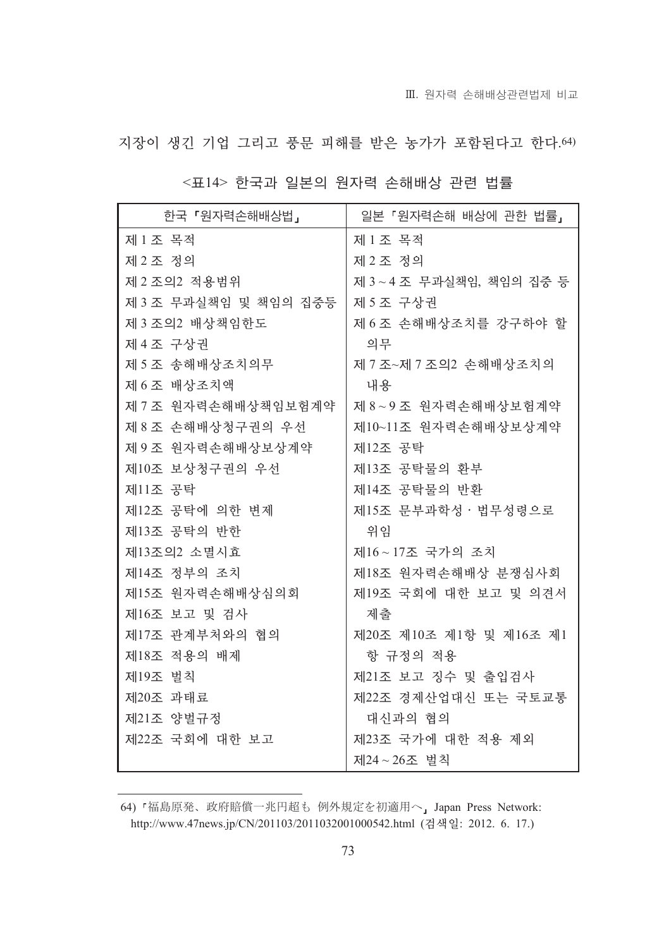지장이 생긴 기업 그리고 풍문 피해를 받은 농가가 포함된다고 한다. 64)

| 한국「원자력손해배상법」          | 일본 「원자력손해 배상에 관한 법률」    |
|-----------------------|-------------------------|
| 제 1 조 목적              | 제 1 조 목적                |
| 제2조 정의                | 제2조 정의                  |
| 제 2 조의2 적용범위          | 제 3~4조 무과실책임, 책임의 집중 등  |
| 제 3 조 무과실책임 및 책임의 집중등 | 제 5 조 구상권               |
| 제 3 조의2 배상책임한도        | 제 6 조 손해배상조치를 강구하야 할    |
| 제 4 조 구상권             | 의무                      |
| 제 5 조 송해배상조치의무        | 제 7 조~제 7 조의2 손해배상조치의   |
| 제6조 배상조치액             | 내용                      |
| 제 7 조 원자력손해배상책임보험계약   | 제 8~9조 원자력손해배상보험계약      |
| 제 8 조 손해배상청구권의 우선     | 제10~11조 원자력손해배상보상계약     |
| 제 9 조 원자력손해배상보상계약     | 제12조 공탁                 |
| 제10조 보상청구권의 우선        | 제13조 공탁물의 환부            |
| 제11조 공탁               | 제14조 공탁물의 반환            |
| 제12조 공탁에 의한 변제        | 제15조 문부과학성 · 법무성령으로     |
| 제13조 공탁의 반한           | 위임                      |
| 제13조의2 소멸시효           | 제16~17조 국가의 조치          |
| 제14조 정부의 조치           | 제18조 원자력손해배상 분쟁심사회      |
| 제15조 원자력손해배상심의회       | 제19조 국회에 대한 보고 및 의견서    |
| 제16조 보고 및 검사          | 제출                      |
| 제17조 관계부처와의 협의        | 제20조 제10조 제1항 및 제16조 제1 |
| 제18조 적용의 배제           | 항 규정의 적용                |
| 제19조 벌칙               | 제21조 보고 징수 및 출입검사       |
| 제20조 과태료              | 제22조 경제산업대신 또는 국토교통     |
| 제21조 양벌규정             | 대신과의 협의                 |
| 제22조 국회에 대한 보고        | 제23조 국가에 대한 적용 제외       |
|                       | 제24~26조 벌칙              |

<표14> 한국과 일본의 원자력 손해배상 관련 법률

<sup>64) 「</sup>福島原発、政府賠償一兆円超も 例外規定を初適用へ」 Japan Press Network: http://www.47news.jp/CN/201103/2011032001000542.html (검색일: 2012. 6. 17.)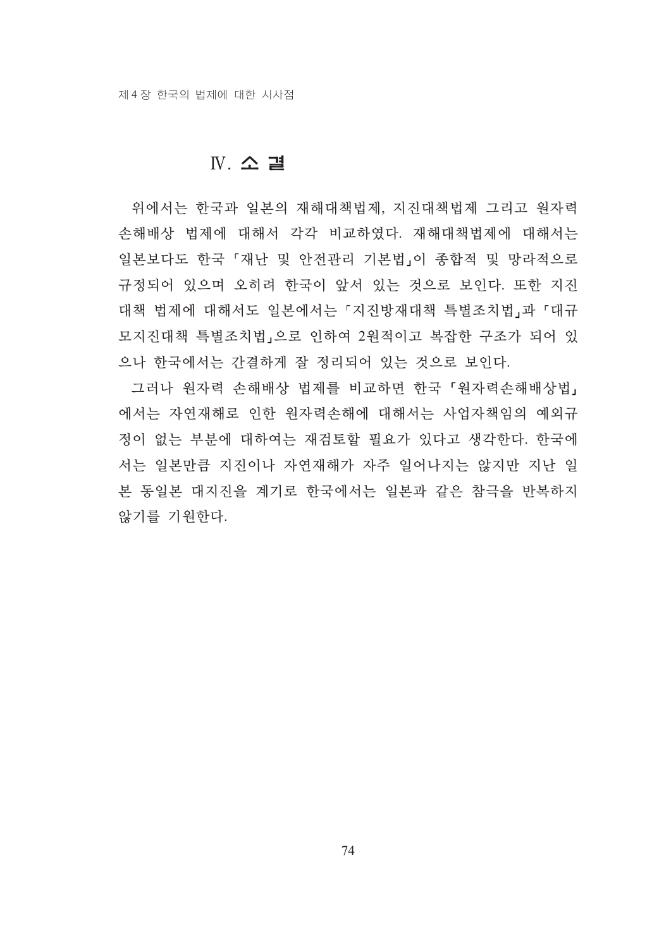### Ⅳ. 소 결

위에서는 한국과 일본의 재해대책법제, 지진대책법제 그리고 원자력 손해배상 법제에 대해서 각각 비교하였다. 재해대책법제에 대해서는 일본보다도 한국 「재난 및 안전관리 기본법」이 종합적 및 망라적으로 규정되어 있으며 오히려 한국이 앞서 있는 것으로 보인다. 또한 지진 대책 법제에 대해서도 일본에서는 「지진방재대책 특별조치법」과 「대규 모지진대책 특별조치법」으로 인하여 2원적이고 복잡한 구조가 되어 있 으나 한국에서는 간결하게 잘 정리되어 있는 것으로 보인다.

그러나 원자력 손해배상 법제를 비교하면 한국 「원자력손해배상법」 에서는 자연재해로 인한 원자력손해에 대해서는 사업자책임의 예외규 정이 없는 부분에 대하여는 재검토할 필요가 있다고 생각한다. 한국에 서는 일본만큼 지진이나 자연재해가 자주 일어나지는 않지만 지난 일 본 동일본 대지진을 계기로 한국에서는 일본과 같은 참극을 반복하지 않기를 기원한다.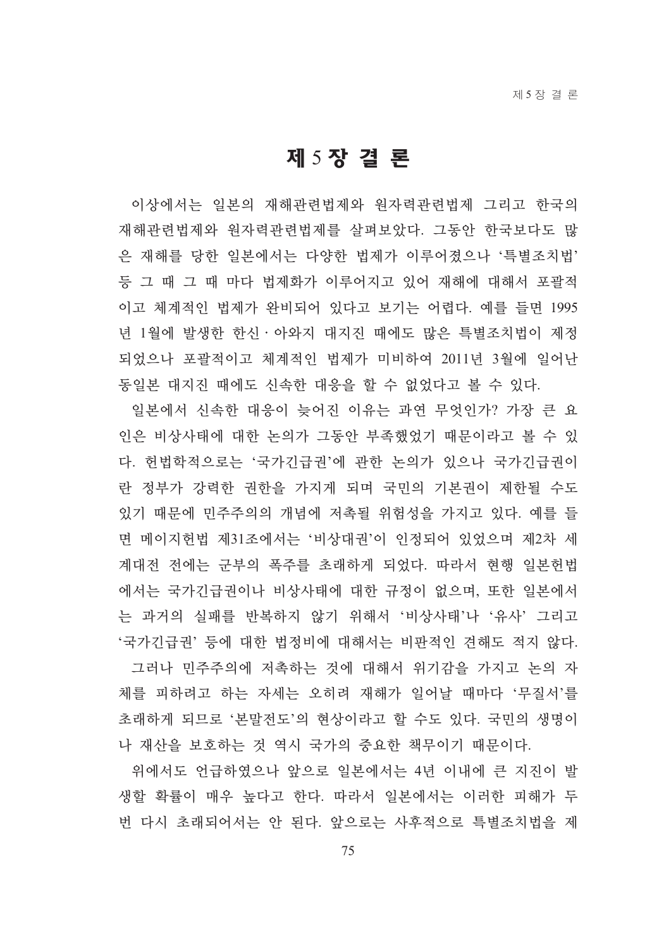# 제 5 장 결 론

이상에서는 일본의 재해관련법제와 원자력관련법제 그리고 한국의 재해관련법제와 워자력관련법제를 살펴보았다. 그동안 한국보다도 많 은 재해를 당한 일본에서는 다양한 법제가 이루어졌으나 '특별조치법' 등 그 때 그 때 마다 법제화가 이루어지고 있어 재해에 대해서 포괄적 이고 체계적인 법제가 완비되어 있다고 보기는 어렵다. 예를 들면 1995 년 1월에 발생한 한신·아와지 대지진 때에도 많은 특별조치법이 제정 되었으나 포괄적이고 체계적인 법제가 미비하여 2011년 3월에 일어난 동일본 대지진 때에도 신속한 대응을 할 수 없었다고 볼 수 있다.

일본에서 신속한 대응이 늦어진 이유는 과연 무엇인가? 가장 큰 요 인은 비상사태에 대한 논의가 그동안 부족했었기 때문이라고 볼 수 있 다. 헌법학적으로는 '국가긴급권'에 관한 논의가 있으나 국가긴급권이 란 정부가 강력한 권한을 가지게 되며 국민의 기본권이 제한될 수도 있기 때문에 민주주의의 개념에 저촉될 위험성을 가지고 있다. 예를 들 면 메이지헌법 제31조에서는 '비상대권'이 인정되어 있었으며 제2차 세 계대전 전에는 군부의 폭주를 초래하게 되었다. 따라서 현행 일본헌법 에서는 국가긴급권이나 비상사태에 대한 규정이 없으며, 또한 일본에서 는 과거의 실패를 반복하지 않기 위해서 '비상사태'나 '유사' 그리고 '국가긴급권' 등에 대한 법정비에 대해서는 비판적인 견해도 적지 않다. 그러나 민주주의에 저촉하는 것에 대해서 위기감을 가지고 논의 자 체를 피하려고 하는 자세는 오히려 재해가 일어날 때마다 '무질서'를 초래하게 되므로 '본말전도'의 현상이라고 할 수도 있다. 국민의 생명이 나 재산을 보호하는 것 역시 국가의 중요한 책무이기 때문이다.

위에서도 언급하였으나 앞으로 일본에서는 4년 이내에 큰 지진이 발 생할 확률이 매우 높다고 한다. 따라서 일본에서는 이러한 피해가 두 번 다시 초래되어서는 안 된다. 앞으로는 사후적으로 특별조치법을 제

75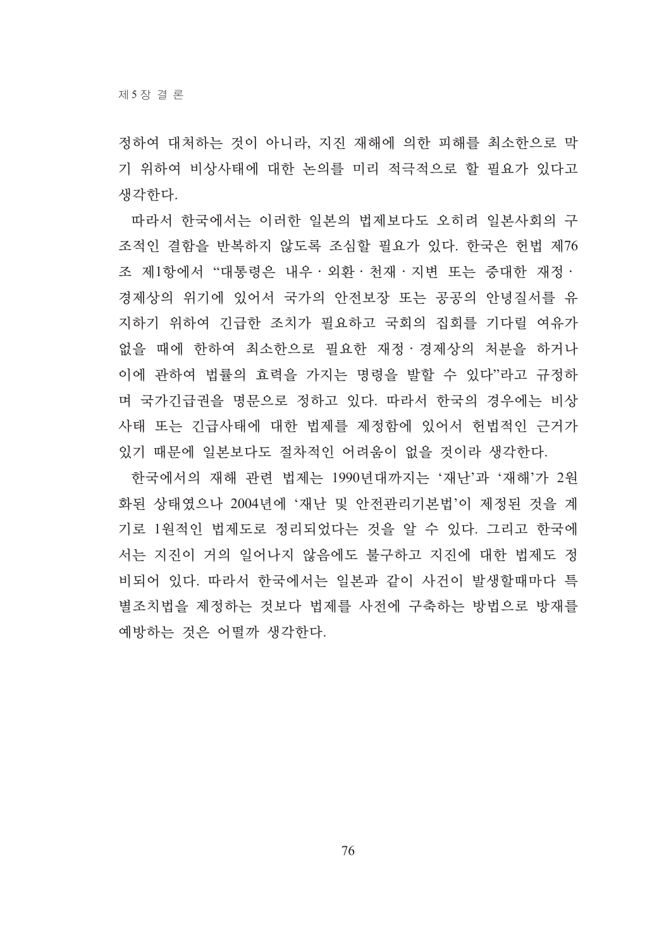정하여 대처하는 것이 아니라. 지진 재해에 의한 피해를 최소하으로 막 기 위하여 비상사태에 대한 논의를 미리 적극적으로 할 필요가 있다고 생각하다.

따라서 한국에서는 이러한 일본의 법제보다도 오히려 일본사회의 구 조적인 결함을 반복하지 않도록 조심할 필요가 있다. 한국은 헌법 제76 조 제l항에서 "대통령은 내우·외환·천재·지변 또는 중대한 재정· 경제상의 위기에 있어서 국가의 안전보장 또는 공공의 안녕질서를 유 지하기 위하여 긴급한 조치가 필요하고 국회의 집회를 기다릴 여유가 없을 때에 한하여 최소한으로 필요한 재정·경제상의 처분을 하거나 이에 관하여 법률의 효력을 가지는 명령을 발할 수 있다"라고 규정하 며 국가긴급권을 명문으로 정하고 있다. 따라서 한국의 경우에는 비상 사태 또는 긴급사태에 대한 법제를 제정함에 있어서 헌법적인 근거가 있기 때문에 일본보다도 절차적인 어려움이 없을 것이라 생각한다.

한국에서의 재해 관련 법제는 1990년대까지는 '재난'과 '재해'가 2워 화된 상태였으나 2004년에 '재난 및 안전관리기본법'이 제정된 것을 계 기로 1워적인 법제도로 정리되었다는 것을 알 수 있다. 그리고 한국에 서는 지진이 거의 일어나지 않음에도 불구하고 지진에 대한 법제도 정 비되어 있다. 따라서 한국에서는 일본과 같이 사건이 발생할때마다 특 별조치법을 제정하는 것보다 법제를 사전에 구축하는 방법으로 방재를 예방하는 것은 어떨까 생각한다.

76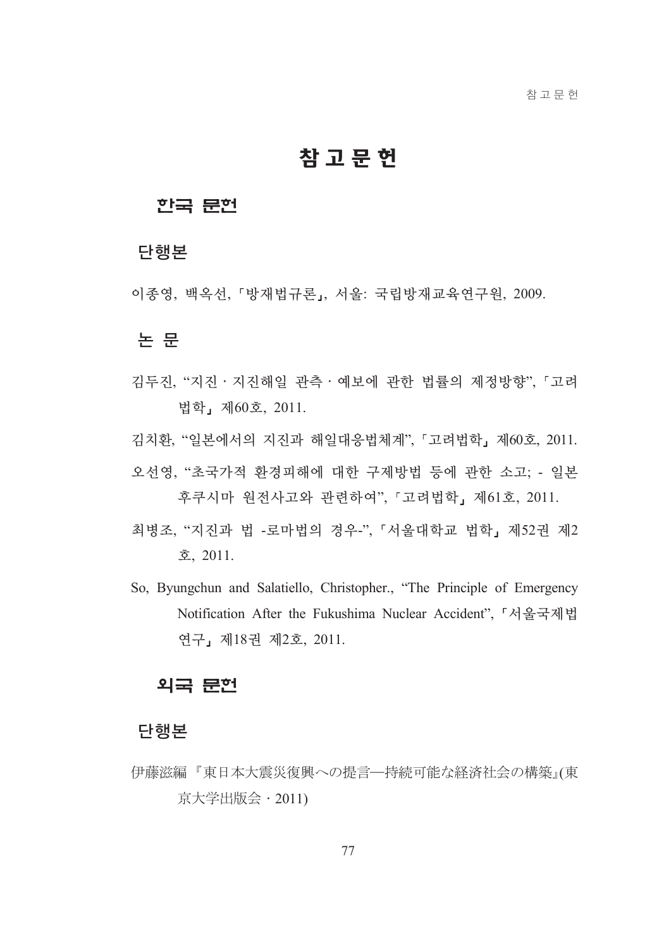# 참고문헌

### 한국 문헌

### 단행본

이종영, 백옥선, 「방재법규론」, 서울: 국립방재교육연구원, 2009.

### 논 문

- 김두진, "지진 · 지진해일 관측 · 예보에 관한 법률의 제정방향", 「고려 법학」제60호, 2011.
- 김치환, "일본에서의 지진과 해일대응법체계", 「고려법학」제60호, 2011.
- 오선영, "초국가적 환경피해에 대한 구제방법 등에 관한 소고; 일본 후쿠시마 원전사고와 관련하여", 「고려법학」 제61호, 2011.
- 최병조, "지진과 법 -로마법의 경우-", 「서울대학교 법학」 제52권 제2 호, 2011.
- So, Byungchun and Salatiello, Christopher., "The Principle of Emergency Notification After the Fukushima Nuclear Accident", 「서울국제법 연구, 제18권 제2호, 2011.

## 외국 문헌

#### 단행본

伊藤滋編『東日本大震災復興への提言一持続可能な経済社会の構築』(東 京大学出版会・2011)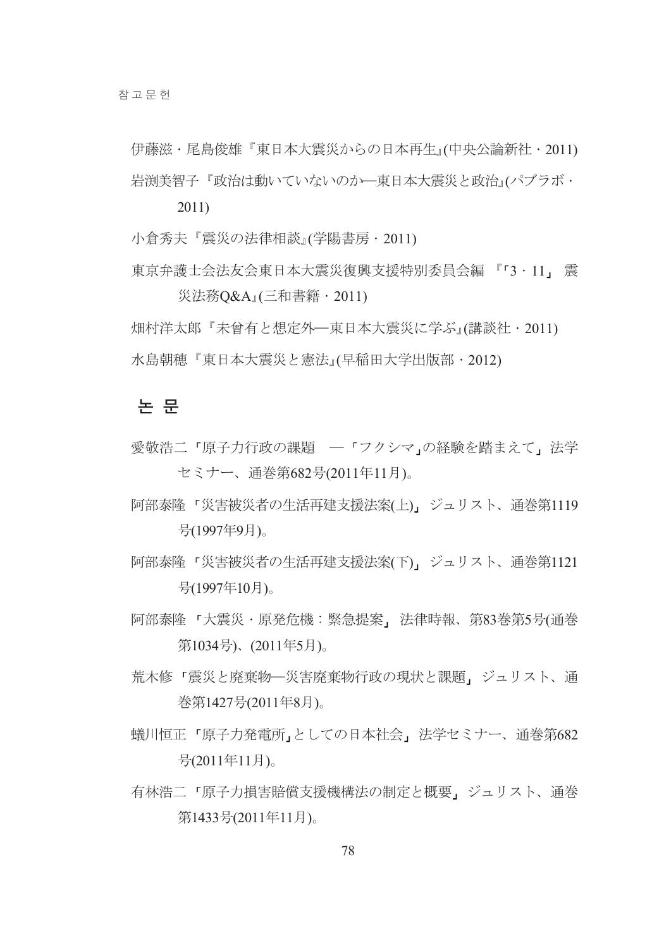伊藤滋・尾島俊雄『東日本大震災からの日本再生』(中央公論新社・2011) 岩渕美智子『政治は動いていないのか––東日本大震災と政治』(パブラボ・

 $2011)$ 

小倉秀夫『震災の法律相談』(学陽書房・2011)

東京弁護士会法友会東日本大震災復興支援特別委員会編 『「3・11」 震 災法務Q&A』(三和書籍·2011)

畑村洋太郎『未曾有と想定外–東日本大震災に学ぶ』(講談社・2011) 水島朝穂『東日本大震災と憲法』(早稲田大学出版部・2012)

#### 논 문

- 愛敬浩二「原子力行政の課題 –「フクシマ」の経験を踏まえて」法学 セミナー、通巻第682号(2011年11月)。
- 阿部泰隆「災害被災者の生活再建支援法案(上)」ジュリスト、通巻第1119 号(1997年9月)。
- 阿部泰隆「災害被災者の生活再建支援法案(下), ジュリスト、通巻第1121 号(1997年10月)。
- 阿部泰隆 「大震災・原発危機:緊急提案」 法律時報、第83巻第5号(通巻 第1034号)、(2011年5月)。
- 荒木修「震災と廃棄物––災害廃棄物行政の現状と課題」ジュリスト、通 巻第1427号(2011年8月)。
- 蟻川恒正「原子力発電所」としての日本社会」法学セミナー、通巻第682 号(2011年11月)。
- 有林浩二「原子力損害賠償支援機構法の制定と概要」ジュリスト、通巻 第1433号(2011年11月)。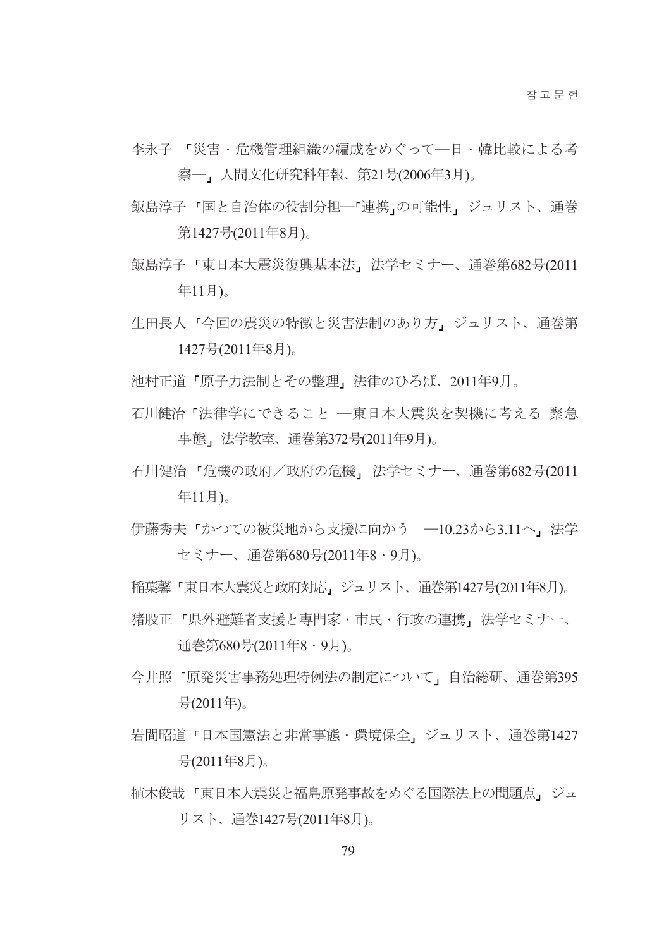- 李永子 「災害・危機管理組織の編成をめぐって―日・韓比較による考 察一」人間文化研究科年報、第21号(2006年3月)。
- 飯島淳子「国と自治体の役割分担––「連携」の可能性」ジュリスト、通巻 第1427号(2011年8月)。
- 飯島淳子「東日本大震災復興基本法」法学セミナー、通巻第682号(2011 年11月)。
- 生田長人「今回の震災の特徴と災害法制のあり方」ジュリスト、通巻第 1427号(2011年8月)。
- 池村正道「原子力法制とその整理」法律のひろば、2011年9月。
- 石川健治「法律学にできること 東日本大震災を契機に考える 竪急 事態, 法学教室、通巻第372号(2011年9月)。
- 石川健治「危機の政府/政府の危機」法学セミナー、通巻第682号(2011 年11月)。
- 伊藤秀夫「かつての被災地から支援に向かう –10.23から3.11へ、法学 セミナー、通巻第680号(2011年8・9月)。
- 稲葉馨「東日本大震災と政府対応」ジュリスト、通巻第1427号(2011年8月)。
- 猪股正「県外避難者支援と専門家・市民・行政の連携」法学セミナー、 通巻第680号(2011年8·9月)。
- 今井照「原発災害事務処理特例法の制定について、自治総研、通巻第395 号 $(2011 \text{H})$ 。
- 岩間昭道「日本国憲法と非常事熊・環境保全」ジュリスト、通巻第1427 号(2011年8月)。
- 植木俊哉 「東日本大震災と福島原発事故をめぐる国際法上の問題点」 ジュ リスト、通巻1427号(2011年8月)。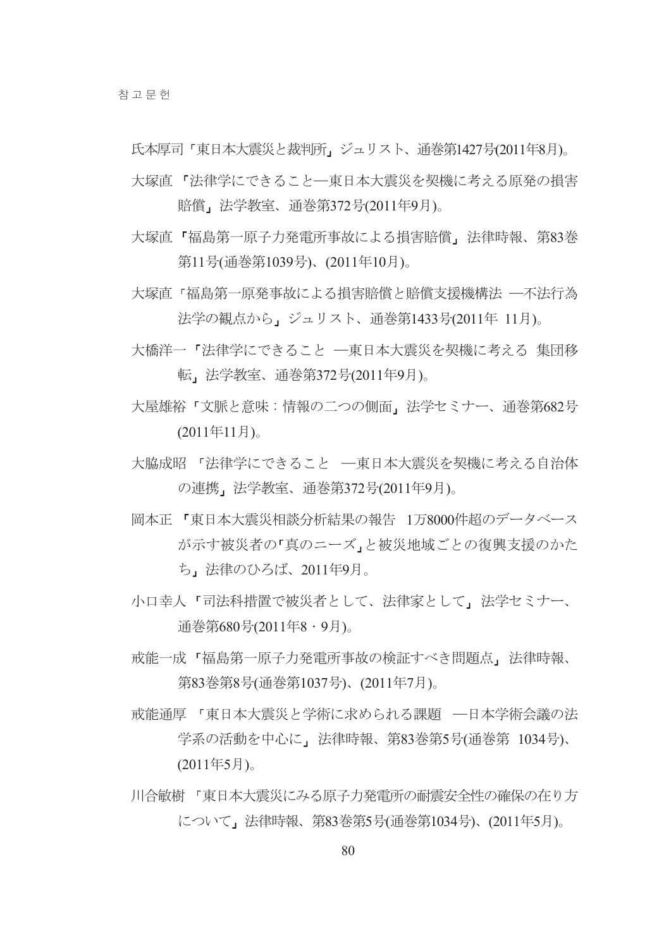氏本厚司「東日本大震災と裁判所」ジュリスト、通巻第1427号(2011年8月)。

- 大塚直「法律学にできること––東日本大震災を契機に考える原発の損害 賠償,法学教室、通巻第372号(2011年9月)。
- 大塚直「福島第一原子力発雷所事故による損害賠償」法律時報、第83巻 第11号(通巻第1039号)、(2011年10月)。
- 大塚直「福島第一原発事故による損害賠償と賠償支援機構法 ––不法行為 法学の観点から」 ジュリスト、通巻第1433号(2011年 11月)。
- 大橋洋一「法律学にできること 東日本大震災を契機に考える 集団移 転,法学教室、通巻第372号(2011年9月)。
- 大屋雄裕「文脈と意味:情報の二つの側面」法学セミナー、通巻第682号  $(2011 \n 411 \n 5)$ 。
- 大脇成昭 「法律学にできること 一東日本大震災を契機に考える自治体 の連携、法学教室、通巻第372号(2011年9月)。
- 岡本正「東日本大震災相談分析結果の報告 1万8000件超のデータベース が示す被災者の「真のニーズ」と被災地域ごとの復興支援のかた ち」法律のひろば、2011年9月。
- 小口幸人「司法科措置で被災者として、法律家として、法学セミナー、 通巻第680号(2011年8・9月)。
- 戒能一成「福島第一原子力発電所事故の検証すべき問題点」法律時報、 第83巻第8号(通巻第1037号)、(2011年7月)。
- 戒能通厚 「東日本大震災と学術に求められる課題 –日本学術会議の法 学系の活動を中心に、法律時報、第83巻第5号(通巻第 1034号)、  $(2011455)$ 。
- 川合敏樹 「東日本大震災にみろ原子力発雷所の耐震安全性の確保の在り方 について、法律時報、第83巻第5号(通巻第1034号)、(2011年5月)。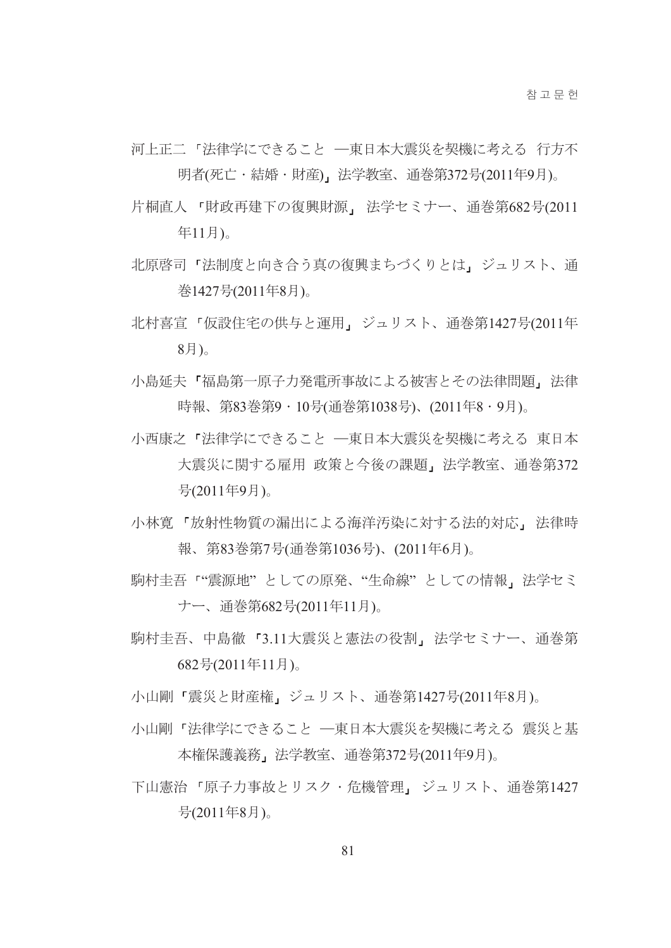- 河上正二 「法律学にできること 東日本大震災を契機に考える 行方不 明者(死亡・結婚・財産)」法学教室、通巻第372号(2011年9月)。
- 片桐直人「財政再建下の復興財源」法学セミナー、通巻第682号(2011 年11月)。
- 北原啓司「法制度と向き合う真の復興まちづくりとは、ジュリスト、通 巻1427号(2011年8月)。
- 北村喜宣「仮設住宅の供与と運用」ジュリスト、通巻第1427号(2011年  $8\bar{H}$ )。
- 小島延夫「福島第一原子力発雷所事故による被害とその法律問題、法律 時報、第83巻第9・10号(通巻第1038号)、(2011年8・9月)。
- 小西康之「法律学にできること 一東日本大震災を契機に考える 東日本 大震災に関する雇用 政策と今後の課題」法学教室、通巻第372 号(2011年9月)。
- 小林寛「放射性物質の漏出による海洋汚染に対する法的対応」法律時 報、第83巻第7号(通巻第1036号)、(2011年6月)。
- 駒村圭吾「"震源地"としての原発、"生命線"としての情報」法学セミ ナー、通巻第682号(2011年11月)。
- 駒村圭吾、中島徹「3.11大震災と憲法の役割」法学セミナー、通巻第 682号(2011年11月)。
- 小山剛「震災と財産権」ジュリスト、通巻第1427号(2011年8月)。
- 小山剛「法律学にできること ―東日本大震災を契機に考える 震災と基 本権保護義務」法学教室、通巻第372号(2011年9月)。
- 下山憲治「原子力事故とリスク・危機管理」ジュリスト、通巻第1427 号(2011年8月)。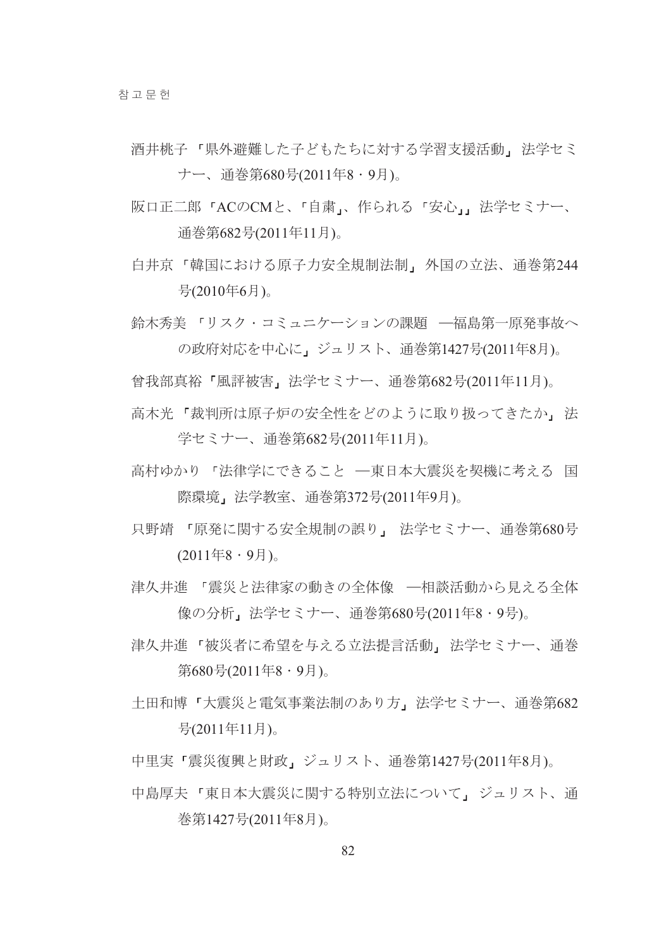- 酒井桃子「県外避難した子どもたちに対する学習支援活動」法学セミ ナー、通巻第680号(2011年8・9月)。
- 阪口正二郎「ACのCMと、「自粛」、作られる「安心」」法学セミナー、 通巻第682号(2011年11月)。
- 白井京「韓国における原子力安全規制法制」外国の立法、通券第244 号(2010年6月)。
- 鈴木秀美「リスク・コミュニケーションの課題 一福島第一原発事故へ の政府対応を中心に」ジュリスト、通巻第1427号(2011年8月)。
- 曾我部真裕「風評被害」法学セミナー、通巻第682号(2011年11月)。
- 高木光「裁判所は原子炉の安全性をどのように取り扱ってきたか、法 学セミナー、通巻第682号(2011年11月)。
- 高村ゆかり「法律学にできること 一東日本大震災を契機に考える 国 際環境」法学教室、通巻第372号(2011年9月)。
- 只野靖 「原発に関する安全規制の誤り」 法学セミナー、通巻第680号  $(2011 \pm 8 \cdot 9)$
- 津久井進 「震災と法律家の動きの全体像 –相談活動から見える全体 像の分析」法学セミナー、通巻第680号(2011年8・9号)。
- 津久井進「被災者に希望を与える立法提言活動」法学セミナー、通巻 第680号(2011年8・9月)。
- 土田和博「大震災と電気事業法制のあり方」法学セミナー、通巻第682 号(2011年11月)。
- 中里実「震災復興と財政」ジュリスト、通巻第1427号(2011年8月)。
- 中島厚夫「東日本大震災に関する特別立法について」ジュリスト、通 巻第1427号(2011年8月)。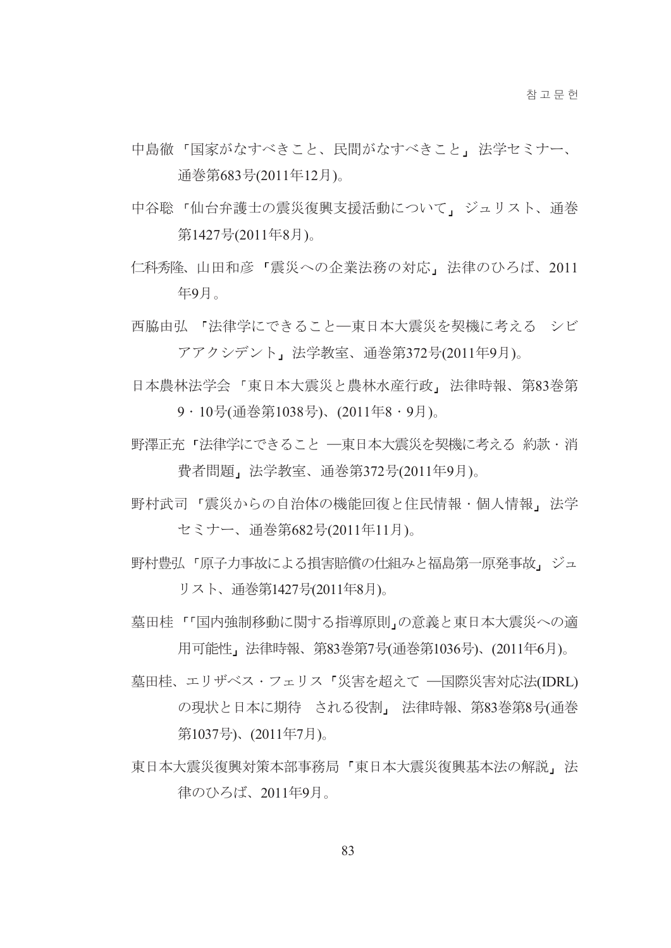- 中島徹「国家がなすべきこと、民間がなすべきこと」法学セミナー、 通巻第683号(2011年12月)。
- 中谷聡「仙台弁護士の震災復興支援活動について、ジュリスト、通巻 第1427号(2011年8月)。
- 仁科秀隆、山田和彦「震災への企業法務の対応」法律のひろば、2011 年9月。
- 西脇由弘 「法律学にできること––東日本大震災を契機に考える シビ アアクシデント」法学教室、通巻第372号(2011年9月)。
- 日本農林法学会 「東日本大震災と農林水産行政」法律時報、第83巻第 9・10号(通巻第1038号)、(2011年8・9月)。
- 野澤正充「法律学にできること 東日本大震災を契機に考える 約款・消 費者問題」法学教室、通巻第372号(2011年9月)。
- 野村武司「震災からの自治体の機能回復と住民情報・個人情報」法学 セミナー、通巻第682号(2011年11月)。
- 野村豊弘「原子力事故による損害賠償の仕組みと福島第一原発事故」ジュ リスト、通巻第1427号(2011年8月)。
- 墓田桂 「国内強制移動に関する指導原則」の意義と東日本大震災への適 用可能性,法律時報、第83巻第7号(通巻第1036号)、(2011年6月)。
- 墓田桂、エリザベス・フェリス「災害を超えて 国際災害対応法(IDRL) の現状と日本に期待 される役割, 法律時報、第83巻第8号(通巻 第1037号)、(2011年7月)。
- 東日本大震災復興対策本部事務局「東日本大震災復興基本法の解説」法 律のひろば、2011年9月。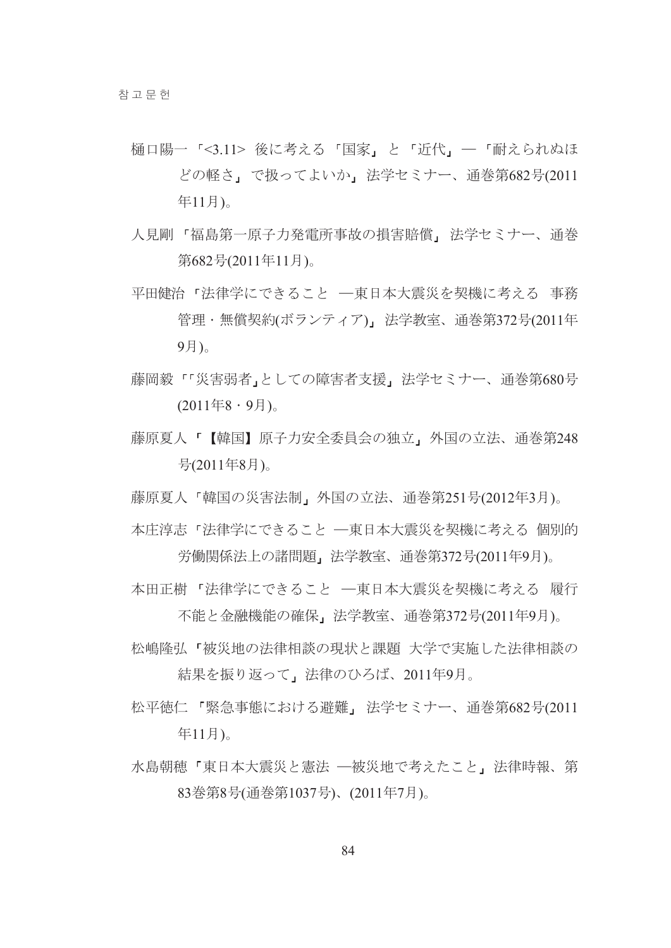- 樋口陽一「<3.11> 後に考える「国家」と「近代」—「耐えられぬほ どの軽さ、で扱ってよいか、法学セミナー、通巻第682号(2011 年11月)。
- 人見剛「福島第一原子力発電所事故の損害賠償」法学セミナー、通巻 第682号(2011年11月)。
- 平田健治「法律学にできること 一東日本大震災を契機に考える 事務 管理・無償契約(ボランティア)。法学教室、通巻第372号(2011年 9月)。
- 藤岡毅「「災害弱者」としての障害者支援、法学セミナー、通巻第680号  $(201148 \cdot 9)$ .
- 藤原夏人「【韓国】原子力安全委員会の独立」外国の立法、通巻第248 号(2011年8月)。
- 藤原夏人「韓国の災害法制」外国の立法、通巻第251号(2012年3月)。
- 本庄淳志「法律学にできること 東日本大震災を契機に考える 個別的 労働関係法上の諸問題」法学教室、通巻第372号(2011年9月)。
- 本田正樹「法律学にできること 東日本大震災を契機に考える 履行 不能と金融機能の確保」法学教室、通巻第372号(2011年9月)。
- 松嶋降弘「被災地の法律相談の現状と課題 大学で実施した法律相談の 結果を振り返って、法律のひろば、2011年9月。
- 松平徳仁「緊急事態における避難」法学セミナー、通巻第682号(2011 年11月)。
- 水島朝穂「東日本大震災と憲法 –被災地で考えたこと、法律時報、第 83 卷第8 号 (通巻第1037号)、(2011年7月)。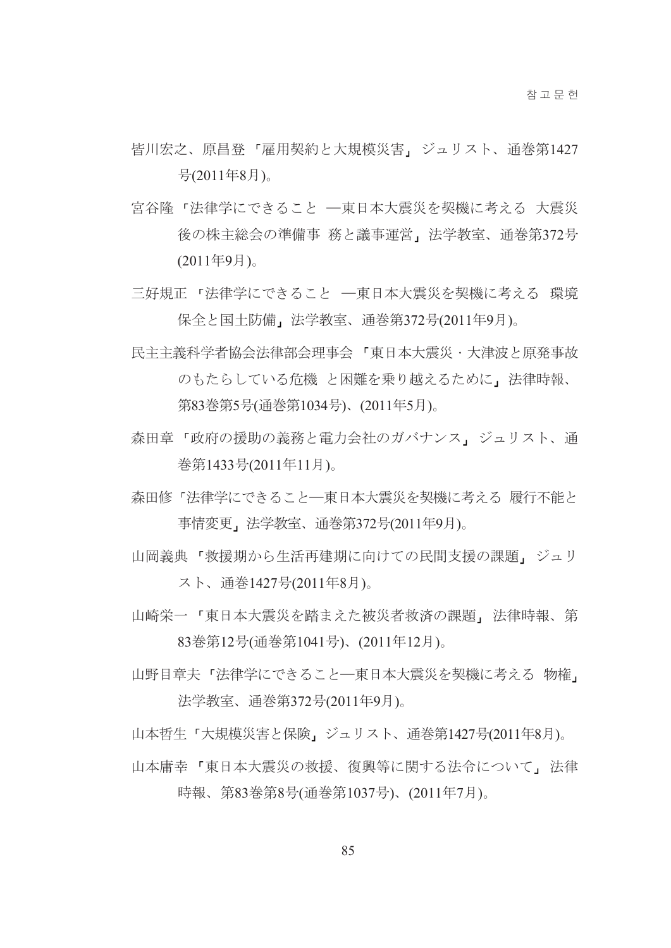- 皆川宏之、原昌登「雇用契約と大規模災害」ジュリスト、通巻第1427 号(2011年8月)。
- 宮谷降「法律学にできること 東日本大震災を契機に考える 大震災 後の株主総会の準備事 務と議事運営」法学教室、通巻第372号  $(2011499)$ 。
- 三好規正 「法律学にできること 東日本大震災を契機に考える 環境 保全と国土防備」法学教室、通巻第372号(2011年9月)。
- 民主主義科学者協会法律部会理事会「東日本大震災・大津波と原発事故 のもたらしている危機 と困難を乗り越えるために、法律時報、 第83巻第5号(通巻第1034号)、(2011年5月)。
- 森田章「政府の援助の義務と電力会社のガバナンス」ジュリスト、通 巻第1433号(2011年11月)。
- 森田修「法律学にできること––東日本大震災を契機に考える 履行不能と 事情変更,法学教室、通券第372号(2011年9月)。
- 山岡義典「救援期から生活再建期に向けての民間支援の課題」ジュリ スト、通巻1427号(2011年8月)。
- 山崎栄一「東日本大震災を踏まえた被災者救済の課題」法律時報、第 83巻第12号(通巻第1041号)、(2011年12月)。
- 山野目章夫「法律学にできること––東日本大震災を契機に考える物権」 法学教室、通巻第372号(2011年9月)。

山本哲生「大規模災害と保険」ジュリスト、通巻第1427号(2011年8月)。

山本庸幸「東日本大震災の救援、復興等に関する法令について、法律 時報、第83巻第8号(通巻第1037号)、(2011年7月)。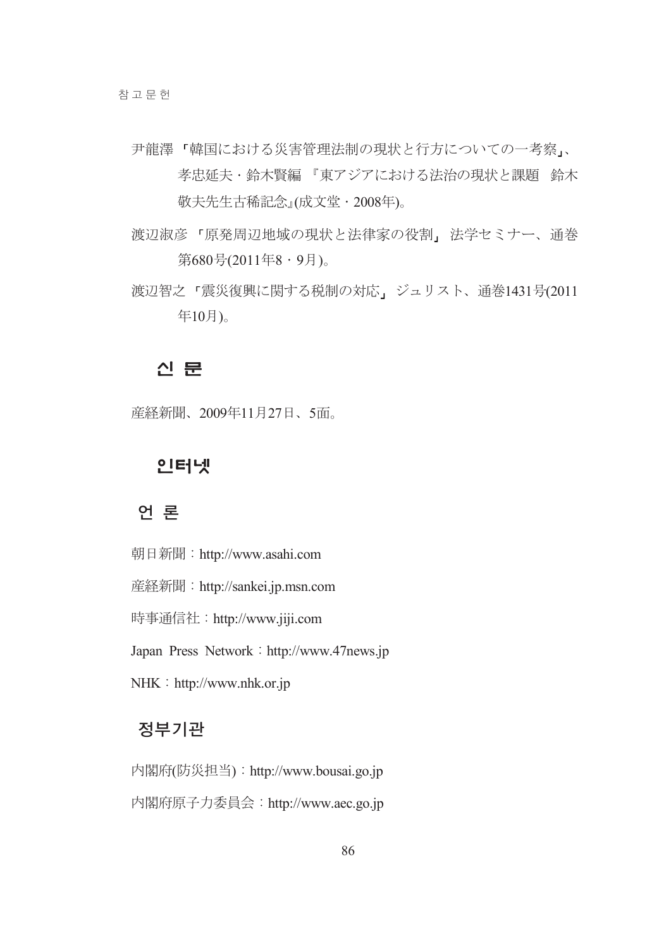- 尹龍澤「韓国における災害管理法制の現状と行方についての一考察」、 孝忠延夫·鈴木賢編 『東アジアにおける法治の現状と課題 鈴木 敬夫先生古稀記念』(成文堂・2008年)。
- 渡辺淑彦「原発周辺地域の現状と法律家の役割」法学セミナー、通巻 第680号(2011年8・9月)。
- 渡辺智之「震災復興に関する税制の対応」ジュリスト、通巻1431号(2011 年10月)。

#### 신 문

産経新聞、2009年11月27日、5面。

# 인터넷

## 언 론

朝日新聞: http://www.asahi.com

産経新聞: http://sankei.jp.msn.com

時事通信社: http://www.jiji.com

Japan Press Network : http://www.47news.jp

 $NHK : http://www.nhk.or.jp$ 

# 정부기관

内閣府(防災担当): http://www.bousai.go.jp 内閣府原子力委員会: http://www.aec.go.jp